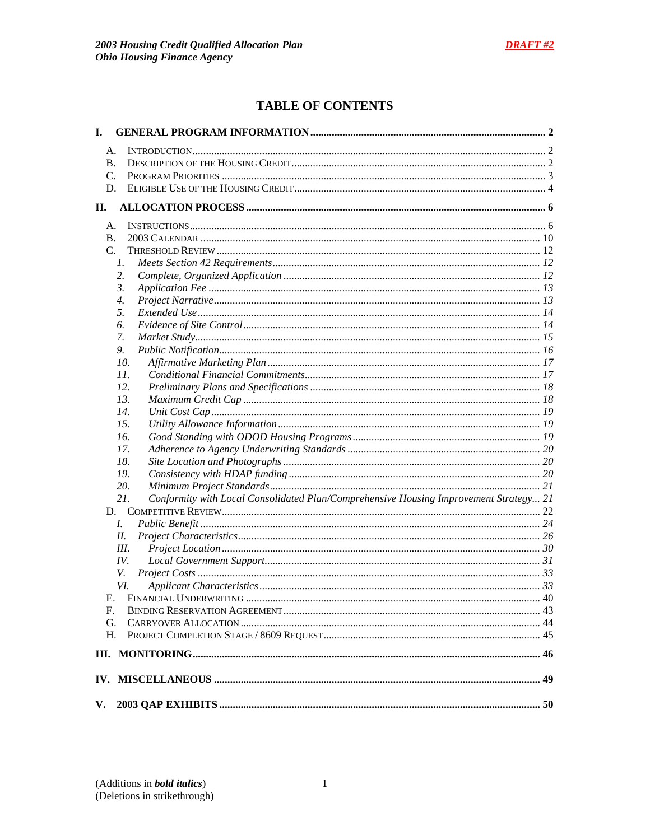# **TABLE OF CONTENTS**

| I.       |                                                                                              |  |
|----------|----------------------------------------------------------------------------------------------|--|
| А.       |                                                                                              |  |
| В.       |                                                                                              |  |
| C.       |                                                                                              |  |
| D.       |                                                                                              |  |
| II.      |                                                                                              |  |
| А.       |                                                                                              |  |
| В.       |                                                                                              |  |
| C.       |                                                                                              |  |
|          | $\mathcal{I}$ .                                                                              |  |
|          | 2.                                                                                           |  |
|          | 3.                                                                                           |  |
|          | $\overline{4}$ .                                                                             |  |
|          | 5.                                                                                           |  |
|          | 6.                                                                                           |  |
|          | 7.                                                                                           |  |
|          | 9.                                                                                           |  |
|          | 10.                                                                                          |  |
|          | 11.                                                                                          |  |
|          | 12.                                                                                          |  |
|          | 13.                                                                                          |  |
|          | 14.                                                                                          |  |
|          | 15.                                                                                          |  |
|          | 16.                                                                                          |  |
|          | 17.                                                                                          |  |
|          | 18.                                                                                          |  |
|          | 19.                                                                                          |  |
|          | 20.                                                                                          |  |
|          | 21.<br>Conformity with Local Consolidated Plan/Comprehensive Housing Improvement Strategy 21 |  |
|          |                                                                                              |  |
|          | L.                                                                                           |  |
|          | II.                                                                                          |  |
|          | III.                                                                                         |  |
|          | IV.                                                                                          |  |
|          | V.                                                                                           |  |
|          | VI.                                                                                          |  |
|          |                                                                                              |  |
| F.       |                                                                                              |  |
| G.<br>Н. |                                                                                              |  |
|          |                                                                                              |  |
|          |                                                                                              |  |
|          |                                                                                              |  |
| V.       |                                                                                              |  |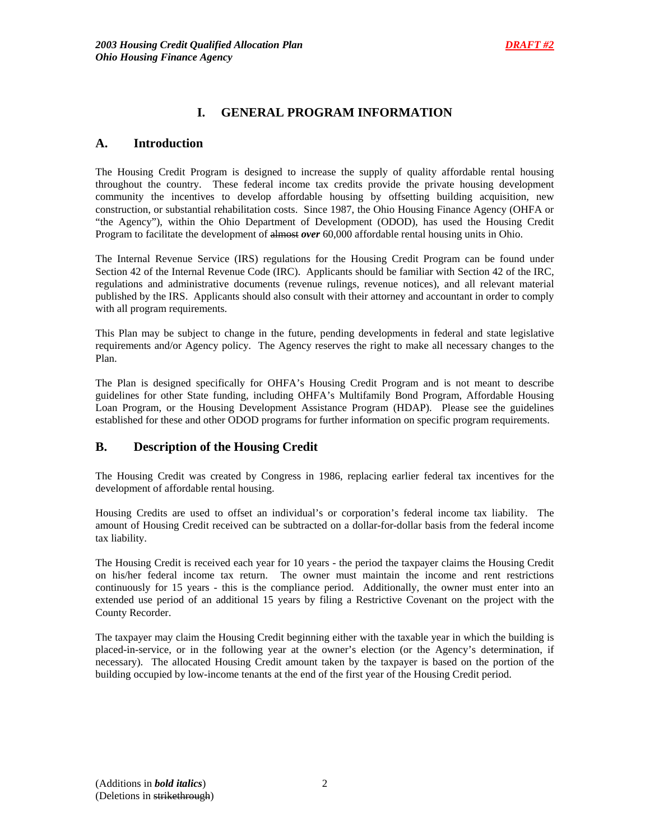## **I. GENERAL PROGRAM INFORMATION**

## **A. Introduction**

The Housing Credit Program is designed to increase the supply of quality affordable rental housing throughout the country. These federal income tax credits provide the private housing development community the incentives to develop affordable housing by offsetting building acquisition, new construction, or substantial rehabilitation costs. Since 1987, the Ohio Housing Finance Agency (OHFA or "the Agency"), within the Ohio Department of Development (ODOD), has used the Housing Credit Program to facilitate the development of almost *over* 60,000 affordable rental housing units in Ohio.

The Internal Revenue Service (IRS) regulations for the Housing Credit Program can be found under Section 42 of the Internal Revenue Code (IRC). Applicants should be familiar with Section 42 of the IRC, regulations and administrative documents (revenue rulings, revenue notices), and all relevant material published by the IRS. Applicants should also consult with their attorney and accountant in order to comply with all program requirements.

This Plan may be subject to change in the future, pending developments in federal and state legislative requirements and/or Agency policy. The Agency reserves the right to make all necessary changes to the Plan.

The Plan is designed specifically for OHFA's Housing Credit Program and is not meant to describe guidelines for other State funding, including OHFA's Multifamily Bond Program, Affordable Housing Loan Program, or the Housing Development Assistance Program (HDAP). Please see the guidelines established for these and other ODOD programs for further information on specific program requirements.

## **B. Description of the Housing Credit**

The Housing Credit was created by Congress in 1986, replacing earlier federal tax incentives for the development of affordable rental housing.

Housing Credits are used to offset an individual's or corporation's federal income tax liability. The amount of Housing Credit received can be subtracted on a dollar-for-dollar basis from the federal income tax liability.

The Housing Credit is received each year for 10 years - the period the taxpayer claims the Housing Credit on his/her federal income tax return. The owner must maintain the income and rent restrictions continuously for 15 years - this is the compliance period. Additionally, the owner must enter into an extended use period of an additional 15 years by filing a Restrictive Covenant on the project with the County Recorder.

The taxpayer may claim the Housing Credit beginning either with the taxable year in which the building is placed-in-service, or in the following year at the owner's election (or the Agency's determination, if necessary). The allocated Housing Credit amount taken by the taxpayer is based on the portion of the building occupied by low-income tenants at the end of the first year of the Housing Credit period.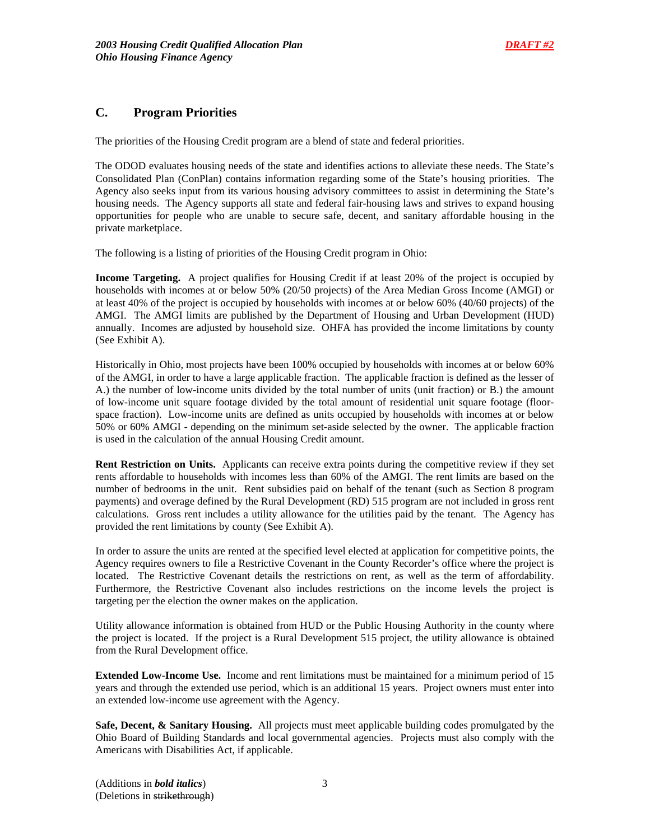## **C. Program Priorities**

The priorities of the Housing Credit program are a blend of state and federal priorities.

The ODOD evaluates housing needs of the state and identifies actions to alleviate these needs. The State's Consolidated Plan (ConPlan) contains information regarding some of the State's housing priorities. The Agency also seeks input from its various housing advisory committees to assist in determining the State's housing needs. The Agency supports all state and federal fair-housing laws and strives to expand housing opportunities for people who are unable to secure safe, decent, and sanitary affordable housing in the private marketplace.

The following is a listing of priorities of the Housing Credit program in Ohio:

**Income Targeting.** A project qualifies for Housing Credit if at least 20% of the project is occupied by households with incomes at or below 50% (20/50 projects) of the Area Median Gross Income (AMGI) or at least 40% of the project is occupied by households with incomes at or below 60% (40/60 projects) of the AMGI. The AMGI limits are published by the Department of Housing and Urban Development (HUD) annually. Incomes are adjusted by household size. OHFA has provided the income limitations by county (See Exhibit A).

Historically in Ohio, most projects have been 100% occupied by households with incomes at or below 60% of the AMGI, in order to have a large applicable fraction. The applicable fraction is defined as the lesser of A.) the number of low-income units divided by the total number of units (unit fraction) or B.) the amount of low-income unit square footage divided by the total amount of residential unit square footage (floorspace fraction). Low-income units are defined as units occupied by households with incomes at or below 50% or 60% AMGI - depending on the minimum set-aside selected by the owner. The applicable fraction is used in the calculation of the annual Housing Credit amount.

**Rent Restriction on Units.** Applicants can receive extra points during the competitive review if they set rents affordable to households with incomes less than 60% of the AMGI. The rent limits are based on the number of bedrooms in the unit. Rent subsidies paid on behalf of the tenant (such as Section 8 program payments) and overage defined by the Rural Development (RD) 515 program are not included in gross rent calculations. Gross rent includes a utility allowance for the utilities paid by the tenant. The Agency has provided the rent limitations by county (See Exhibit A).

In order to assure the units are rented at the specified level elected at application for competitive points, the Agency requires owners to file a Restrictive Covenant in the County Recorder's office where the project is located. The Restrictive Covenant details the restrictions on rent, as well as the term of affordability. Furthermore, the Restrictive Covenant also includes restrictions on the income levels the project is targeting per the election the owner makes on the application.

Utility allowance information is obtained from HUD or the Public Housing Authority in the county where the project is located. If the project is a Rural Development 515 project, the utility allowance is obtained from the Rural Development office.

**Extended Low-Income Use.** Income and rent limitations must be maintained for a minimum period of 15 years and through the extended use period, which is an additional 15 years. Project owners must enter into an extended low-income use agreement with the Agency.

**Safe, Decent, & Sanitary Housing.** All projects must meet applicable building codes promulgated by the Ohio Board of Building Standards and local governmental agencies. Projects must also comply with the Americans with Disabilities Act, if applicable.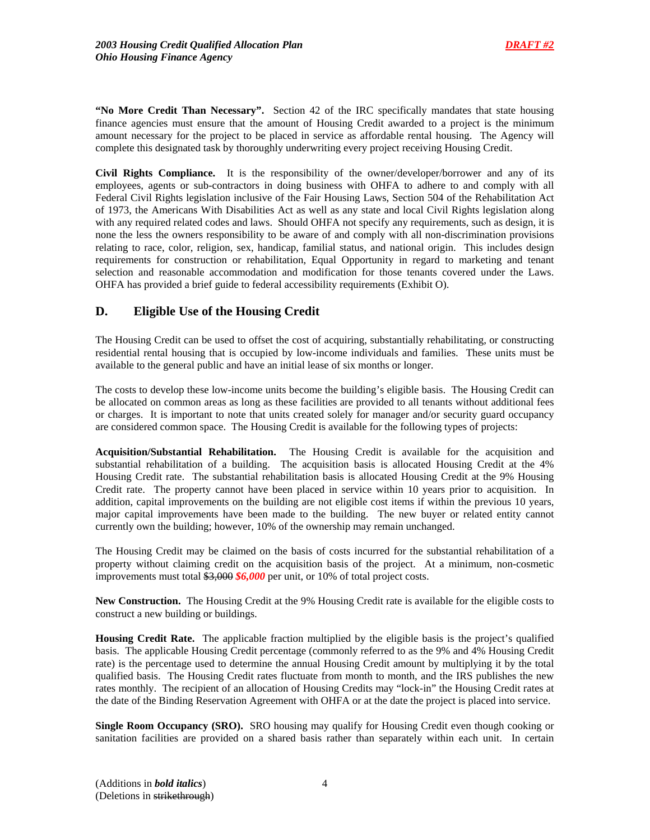**"No More Credit Than Necessary".** Section 42 of the IRC specifically mandates that state housing finance agencies must ensure that the amount of Housing Credit awarded to a project is the minimum amount necessary for the project to be placed in service as affordable rental housing. The Agency will complete this designated task by thoroughly underwriting every project receiving Housing Credit.

**Civil Rights Compliance.** It is the responsibility of the owner/developer/borrower and any of its employees, agents or sub-contractors in doing business with OHFA to adhere to and comply with all Federal Civil Rights legislation inclusive of the Fair Housing Laws, Section 504 of the Rehabilitation Act of 1973, the Americans With Disabilities Act as well as any state and local Civil Rights legislation along with any required related codes and laws. Should OHFA not specify any requirements, such as design, it is none the less the owners responsibility to be aware of and comply with all non-discrimination provisions relating to race, color, religion, sex, handicap, familial status, and national origin. This includes design requirements for construction or rehabilitation, Equal Opportunity in regard to marketing and tenant selection and reasonable accommodation and modification for those tenants covered under the Laws. OHFA has provided a brief guide to federal accessibility requirements (Exhibit O).

## **D. Eligible Use of the Housing Credit**

The Housing Credit can be used to offset the cost of acquiring, substantially rehabilitating, or constructing residential rental housing that is occupied by low-income individuals and families. These units must be available to the general public and have an initial lease of six months or longer.

The costs to develop these low-income units become the building's eligible basis. The Housing Credit can be allocated on common areas as long as these facilities are provided to all tenants without additional fees or charges. It is important to note that units created solely for manager and/or security guard occupancy are considered common space. The Housing Credit is available for the following types of projects:

**Acquisition/Substantial Rehabilitation.** The Housing Credit is available for the acquisition and substantial rehabilitation of a building. The acquisition basis is allocated Housing Credit at the 4% Housing Credit rate. The substantial rehabilitation basis is allocated Housing Credit at the 9% Housing Credit rate. The property cannot have been placed in service within 10 years prior to acquisition. In addition, capital improvements on the building are not eligible cost items if within the previous 10 years, major capital improvements have been made to the building. The new buyer or related entity cannot currently own the building; however, 10% of the ownership may remain unchanged.

The Housing Credit may be claimed on the basis of costs incurred for the substantial rehabilitation of a property without claiming credit on the acquisition basis of the project. At a minimum, non-cosmetic improvements must total \$3,000 *\$6,000* per unit, or 10% of total project costs.

**New Construction.** The Housing Credit at the 9% Housing Credit rate is available for the eligible costs to construct a new building or buildings.

**Housing Credit Rate.** The applicable fraction multiplied by the eligible basis is the project's qualified basis. The applicable Housing Credit percentage (commonly referred to as the 9% and 4% Housing Credit rate) is the percentage used to determine the annual Housing Credit amount by multiplying it by the total qualified basis. The Housing Credit rates fluctuate from month to month, and the IRS publishes the new rates monthly. The recipient of an allocation of Housing Credits may "lock-in" the Housing Credit rates at the date of the Binding Reservation Agreement with OHFA or at the date the project is placed into service.

**Single Room Occupancy (SRO).** SRO housing may qualify for Housing Credit even though cooking or sanitation facilities are provided on a shared basis rather than separately within each unit. In certain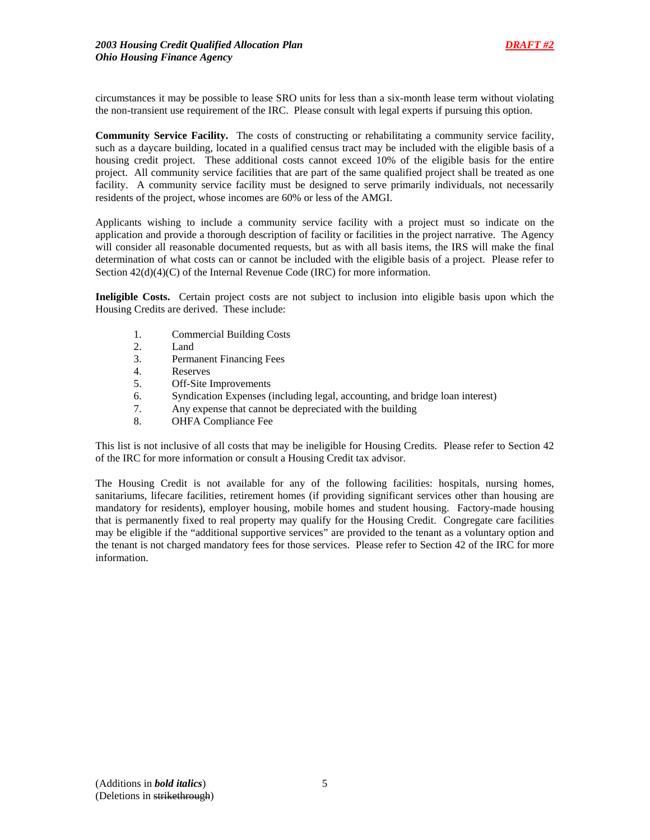circumstances it may be possible to lease SRO units for less than a six-month lease term without violating the non-transient use requirement of the IRC. Please consult with legal experts if pursuing this option.

**Community Service Facility.** The costs of constructing or rehabilitating a community service facility, such as a daycare building, located in a qualified census tract may be included with the eligible basis of a housing credit project. These additional costs cannot exceed 10% of the eligible basis for the entire project. All community service facilities that are part of the same qualified project shall be treated as one facility. A community service facility must be designed to serve primarily individuals, not necessarily residents of the project, whose incomes are 60% or less of the AMGI.

Applicants wishing to include a community service facility with a project must so indicate on the application and provide a thorough description of facility or facilities in the project narrative. The Agency will consider all reasonable documented requests, but as with all basis items, the IRS will make the final determination of what costs can or cannot be included with the eligible basis of a project. Please refer to Section  $42(d)(4)(C)$  of the Internal Revenue Code (IRC) for more information.

**Ineligible Costs.** Certain project costs are not subject to inclusion into eligible basis upon which the Housing Credits are derived. These include:

- 1. Commercial Building Costs
- 2. Land
- 3. Permanent Financing Fees
- 4. Reserves
- 5. Off-Site Improvements
- 6. Syndication Expenses (including legal, accounting, and bridge loan interest)
- 7. Any expense that cannot be depreciated with the building
- 8. OHFA Compliance Fee

This list is not inclusive of all costs that may be ineligible for Housing Credits. Please refer to Section 42 of the IRC for more information or consult a Housing Credit tax advisor.

The Housing Credit is not available for any of the following facilities: hospitals, nursing homes, sanitariums, lifecare facilities, retirement homes (if providing significant services other than housing are mandatory for residents), employer housing, mobile homes and student housing. Factory-made housing that is permanently fixed to real property may qualify for the Housing Credit. Congregate care facilities may be eligible if the "additional supportive services" are provided to the tenant as a voluntary option and the tenant is not charged mandatory fees for those services. Please refer to Section 42 of the IRC for more information.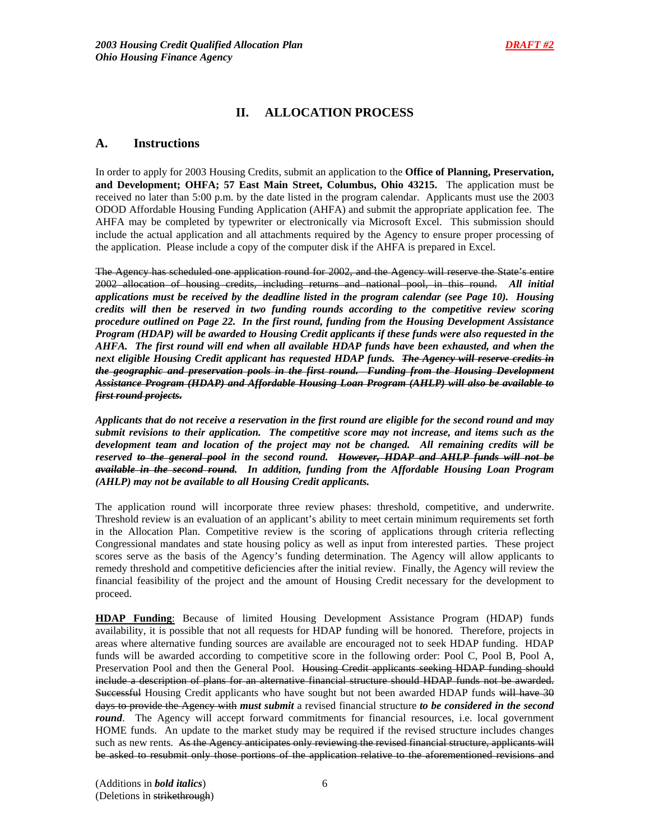# **II. ALLOCATION PROCESS**

## **A. Instructions**

In order to apply for 2003 Housing Credits, submit an application to the **Office of Planning, Preservation, and Development; OHFA; 57 East Main Street, Columbus, Ohio 43215.** The application must be received no later than 5:00 p.m. by the date listed in the program calendar. Applicants must use the 2003 ODOD Affordable Housing Funding Application (AHFA) and submit the appropriate application fee. The AHFA may be completed by typewriter or electronically via Microsoft Excel. This submission should include the actual application and all attachments required by the Agency to ensure proper processing of the application. Please include a copy of the computer disk if the AHFA is prepared in Excel.

The Agency has scheduled one application round for 2002, and the Agency will reserve the State's entire 2002 allocation of housing credits, including returns and national pool, in this round. *All initial applications must be received by the deadline listed in the program calendar (see Page 10). Housing credits will then be reserved in two funding rounds according to the competitive review scoring procedure outlined on Page 22. In the first round, funding from the Housing Development Assistance Program (HDAP) will be awarded to Housing Credit applicants if these funds were also requested in the AHFA. The first round will end when all available HDAP funds have been exhausted, and when the next eligible Housing Credit applicant has requested HDAP funds. The Agency will reserve credits in the geographic and preservation pools in the first round. Funding from the Housing Development Assistance Program (HDAP) and Affordable Housing Loan Program (AHLP) will also be available to first round projects.*

*Applicants that do not receive a reservation in the first round are eligible for the second round and may submit revisions to their application. The competitive score may not increase, and items such as the development team and location of the project may not be changed. All remaining credits will be reserved to the general pool in the second round. However, HDAP and AHLP funds will not be available in the second round. In addition, funding from the Affordable Housing Loan Program (AHLP) may not be available to all Housing Credit applicants.*

The application round will incorporate three review phases: threshold, competitive, and underwrite. Threshold review is an evaluation of an applicant's ability to meet certain minimum requirements set forth in the Allocation Plan. Competitive review is the scoring of applications through criteria reflecting Congressional mandates and state housing policy as well as input from interested parties. These project scores serve as the basis of the Agency's funding determination. The Agency will allow applicants to remedy threshold and competitive deficiencies after the initial review. Finally, the Agency will review the financial feasibility of the project and the amount of Housing Credit necessary for the development to proceed.

**HDAP Funding**: Because of limited Housing Development Assistance Program (HDAP) funds availability, it is possible that not all requests for HDAP funding will be honored. Therefore, projects in areas where alternative funding sources are available are encouraged not to seek HDAP funding. HDAP funds will be awarded according to competitive score in the following order: Pool C, Pool B, Pool A, Preservation Pool and then the General Pool. Housing Credit applicants seeking HDAP funding should include a description of plans for an alternative financial structure should HDAP funds not be awarded. Successful Housing Credit applicants who have sought but not been awarded HDAP funds will have 30 days to provide the Agency with *must submit* a revised financial structure *to be considered in the second round*. The Agency will accept forward commitments for financial resources, i.e. local government HOME funds. An update to the market study may be required if the revised structure includes changes such as new rents. As the Agency anticipates only reviewing the revised financial structure, applicants will be asked to resubmit only those portions of the application relative to the aforementioned revisions and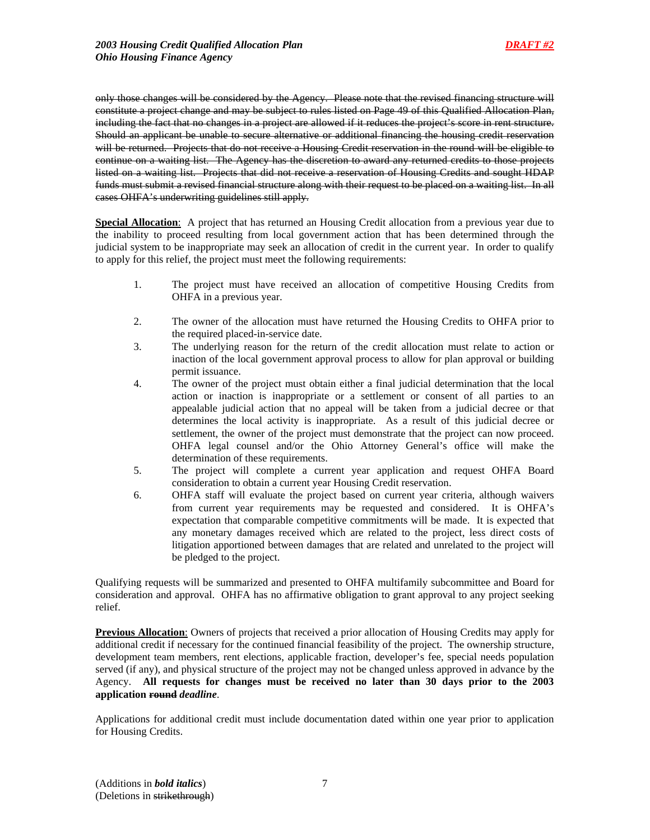only those changes will be considered by the Agency. Please note that the revised financing structure will constitute a project change and may be subject to rules listed on Page 49 of this Qualified Allocation Plan, including the fact that no changes in a project are allowed if it reduces the project's score in rent structure. Should an applicant be unable to secure alternative or additional financing the housing credit reservation will be returned. Projects that do not receive a Housing Credit reservation in the round will be eligible to continue on a waiting list. The Agency has the discretion to award any returned credits to those projects listed on a waiting list. Projects that did not receive a reservation of Housing Credits and sought HDAP funds must submit a revised financial structure along with their request to be placed on a waiting list. In all cases OHFA's underwriting guidelines still apply.

**Special Allocation**: A project that has returned an Housing Credit allocation from a previous year due to the inability to proceed resulting from local government action that has been determined through the judicial system to be inappropriate may seek an allocation of credit in the current year. In order to qualify to apply for this relief, the project must meet the following requirements:

- 1. The project must have received an allocation of competitive Housing Credits from OHFA in a previous year.
- 2. The owner of the allocation must have returned the Housing Credits to OHFA prior to the required placed-in-service date.
- 3. The underlying reason for the return of the credit allocation must relate to action or inaction of the local government approval process to allow for plan approval or building permit issuance.
- 4. The owner of the project must obtain either a final judicial determination that the local action or inaction is inappropriate or a settlement or consent of all parties to an appealable judicial action that no appeal will be taken from a judicial decree or that determines the local activity is inappropriate. As a result of this judicial decree or settlement, the owner of the project must demonstrate that the project can now proceed. OHFA legal counsel and/or the Ohio Attorney General's office will make the determination of these requirements.
- 5. The project will complete a current year application and request OHFA Board consideration to obtain a current year Housing Credit reservation.
- 6. OHFA staff will evaluate the project based on current year criteria, although waivers from current year requirements may be requested and considered. It is OHFA's expectation that comparable competitive commitments will be made. It is expected that any monetary damages received which are related to the project, less direct costs of litigation apportioned between damages that are related and unrelated to the project will be pledged to the project.

Qualifying requests will be summarized and presented to OHFA multifamily subcommittee and Board for consideration and approval. OHFA has no affirmative obligation to grant approval to any project seeking relief.

**Previous Allocation**: Owners of projects that received a prior allocation of Housing Credits may apply for additional credit if necessary for the continued financial feasibility of the project. The ownership structure, development team members, rent elections, applicable fraction, developer's fee, special needs population served (if any), and physical structure of the project may not be changed unless approved in advance by the Agency. **All requests for changes must be received no later than 30 days prior to the 2003 application round** *deadline*.

Applications for additional credit must include documentation dated within one year prior to application for Housing Credits.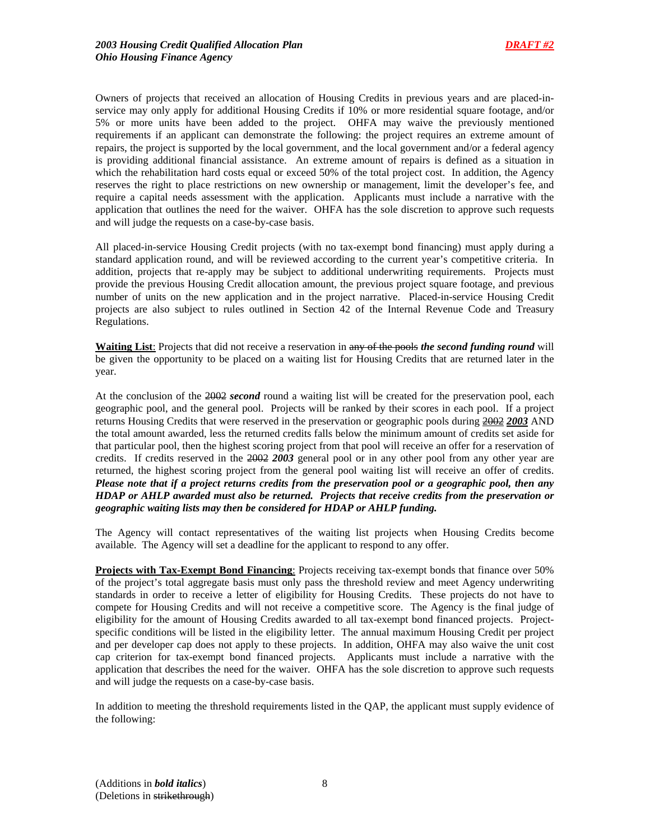Owners of projects that received an allocation of Housing Credits in previous years and are placed-inservice may only apply for additional Housing Credits if 10% or more residential square footage, and/or 5% or more units have been added to the project. OHFA may waive the previously mentioned requirements if an applicant can demonstrate the following: the project requires an extreme amount of repairs, the project is supported by the local government, and the local government and/or a federal agency is providing additional financial assistance. An extreme amount of repairs is defined as a situation in which the rehabilitation hard costs equal or exceed 50% of the total project cost. In addition, the Agency reserves the right to place restrictions on new ownership or management, limit the developer's fee, and require a capital needs assessment with the application. Applicants must include a narrative with the application that outlines the need for the waiver. OHFA has the sole discretion to approve such requests and will judge the requests on a case-by-case basis.

All placed-in-service Housing Credit projects (with no tax-exempt bond financing) must apply during a standard application round, and will be reviewed according to the current year's competitive criteria. In addition, projects that re-apply may be subject to additional underwriting requirements. Projects must provide the previous Housing Credit allocation amount, the previous project square footage, and previous number of units on the new application and in the project narrative. Placed-in-service Housing Credit projects are also subject to rules outlined in Section 42 of the Internal Revenue Code and Treasury Regulations.

**Waiting List**: Projects that did not receive a reservation in any of the pools *the second funding round* will be given the opportunity to be placed on a waiting list for Housing Credits that are returned later in the year.

At the conclusion of the 2002 *second* round a waiting list will be created for the preservation pool, each geographic pool, and the general pool. Projects will be ranked by their scores in each pool. If a project returns Housing Credits that were reserved in the preservation or geographic pools during 2002 *2003* AND the total amount awarded, less the returned credits falls below the minimum amount of credits set aside for that particular pool, then the highest scoring project from that pool will receive an offer for a reservation of credits. If credits reserved in the 2002 *2003* general pool or in any other pool from any other year are returned, the highest scoring project from the general pool waiting list will receive an offer of credits. *Please note that if a project returns credits from the preservation pool or a geographic pool, then any HDAP or AHLP awarded must also be returned. Projects that receive credits from the preservation or geographic waiting lists may then be considered for HDAP or AHLP funding.* 

The Agency will contact representatives of the waiting list projects when Housing Credits become available. The Agency will set a deadline for the applicant to respond to any offer.

**Projects with Tax-Exempt Bond Financing**: Projects receiving tax-exempt bonds that finance over 50% of the project's total aggregate basis must only pass the threshold review and meet Agency underwriting standards in order to receive a letter of eligibility for Housing Credits. These projects do not have to compete for Housing Credits and will not receive a competitive score. The Agency is the final judge of eligibility for the amount of Housing Credits awarded to all tax-exempt bond financed projects. Projectspecific conditions will be listed in the eligibility letter. The annual maximum Housing Credit per project and per developer cap does not apply to these projects. In addition, OHFA may also waive the unit cost cap criterion for tax-exempt bond financed projects. Applicants must include a narrative with the application that describes the need for the waiver. OHFA has the sole discretion to approve such requests and will judge the requests on a case-by-case basis.

In addition to meeting the threshold requirements listed in the QAP, the applicant must supply evidence of the following: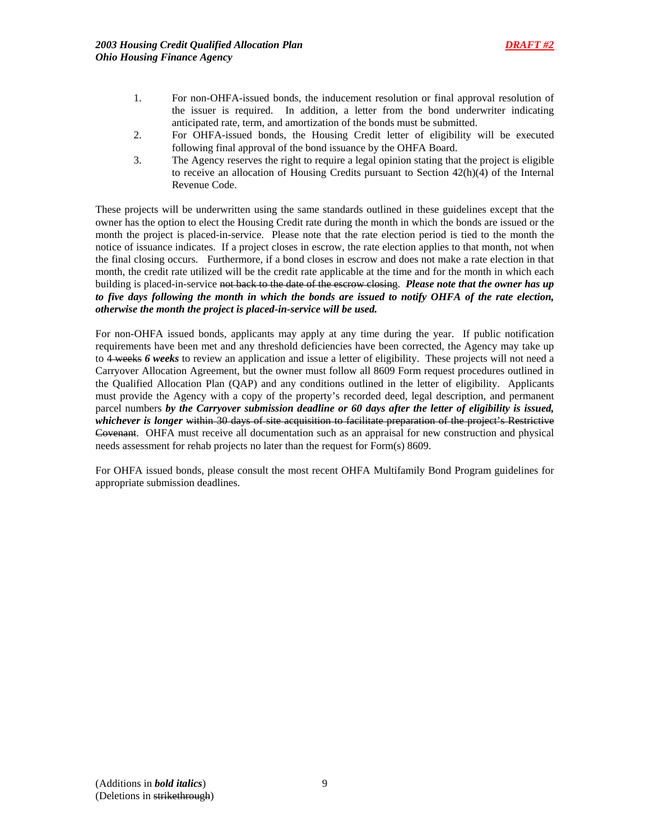- 1. For non-OHFA-issued bonds, the inducement resolution or final approval resolution of the issuer is required. In addition, a letter from the bond underwriter indicating anticipated rate, term, and amortization of the bonds must be submitted.
- 2. For OHFA-issued bonds, the Housing Credit letter of eligibility will be executed following final approval of the bond issuance by the OHFA Board.
- 3. The Agency reserves the right to require a legal opinion stating that the project is eligible to receive an allocation of Housing Credits pursuant to Section 42(h)(4) of the Internal Revenue Code.

These projects will be underwritten using the same standards outlined in these guidelines except that the owner has the option to elect the Housing Credit rate during the month in which the bonds are issued or the month the project is placed-in-service. Please note that the rate election period is tied to the month the notice of issuance indicates. If a project closes in escrow, the rate election applies to that month, not when the final closing occurs. Furthermore, if a bond closes in escrow and does not make a rate election in that month, the credit rate utilized will be the credit rate applicable at the time and for the month in which each building is placed-in-service not back to the date of the escrow closing. *Please note that the owner has up to five days following the month in which the bonds are issued to notify OHFA of the rate election, otherwise the month the project is placed-in-service will be used.*

For non-OHFA issued bonds, applicants may apply at any time during the year. If public notification requirements have been met and any threshold deficiencies have been corrected, the Agency may take up to 4 weeks *6 weeks* to review an application and issue a letter of eligibility. These projects will not need a Carryover Allocation Agreement, but the owner must follow all 8609 Form request procedures outlined in the Qualified Allocation Plan (QAP) and any conditions outlined in the letter of eligibility. Applicants must provide the Agency with a copy of the property's recorded deed, legal description, and permanent parcel numbers *by the Carryover submission deadline or 60 days after the letter of eligibility is issued, whichever is longer* within 30 days of site acquisition to facilitate preparation of the project's Restrictive Covenant. OHFA must receive all documentation such as an appraisal for new construction and physical needs assessment for rehab projects no later than the request for Form(s) 8609.

For OHFA issued bonds, please consult the most recent OHFA Multifamily Bond Program guidelines for appropriate submission deadlines.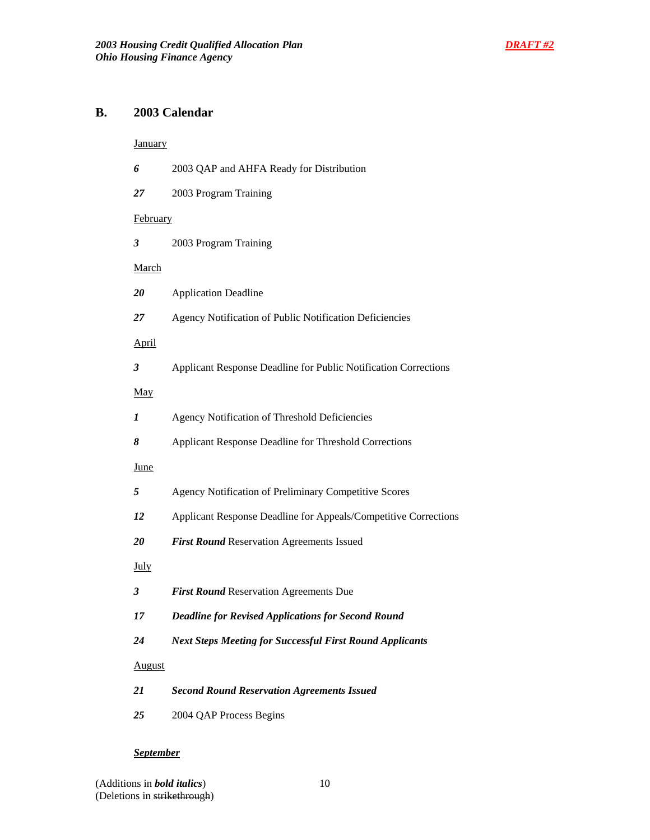# **B. 2003 Calendar**

## **January**

| 6             | 2003 QAP and AHFA Ready for Distribution                        |
|---------------|-----------------------------------------------------------------|
| 27            | 2003 Program Training                                           |
| February      |                                                                 |
| 3             | 2003 Program Training                                           |
| <b>March</b>  |                                                                 |
| 20            | <b>Application Deadline</b>                                     |
| 27            | Agency Notification of Public Notification Deficiencies         |
| <u>April</u>  |                                                                 |
| 3             | Applicant Response Deadline for Public Notification Corrections |
| <u>May</u>    |                                                                 |
| 1             | Agency Notification of Threshold Deficiencies                   |
| 8             | Applicant Response Deadline for Threshold Corrections           |
| <u>June</u>   |                                                                 |
| 5             | Agency Notification of Preliminary Competitive Scores           |
| 12            | Applicant Response Deadline for Appeals/Competitive Corrections |
| 20            | First Round Reservation Agreements Issued                       |
| <u>July</u>   |                                                                 |
| 3             | First Round Reservation Agreements Due                          |
| 17            | <b>Deadline for Revised Applications for Second Round</b>       |
| 24            | <b>Next Steps Meeting for Successful First Round Applicants</b> |
| <u>August</u> |                                                                 |
| 21            | <b>Second Round Reservation Agreements Issued</b>               |
| 25            | 2004 QAP Process Begins                                         |
|               |                                                                 |

# *September*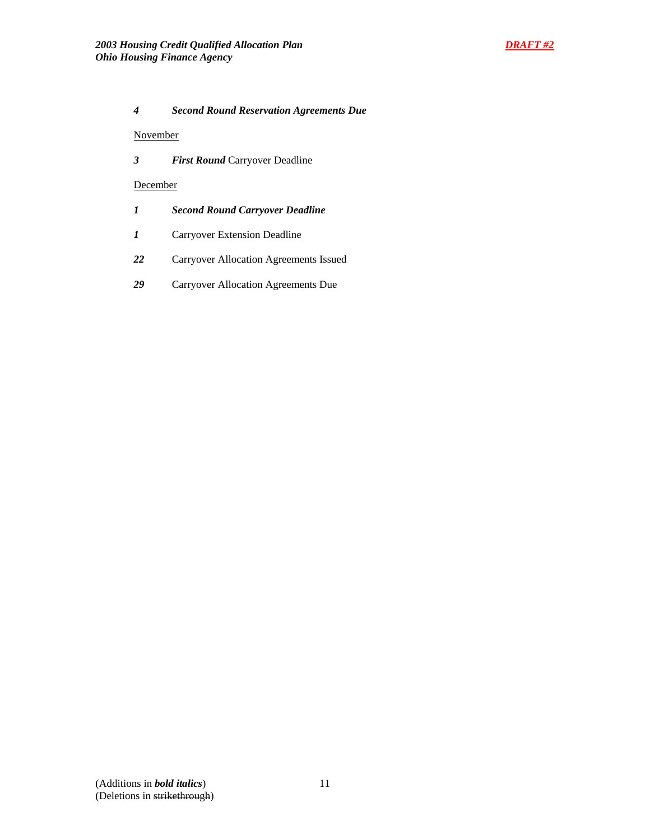

## *4 Second Round Reservation Agreements Due*

## November

*3 First Round* Carryover Deadline

## **December**

- *1 Second Round Carryover Deadline*
- *1* Carryover Extension Deadline
- *22* Carryover Allocation Agreements Issued
- *29* Carryover Allocation Agreements Due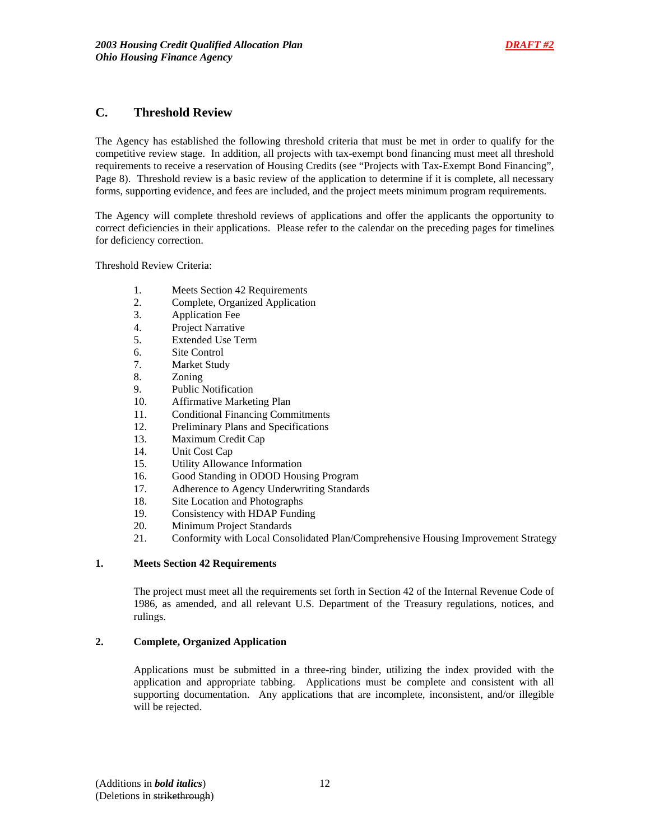

## **C. Threshold Review**

The Agency has established the following threshold criteria that must be met in order to qualify for the competitive review stage. In addition, all projects with tax-exempt bond financing must meet all threshold requirements to receive a reservation of Housing Credits (see "Projects with Tax-Exempt Bond Financing", Page 8). Threshold review is a basic review of the application to determine if it is complete, all necessary forms, supporting evidence, and fees are included, and the project meets minimum program requirements.

The Agency will complete threshold reviews of applications and offer the applicants the opportunity to correct deficiencies in their applications. Please refer to the calendar on the preceding pages for timelines for deficiency correction.

Threshold Review Criteria:

- 1. Meets Section 42 Requirements
- 2. Complete, Organized Application
- 3. Application Fee
- 4. Project Narrative
- 5. Extended Use Term
- 6. Site Control
- 7. Market Study
- 8. Zoning
- 9. Public Notification
- 10. Affirmative Marketing Plan
- 11. Conditional Financing Commitments
- 12. Preliminary Plans and Specifications
- 13. Maximum Credit Cap
- 14. Unit Cost Cap
- 15. Utility Allowance Information
- 16. Good Standing in ODOD Housing Program
- 17. Adherence to Agency Underwriting Standards
- 18. Site Location and Photographs
- 19. Consistency with HDAP Funding
- 20. Minimum Project Standards
- 21. Conformity with Local Consolidated Plan/Comprehensive Housing Improvement Strategy

#### **1. Meets Section 42 Requirements**

 The project must meet all the requirements set forth in Section 42 of the Internal Revenue Code of 1986, as amended, and all relevant U.S. Department of the Treasury regulations, notices, and rulings.

## **2. Complete, Organized Application**

Applications must be submitted in a three-ring binder, utilizing the index provided with the application and appropriate tabbing. Applications must be complete and consistent with all supporting documentation. Any applications that are incomplete, inconsistent, and/or illegible will be rejected.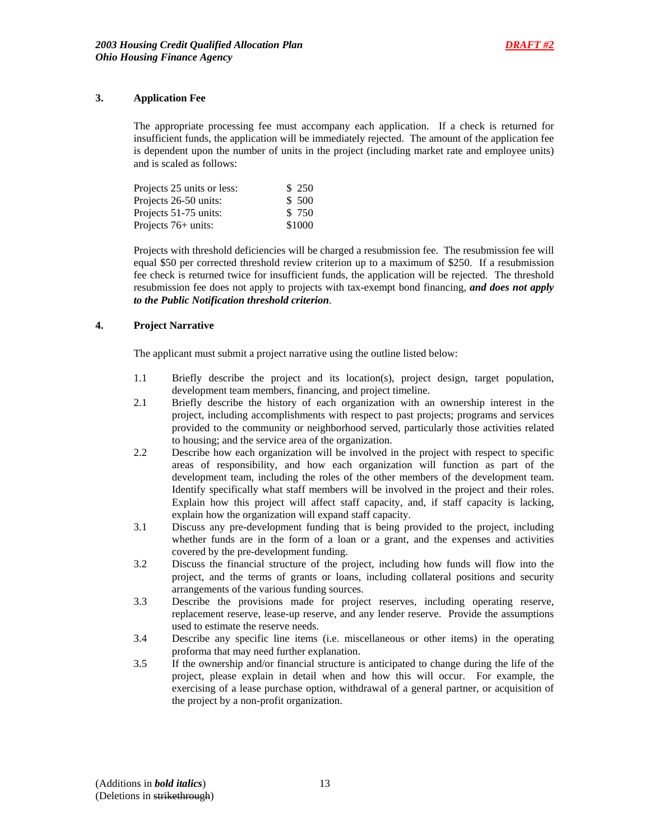## **3. Application Fee**

The appropriate processing fee must accompany each application. If a check is returned for insufficient funds, the application will be immediately rejected. The amount of the application fee is dependent upon the number of units in the project (including market rate and employee units) and is scaled as follows:

| Projects 25 units or less: | \$ 250 |
|----------------------------|--------|
| Projects 26-50 units:      | \$ 500 |
| Projects 51-75 units:      | \$ 750 |
| Projects $76+$ units:      | \$1000 |

Projects with threshold deficiencies will be charged a resubmission fee. The resubmission fee will equal \$50 per corrected threshold review criterion up to a maximum of \$250. If a resubmission fee check is returned twice for insufficient funds, the application will be rejected. The threshold resubmission fee does not apply to projects with tax-exempt bond financing, *and does not apply to the Public Notification threshold criterion*.

## **4. Project Narrative**

The applicant must submit a project narrative using the outline listed below:

- 1.1 Briefly describe the project and its location(s), project design, target population, development team members, financing, and project timeline.
- 2.1 Briefly describe the history of each organization with an ownership interest in the project, including accomplishments with respect to past projects; programs and services provided to the community or neighborhood served, particularly those activities related to housing; and the service area of the organization.
- 2.2 Describe how each organization will be involved in the project with respect to specific areas of responsibility, and how each organization will function as part of the development team, including the roles of the other members of the development team. Identify specifically what staff members will be involved in the project and their roles. Explain how this project will affect staff capacity, and, if staff capacity is lacking, explain how the organization will expand staff capacity.
- 3.1 Discuss any pre-development funding that is being provided to the project, including whether funds are in the form of a loan or a grant, and the expenses and activities covered by the pre-development funding.
- 3.2 Discuss the financial structure of the project, including how funds will flow into the project, and the terms of grants or loans, including collateral positions and security arrangements of the various funding sources.
- 3.3 Describe the provisions made for project reserves, including operating reserve, replacement reserve, lease-up reserve, and any lender reserve. Provide the assumptions used to estimate the reserve needs.
- 3.4 Describe any specific line items (i.e. miscellaneous or other items) in the operating proforma that may need further explanation.
- 3.5 If the ownership and/or financial structure is anticipated to change during the life of the project, please explain in detail when and how this will occur. For example, the exercising of a lease purchase option, withdrawal of a general partner, or acquisition of the project by a non-profit organization.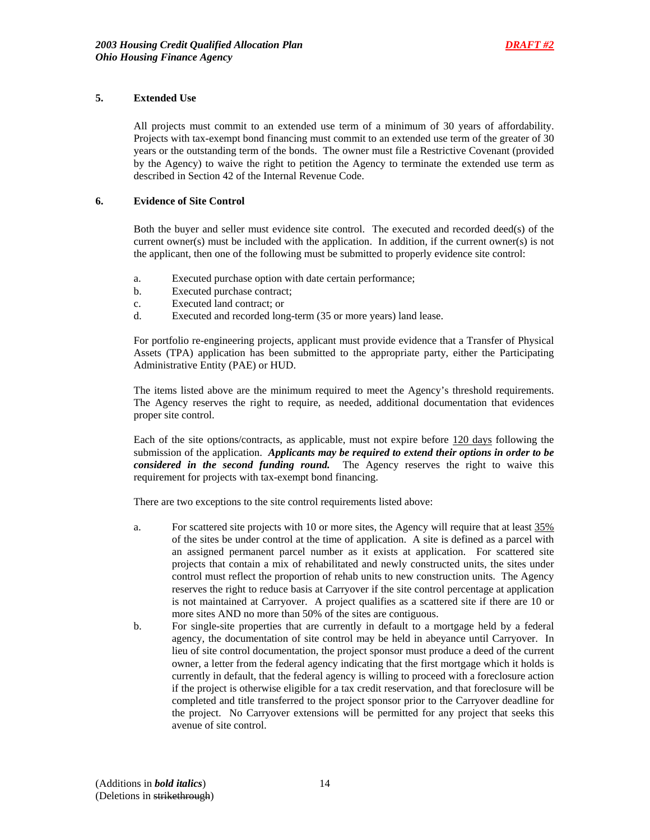## **5. Extended Use**

All projects must commit to an extended use term of a minimum of 30 years of affordability. Projects with tax-exempt bond financing must commit to an extended use term of the greater of 30 years or the outstanding term of the bonds. The owner must file a Restrictive Covenant (provided by the Agency) to waive the right to petition the Agency to terminate the extended use term as described in Section 42 of the Internal Revenue Code.

## **6. Evidence of Site Control**

Both the buyer and seller must evidence site control. The executed and recorded deed(s) of the current owner(s) must be included with the application. In addition, if the current owner(s) is not the applicant, then one of the following must be submitted to properly evidence site control:

- a. Executed purchase option with date certain performance;
- b. Executed purchase contract;
- c. Executed land contract; or
- d. Executed and recorded long-term (35 or more years) land lease.

For portfolio re-engineering projects, applicant must provide evidence that a Transfer of Physical Assets (TPA) application has been submitted to the appropriate party, either the Participating Administrative Entity (PAE) or HUD.

The items listed above are the minimum required to meet the Agency's threshold requirements. The Agency reserves the right to require, as needed, additional documentation that evidences proper site control.

Each of the site options/contracts, as applicable, must not expire before 120 days following the submission of the application. *Applicants may be required to extend their options in order to be considered in the second funding round.* The Agency reserves the right to waive this requirement for projects with tax-exempt bond financing.

There are two exceptions to the site control requirements listed above:

- a. For scattered site projects with 10 or more sites, the Agency will require that at least 35% of the sites be under control at the time of application. A site is defined as a parcel with an assigned permanent parcel number as it exists at application. For scattered site projects that contain a mix of rehabilitated and newly constructed units, the sites under control must reflect the proportion of rehab units to new construction units. The Agency reserves the right to reduce basis at Carryover if the site control percentage at application is not maintained at Carryover. A project qualifies as a scattered site if there are 10 or more sites AND no more than 50% of the sites are contiguous.
- b. For single-site properties that are currently in default to a mortgage held by a federal agency, the documentation of site control may be held in abeyance until Carryover. In lieu of site control documentation, the project sponsor must produce a deed of the current owner, a letter from the federal agency indicating that the first mortgage which it holds is currently in default, that the federal agency is willing to proceed with a foreclosure action if the project is otherwise eligible for a tax credit reservation, and that foreclosure will be completed and title transferred to the project sponsor prior to the Carryover deadline for the project. No Carryover extensions will be permitted for any project that seeks this avenue of site control.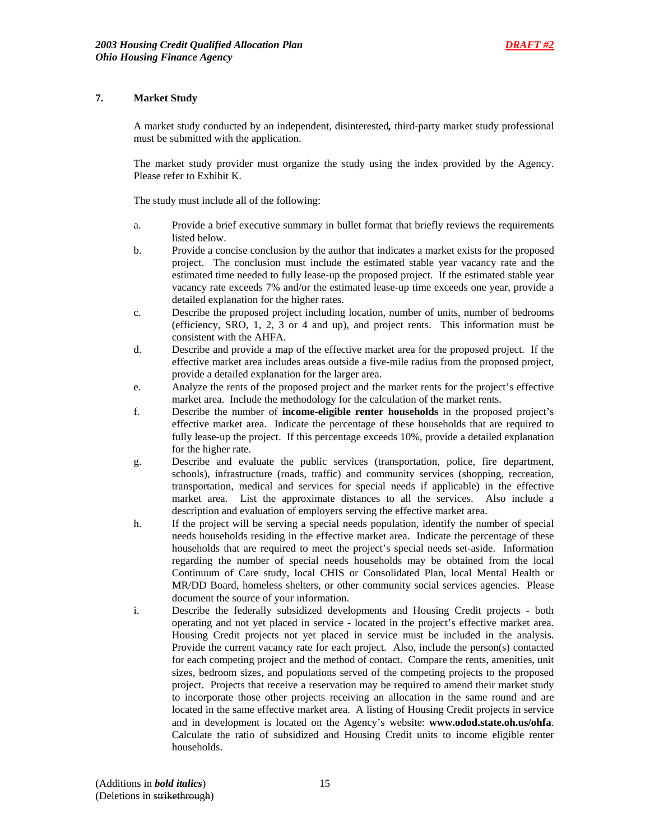## **7. Market Study**

A market study conducted by an independent, disinterested*,* third-party market study professional must be submitted with the application.

The market study provider must organize the study using the index provided by the Agency. Please refer to Exhibit K.

The study must include all of the following:

- a. Provide a brief executive summary in bullet format that briefly reviews the requirements listed below.
- b. Provide a concise conclusion by the author that indicates a market exists for the proposed project. The conclusion must include the estimated stable year vacancy rate and the estimated time needed to fully lease-up the proposed project. If the estimated stable year vacancy rate exceeds 7% and/or the estimated lease-up time exceeds one year, provide a detailed explanation for the higher rates.
- c. Describe the proposed project including location, number of units, number of bedrooms (efficiency, SRO, 1, 2, 3 or 4 and up), and project rents. This information must be consistent with the AHFA.
- d. Describe and provide a map of the effective market area for the proposed project. If the effective market area includes areas outside a five-mile radius from the proposed project, provide a detailed explanation for the larger area.
- e. Analyze the rents of the proposed project and the market rents for the project's effective market area. Include the methodology for the calculation of the market rents.
- f. Describe the number of **income-eligible renter households** in the proposed project's effective market area. Indicate the percentage of these households that are required to fully lease-up the project. If this percentage exceeds 10%, provide a detailed explanation for the higher rate.
- g. Describe and evaluate the public services (transportation, police, fire department, schools), infrastructure (roads, traffic) and community services (shopping, recreation, transportation, medical and services for special needs if applicable) in the effective market area. List the approximate distances to all the services. Also include a description and evaluation of employers serving the effective market area.
- h. If the project will be serving a special needs population, identify the number of special needs households residing in the effective market area. Indicate the percentage of these households that are required to meet the project's special needs set-aside. Information regarding the number of special needs households may be obtained from the local Continuum of Care study, local CHIS or Consolidated Plan, local Mental Health or MR/DD Board, homeless shelters, or other community social services agencies. Please document the source of your information.
- i. Describe the federally subsidized developments and Housing Credit projects both operating and not yet placed in service - located in the project's effective market area. Housing Credit projects not yet placed in service must be included in the analysis. Provide the current vacancy rate for each project. Also, include the person(s) contacted for each competing project and the method of contact. Compare the rents, amenities, unit sizes, bedroom sizes, and populations served of the competing projects to the proposed project. Projects that receive a reservation may be required to amend their market study to incorporate those other projects receiving an allocation in the same round and are located in the same effective market area. A listing of Housing Credit projects in service and in development is located on the Agency's website: **www.odod.state.oh.us/ohfa**. Calculate the ratio of subsidized and Housing Credit units to income eligible renter households.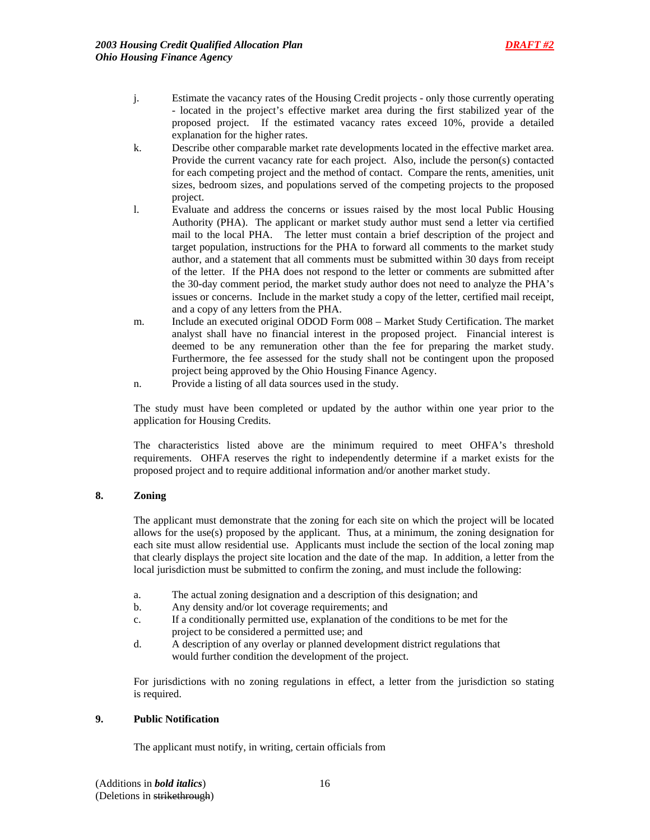- j. Estimate the vacancy rates of the Housing Credit projects only those currently operating - located in the project's effective market area during the first stabilized year of the proposed project. If the estimated vacancy rates exceed 10%, provide a detailed explanation for the higher rates.
- k. Describe other comparable market rate developments located in the effective market area. Provide the current vacancy rate for each project. Also, include the person(s) contacted for each competing project and the method of contact. Compare the rents, amenities, unit sizes, bedroom sizes, and populations served of the competing projects to the proposed project.
- l. Evaluate and address the concerns or issues raised by the most local Public Housing Authority (PHA). The applicant or market study author must send a letter via certified mail to the local PHA. The letter must contain a brief description of the project and target population, instructions for the PHA to forward all comments to the market study author, and a statement that all comments must be submitted within 30 days from receipt of the letter. If the PHA does not respond to the letter or comments are submitted after the 30-day comment period, the market study author does not need to analyze the PHA's issues or concerns. Include in the market study a copy of the letter, certified mail receipt, and a copy of any letters from the PHA.
- m. Include an executed original ODOD Form 008 Market Study Certification. The market analyst shall have no financial interest in the proposed project. Financial interest is deemed to be any remuneration other than the fee for preparing the market study. Furthermore, the fee assessed for the study shall not be contingent upon the proposed project being approved by the Ohio Housing Finance Agency.
- n. Provide a listing of all data sources used in the study.

The study must have been completed or updated by the author within one year prior to the application for Housing Credits.

The characteristics listed above are the minimum required to meet OHFA's threshold requirements. OHFA reserves the right to independently determine if a market exists for the proposed project and to require additional information and/or another market study.

## **8. Zoning**

The applicant must demonstrate that the zoning for each site on which the project will be located allows for the use(s) proposed by the applicant. Thus, at a minimum, the zoning designation for each site must allow residential use. Applicants must include the section of the local zoning map that clearly displays the project site location and the date of the map. In addition, a letter from the local jurisdiction must be submitted to confirm the zoning, and must include the following:

- a. The actual zoning designation and a description of this designation; and
- b. Any density and/or lot coverage requirements; and
- c. If a conditionally permitted use, explanation of the conditions to be met for the project to be considered a permitted use; and
- d. A description of any overlay or planned development district regulations that would further condition the development of the project.

 For jurisdictions with no zoning regulations in effect, a letter from the jurisdiction so stating is required.

## **9. Public Notification**

The applicant must notify, in writing, certain officials from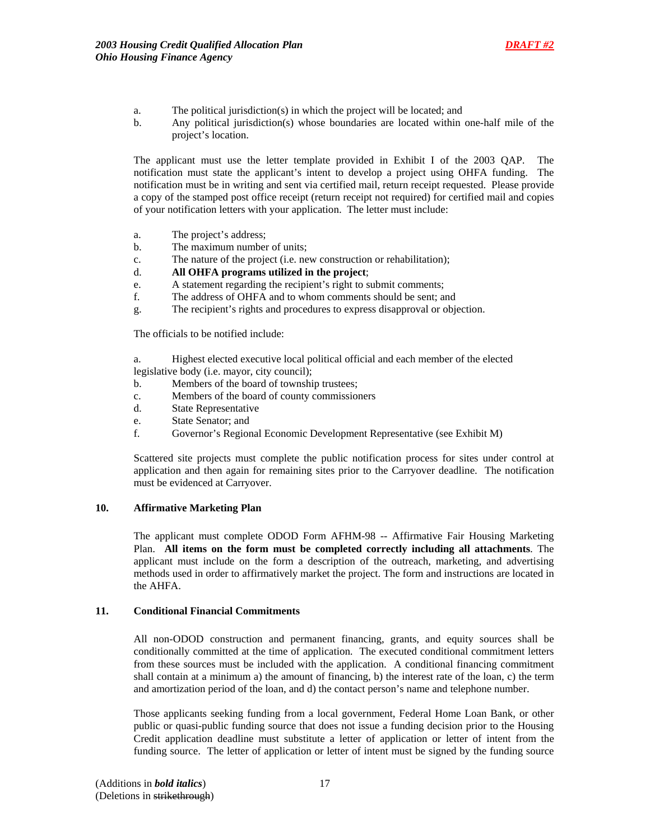

- a. The political jurisdiction(s) in which the project will be located; and
- b. Any political jurisdiction(s) whose boundaries are located within one-half mile of the project's location.

 The applicant must use the letter template provided in Exhibit I of the 2003 QAP.The notification must state the applicant's intent to develop a project using OHFA funding. The notification must be in writing and sent via certified mail, return receipt requested. Please provide a copy of the stamped post office receipt (return receipt not required) for certified mail and copies of your notification letters with your application. The letter must include:

- a. The project's address;
- b. The maximum number of units;
- c. The nature of the project (i.e. new construction or rehabilitation);
- d. **All OHFA programs utilized in the project**;
- e. A statement regarding the recipient's right to submit comments;
- f. The address of OHFA and to whom comments should be sent; and
- g. The recipient's rights and procedures to express disapproval or objection.

The officials to be notified include:

 a. Highest elected executive local political official and each member of the elected legislative body (i.e. mayor, city council);

- b. Members of the board of township trustees;
- c. Members of the board of county commissioners
- d. State Representative
- e. State Senator; and
- f. Governor's Regional Economic Development Representative (see Exhibit M)

Scattered site projects must complete the public notification process for sites under control at application and then again for remaining sites prior to the Carryover deadline. The notification must be evidenced at Carryover.

## **10. Affirmative Marketing Plan**

The applicant must complete ODOD Form AFHM-98 -- Affirmative Fair Housing Marketing Plan. **All items on the form must be completed correctly including all attachments**. The applicant must include on the form a description of the outreach, marketing, and advertising methods used in order to affirmatively market the project. The form and instructions are located in the AHFA.

## **11. Conditional Financial Commitments**

All non-ODOD construction and permanent financing, grants, and equity sources shall be conditionally committed at the time of application. The executed conditional commitment letters from these sources must be included with the application. A conditional financing commitment shall contain at a minimum a) the amount of financing, b) the interest rate of the loan, c) the term and amortization period of the loan, and d) the contact person's name and telephone number.

Those applicants seeking funding from a local government, Federal Home Loan Bank, or other public or quasi-public funding source that does not issue a funding decision prior to the Housing Credit application deadline must substitute a letter of application or letter of intent from the funding source. The letter of application or letter of intent must be signed by the funding source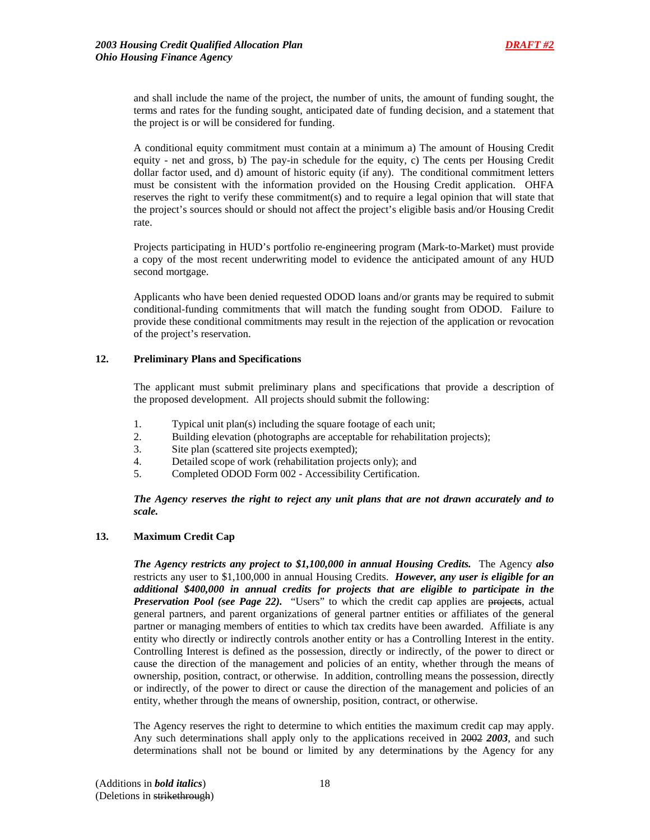and shall include the name of the project, the number of units, the amount of funding sought, the terms and rates for the funding sought, anticipated date of funding decision, and a statement that the project is or will be considered for funding.

A conditional equity commitment must contain at a minimum a) The amount of Housing Credit equity - net and gross, b) The pay-in schedule for the equity, c) The cents per Housing Credit dollar factor used, and d) amount of historic equity (if any). The conditional commitment letters must be consistent with the information provided on the Housing Credit application. OHFA reserves the right to verify these commitment(s) and to require a legal opinion that will state that the project's sources should or should not affect the project's eligible basis and/or Housing Credit rate.

Projects participating in HUD's portfolio re-engineering program (Mark-to-Market) must provide a copy of the most recent underwriting model to evidence the anticipated amount of any HUD second mortgage.

Applicants who have been denied requested ODOD loans and/or grants may be required to submit conditional-funding commitments that will match the funding sought from ODOD. Failure to provide these conditional commitments may result in the rejection of the application or revocation of the project's reservation.

## **12. Preliminary Plans and Specifications**

 The applicant must submit preliminary plans and specifications that provide a description of the proposed development. All projects should submit the following:

- 1. Typical unit plan(s) including the square footage of each unit;
- 2. Building elevation (photographs are acceptable for rehabilitation projects);
- 3. Site plan (scattered site projects exempted);
- 4. Detailed scope of work (rehabilitation projects only); and
- 5. Completed ODOD Form 002 Accessibility Certification.

*The Agency reserves the right to reject any unit plans that are not drawn accurately and to scale.*

## **13. Maximum Credit Cap**

*The Agency restricts any project to \$1,100,000 in annual Housing Credits.* The Agency *also* restricts any user to \$1,100,000 in annual Housing Credits. *However, any user is eligible for an additional \$400,000 in annual credits for projects that are eligible to participate in the Preservation Pool (see Page 22).* "Users" to which the credit cap applies are projects, actual general partners, and parent organizations of general partner entities or affiliates of the general partner or managing members of entities to which tax credits have been awarded. Affiliate is any entity who directly or indirectly controls another entity or has a Controlling Interest in the entity. Controlling Interest is defined as the possession, directly or indirectly, of the power to direct or cause the direction of the management and policies of an entity, whether through the means of ownership, position, contract, or otherwise. In addition, controlling means the possession, directly or indirectly, of the power to direct or cause the direction of the management and policies of an entity, whether through the means of ownership, position, contract, or otherwise.

The Agency reserves the right to determine to which entities the maximum credit cap may apply. Any such determinations shall apply only to the applications received in 2002 *2003*, and such determinations shall not be bound or limited by any determinations by the Agency for any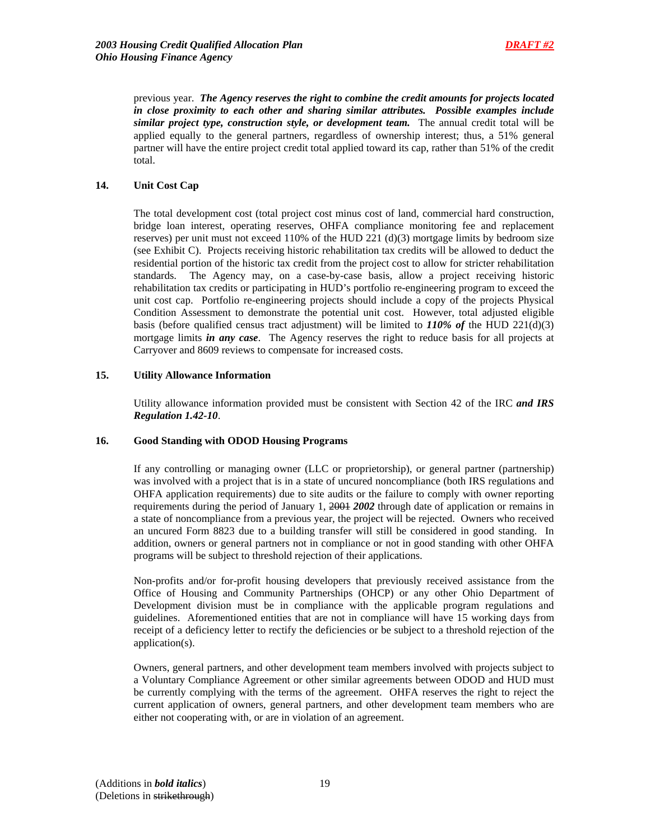previous year. *The Agency reserves the right to combine the credit amounts for projects located in close proximity to each other and sharing similar attributes. Possible examples include similar project type, construction style, or development team.* The annual credit total will be applied equally to the general partners, regardless of ownership interest; thus, a 51% general partner will have the entire project credit total applied toward its cap, rather than 51% of the credit total.

## **14. Unit Cost Cap**

 The total development cost (total project cost minus cost of land, commercial hard construction, bridge loan interest, operating reserves, OHFA compliance monitoring fee and replacement reserves) per unit must not exceed  $110\%$  of the HUD 221 (d)(3) mortgage limits by bedroom size (see Exhibit C). Projects receiving historic rehabilitation tax credits will be allowed to deduct the residential portion of the historic tax credit from the project cost to allow for stricter rehabilitation standards. The Agency may, on a case-by-case basis, allow a project receiving historic rehabilitation tax credits or participating in HUD's portfolio re-engineering program to exceed the unit cost cap. Portfolio re-engineering projects should include a copy of the projects Physical Condition Assessment to demonstrate the potential unit cost. However, total adjusted eligible basis (before qualified census tract adjustment) will be limited to *110% of* the HUD 221(d)(3) mortgage limits *in any case*. The Agency reserves the right to reduce basis for all projects at Carryover and 8609 reviews to compensate for increased costs.

## **15. Utility Allowance Information**

Utility allowance information provided must be consistent with Section 42 of the IRC *and IRS Regulation 1.42-10*.

## **16. Good Standing with ODOD Housing Programs**

If any controlling or managing owner (LLC or proprietorship), or general partner (partnership) was involved with a project that is in a state of uncured noncompliance (both IRS regulations and OHFA application requirements) due to site audits or the failure to comply with owner reporting requirements during the period of January 1, 2001 *2002* through date of application or remains in a state of noncompliance from a previous year, the project will be rejected. Owners who received an uncured Form 8823 due to a building transfer will still be considered in good standing. In addition, owners or general partners not in compliance or not in good standing with other OHFA programs will be subject to threshold rejection of their applications.

Non-profits and/or for-profit housing developers that previously received assistance from the Office of Housing and Community Partnerships (OHCP) or any other Ohio Department of Development division must be in compliance with the applicable program regulations and guidelines. Aforementioned entities that are not in compliance will have 15 working days from receipt of a deficiency letter to rectify the deficiencies or be subject to a threshold rejection of the application(s).

Owners, general partners, and other development team members involved with projects subject to a Voluntary Compliance Agreement or other similar agreements between ODOD and HUD must be currently complying with the terms of the agreement. OHFA reserves the right to reject the current application of owners, general partners, and other development team members who are either not cooperating with, or are in violation of an agreement.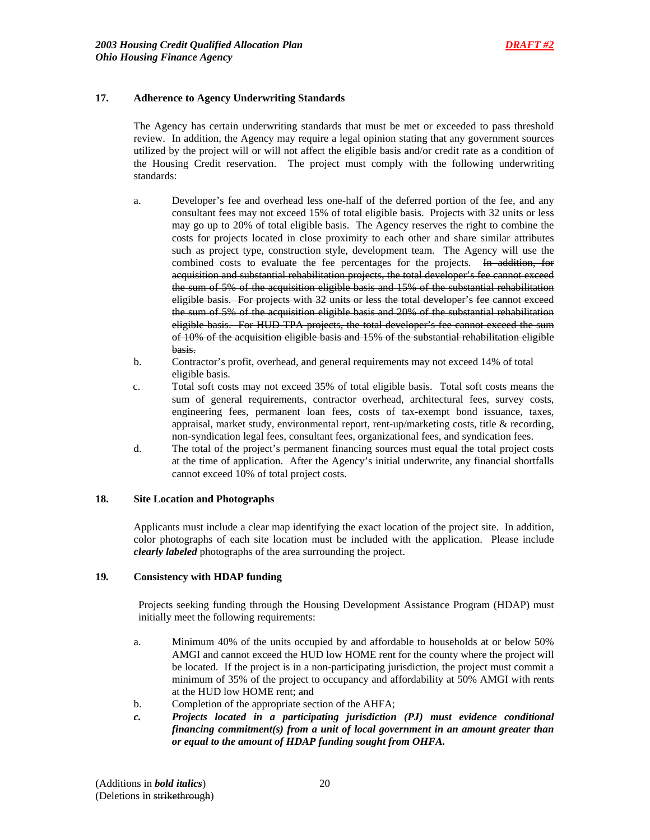## **17. Adherence to Agency Underwriting Standards**

 The Agency has certain underwriting standards that must be met or exceeded to pass threshold review. In addition, the Agency may require a legal opinion stating that any government sources utilized by the project will or will not affect the eligible basis and/or credit rate as a condition of the Housing Credit reservation. The project must comply with the following underwriting standards:

- a. Developer's fee and overhead less one-half of the deferred portion of the fee, and any consultant fees may not exceed 15% of total eligible basis. Projects with 32 units or less may go up to 20% of total eligible basis. The Agency reserves the right to combine the costs for projects located in close proximity to each other and share similar attributes such as project type, construction style, development team. The Agency will use the combined costs to evaluate the fee percentages for the projects. In addition, for acquisition and substantial rehabilitation projects, the total developer's fee cannot exceed the sum of 5% of the acquisition eligible basis and 15% of the substantial rehabilitation eligible basis. For projects with 32 units or less the total developer's fee cannot exceed the sum of 5% of the acquisition eligible basis and 20% of the substantial rehabilitation eligible basis. For HUD-TPA projects, the total developer's fee cannot exceed the sum of 10% of the acquisition eligible basis and 15% of the substantial rehabilitation eligible basis.
- b. Contractor's profit, overhead, and general requirements may not exceed 14% of total eligible basis.
- c. Total soft costs may not exceed 35% of total eligible basis. Total soft costs means the sum of general requirements, contractor overhead, architectural fees, survey costs, engineering fees, permanent loan fees, costs of tax-exempt bond issuance, taxes, appraisal, market study, environmental report, rent-up/marketing costs, title & recording, non-syndication legal fees, consultant fees, organizational fees, and syndication fees.
- d. The total of the project's permanent financing sources must equal the total project costs at the time of application. After the Agency's initial underwrite, any financial shortfalls cannot exceed 10% of total project costs.

### **18. Site Location and Photographs**

Applicants must include a clear map identifying the exact location of the project site. In addition, color photographs of each site location must be included with the application. Please include *clearly labeled* photographs of the area surrounding the project.

### **19***.* **Consistency with HDAP funding**

Projects seeking funding through the Housing Development Assistance Program (HDAP) must initially meet the following requirements:

- a. Minimum 40% of the units occupied by and affordable to households at or below 50% AMGI and cannot exceed the HUD low HOME rent for the county where the project will be located. If the project is in a non-participating jurisdiction, the project must commit a minimum of 35% of the project to occupancy and affordability at 50% AMGI with rents at the HUD low HOME rent; and
- b. Completion of the appropriate section of the AHFA;
- *c. Projects located in a participating jurisdiction (PJ) must evidence conditional financing commitment(s) from a unit of local government in an amount greater than or equal to the amount of HDAP funding sought from OHFA.*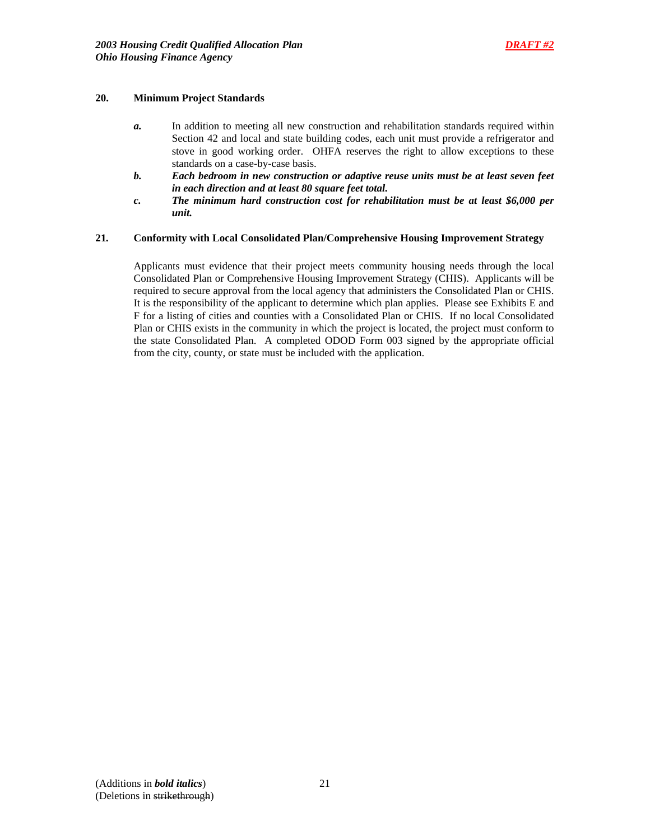## **20. Minimum Project Standards**

- *a.* In addition to meeting all new construction and rehabilitation standards required within Section 42 and local and state building codes, each unit must provide a refrigerator and stove in good working order. OHFA reserves the right to allow exceptions to these standards on a case-by-case basis.
- *b. Each bedroom in new construction or adaptive reuse units must be at least seven feet in each direction and at least 80 square feet total.*
- *c. The minimum hard construction cost for rehabilitation must be at least \$6,000 per unit.*

#### **21***.* **Conformity with Local Consolidated Plan/Comprehensive Housing Improvement Strategy**

Applicants must evidence that their project meets community housing needs through the local Consolidated Plan or Comprehensive Housing Improvement Strategy (CHIS). Applicants will be required to secure approval from the local agency that administers the Consolidated Plan or CHIS. It is the responsibility of the applicant to determine which plan applies. Please see Exhibits E and F for a listing of cities and counties with a Consolidated Plan or CHIS. If no local Consolidated Plan or CHIS exists in the community in which the project is located, the project must conform to the state Consolidated Plan. A completed ODOD Form 003 signed by the appropriate official from the city, county, or state must be included with the application.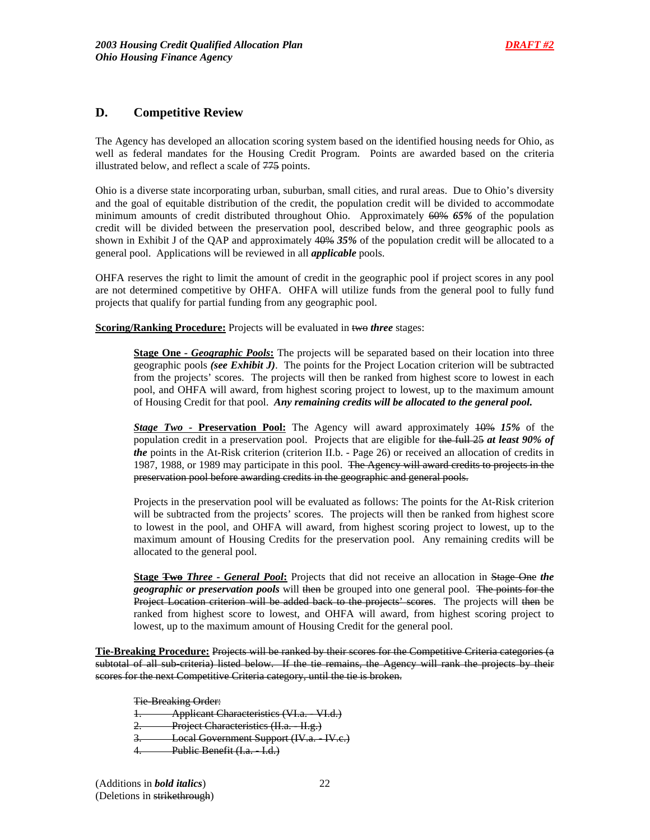## **D. Competitive Review**

The Agency has developed an allocation scoring system based on the identified housing needs for Ohio, as well as federal mandates for the Housing Credit Program. Points are awarded based on the criteria illustrated below, and reflect a scale of 775 points.

Ohio is a diverse state incorporating urban, suburban, small cities, and rural areas. Due to Ohio's diversity and the goal of equitable distribution of the credit, the population credit will be divided to accommodate minimum amounts of credit distributed throughout Ohio. Approximately 60% *65%* of the population credit will be divided between the preservation pool, described below, and three geographic pools as shown in Exhibit J of the QAP and approximately 40% *35%* of the population credit will be allocated to a general pool. Applications will be reviewed in all *applicable* pools.

OHFA reserves the right to limit the amount of credit in the geographic pool if project scores in any pool are not determined competitive by OHFA. OHFA will utilize funds from the general pool to fully fund projects that qualify for partial funding from any geographic pool.

**Scoring/Ranking Procedure:** Projects will be evaluated in two *three* stages:

**Stage One** - Geographic Pools: The projects will be separated based on their location into three geographic pools *(see Exhibit J)*. The points for the Project Location criterion will be subtracted from the projects' scores. The projects will then be ranked from highest score to lowest in each pool, and OHFA will award, from highest scoring project to lowest, up to the maximum amount of Housing Credit for that pool. *Any remaining credits will be allocated to the general pool.* 

*Stage Two -* **Preservation Pool:** The Agency will award approximately 10% *15%* of the population credit in a preservation pool. Projects that are eligible for the full 25 *at least 90% of the* points in the At-Risk criterion (criterion II.b. - Page 26) or received an allocation of credits in 1987, 1988, or 1989 may participate in this pool. The Agency will award credits to projects in the preservation pool before awarding credits in the geographic and general pools.

Projects in the preservation pool will be evaluated as follows: The points for the At-Risk criterion will be subtracted from the projects' scores. The projects will then be ranked from highest score to lowest in the pool, and OHFA will award, from highest scoring project to lowest, up to the maximum amount of Housing Credits for the preservation pool. Any remaining credits will be allocated to the general pool.

**Stage Two** *Three - General Pool***:** Projects that did not receive an allocation in Stage One *the geographic or preservation pools* will then be grouped into one general pool. The points for the Project Location criterion will be added back to the projects' scores. The projects will then be ranked from highest score to lowest, and OHFA will award, from highest scoring project to lowest, up to the maximum amount of Housing Credit for the general pool.

**Tie-Breaking Procedure:** Projects will be ranked by their scores for the Competitive Criteria categories (a subtotal of all sub-criteria) listed below. If the tie remains, the Agency will rank the projects by their scores for the next Competitive Criteria category, until the tie is broken.

Tie-Breaking Order:

1. Applicant Characteristics (VI.a. - VI.d.)

Project Characteristics (II.a. II.g.)

3. Local Government Support (IV.a. IV.c.)

Public Benefit (I.a. I.d.)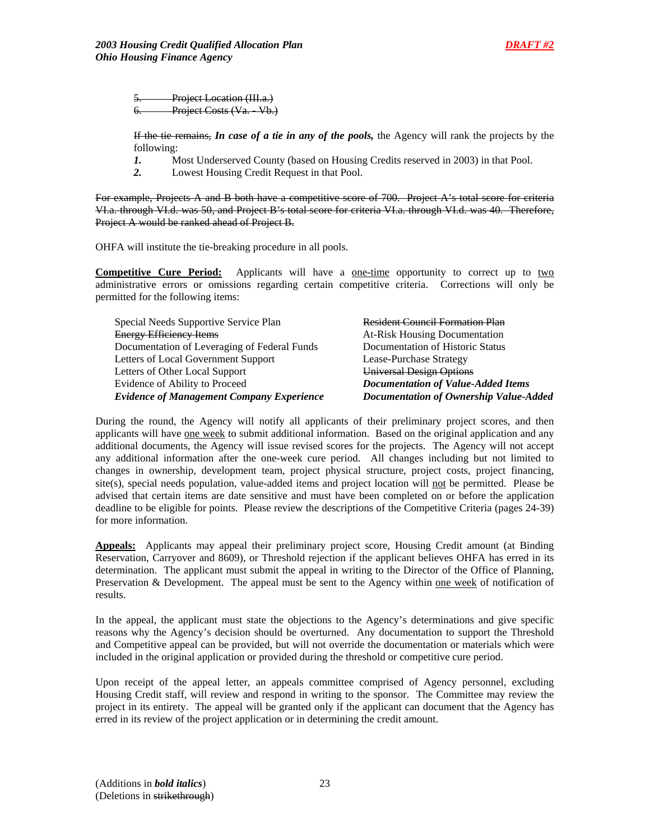Project Location (III.a.) Project Costs (Va. - Vb.)

If the tie remains, *In case of a tie in any of the pools,* the Agency will rank the projects by the following:

- *1.* Most Underserved County (based on Housing Credits reserved in 2003) in that Pool.
- *2.* Lowest Housing Credit Request in that Pool.

For example, Projects A and B both have a competitive score of 700. Project A's total score for criteria VI.a. through VI.d. was 50, and Project B's total score for criteria VI.a. through VI.d. was 40. Therefore, Project A would be ranked ahead of Project B.

OHFA will institute the tie-breaking procedure in all pools.

**Competitive Cure Period:** Applicants will have a <u>one-time</u> opportunity to correct up to two administrative errors or omissions regarding certain competitive criteria. Corrections will only be permitted for the following items:

| Special Needs Supportive Service Plan            | <b>Resident Council Formation Plan</b>    |
|--------------------------------------------------|-------------------------------------------|
| <b>Energy Efficiency Items</b>                   | <b>At-Risk Housing Documentation</b>      |
| Documentation of Leveraging of Federal Funds     | Documentation of Historic Status          |
| Letters of Local Government Support              | Lease-Purchase Strategy                   |
| Letters of Other Local Support                   | <b>Universal Design Options</b>           |
| Evidence of Ability to Proceed                   | <b>Documentation of Value-Added Items</b> |
| <b>Evidence of Management Company Experience</b> | Documentation of Ownership Value-Added    |

During the round, the Agency will notify all applicants of their preliminary project scores, and then applicants will have one week to submit additional information. Based on the original application and any additional documents, the Agency will issue revised scores for the projects. The Agency will not accept any additional information after the one-week cure period. All changes including but not limited to changes in ownership, development team, project physical structure, project costs, project financing, site(s), special needs population, value-added items and project location will not be permitted. Please be advised that certain items are date sensitive and must have been completed on or before the application deadline to be eligible for points. Please review the descriptions of the Competitive Criteria (pages 24-39) for more information.

**Appeals:** Applicants may appeal their preliminary project score, Housing Credit amount (at Binding Reservation, Carryover and 8609), or Threshold rejection if the applicant believes OHFA has erred in its determination. The applicant must submit the appeal in writing to the Director of the Office of Planning, Preservation & Development. The appeal must be sent to the Agency within one week of notification of results.

In the appeal, the applicant must state the objections to the Agency's determinations and give specific reasons why the Agency's decision should be overturned. Any documentation to support the Threshold and Competitive appeal can be provided, but will not override the documentation or materials which were included in the original application or provided during the threshold or competitive cure period.

Upon receipt of the appeal letter, an appeals committee comprised of Agency personnel, excluding Housing Credit staff, will review and respond in writing to the sponsor. The Committee may review the project in its entirety. The appeal will be granted only if the applicant can document that the Agency has erred in its review of the project application or in determining the credit amount.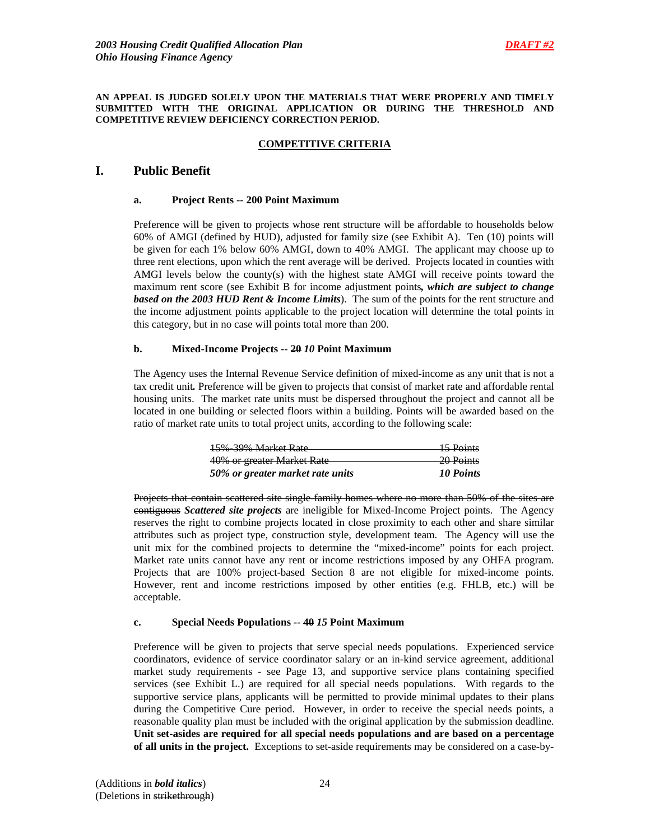#### **AN APPEAL IS JUDGED SOLELY UPON THE MATERIALS THAT WERE PROPERLY AND TIMELY SUBMITTED WITH THE ORIGINAL APPLICATION OR DURING THE THRESHOLD AND COMPETITIVE REVIEW DEFICIENCY CORRECTION PERIOD.**

## **COMPETITIVE CRITERIA**

## **I. Public Benefit**

## **a. Project Rents -- 200 Point Maximum**

Preference will be given to projects whose rent structure will be affordable to households below 60% of AMGI (defined by HUD), adjusted for family size (see Exhibit A). Ten (10) points will be given for each 1% below 60% AMGI, down to 40% AMGI. The applicant may choose up to three rent elections, upon which the rent average will be derived. Projects located in counties with AMGI levels below the county(s) with the highest state AMGI will receive points toward the maximum rent score (see Exhibit B for income adjustment points*, which are subject to change based on the 2003 HUD Rent & Income Limits*). The sum of the points for the rent structure and the income adjustment points applicable to the project location will determine the total points in this category, but in no case will points total more than 200.

## **b. Mixed-Income Projects -- 20** *10* **Point Maximum**

The Agency uses the Internal Revenue Service definition of mixed-income as any unit that is not a tax credit unit*.* Preference will be given to projects that consist of market rate and affordable rental housing units. The market rate units must be dispersed throughout the project and cannot all be located in one building or selected floors within a building. Points will be awarded based on the ratio of market rate units to total project units, according to the following scale:

| 15% 39% Market Rate              | <del>15 Points</del>                  |
|----------------------------------|---------------------------------------|
| 40% or greater Market Rate       | $20$ Points<br><del>20 I 011113</del> |
| 50% or greater market rate units | 10 Points                             |

Projects that contain scattered site single-family homes where no more than 50% of the sites are contiguous *Scattered site projects* are ineligible for Mixed-Income Project points. The Agency reserves the right to combine projects located in close proximity to each other and share similar attributes such as project type, construction style, development team. The Agency will use the unit mix for the combined projects to determine the "mixed-income" points for each project. Market rate units cannot have any rent or income restrictions imposed by any OHFA program. Projects that are 100% project-based Section 8 are not eligible for mixed-income points. However, rent and income restrictions imposed by other entities (e.g. FHLB, etc.) will be acceptable.

## **c. Special Needs Populations -- 40** *15* **Point Maximum**

Preference will be given to projects that serve special needs populations. Experienced service coordinators, evidence of service coordinator salary or an in-kind service agreement, additional market study requirements - see Page 13, and supportive service plans containing specified services (see Exhibit L.) are required for all special needs populations. With regards to the supportive service plans, applicants will be permitted to provide minimal updates to their plans during the Competitive Cure period. However, in order to receive the special needs points, a reasonable quality plan must be included with the original application by the submission deadline. **Unit set-asides are required for all special needs populations and are based on a percentage of all units in the project.** Exceptions to set-aside requirements may be considered on a case-by-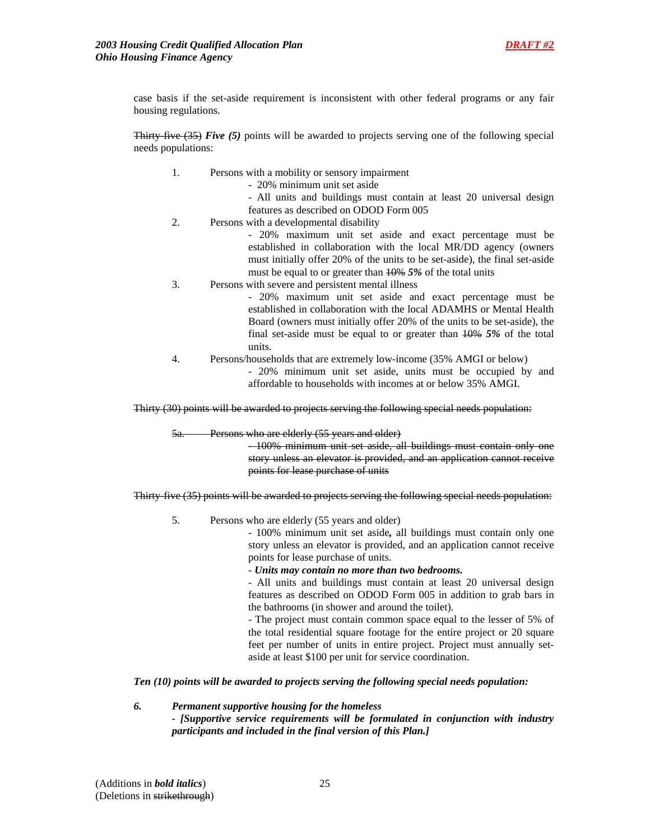case basis if the set-aside requirement is inconsistent with other federal programs or any fair housing regulations.

**Thirty-five (35)** *Five* (5) points will be awarded to projects serving one of the following special needs populations:

- 1. Persons with a mobility or sensory impairment
	- 20% minimum unit set aside
	- All units and buildings must contain at least 20 universal design features as described on ODOD Form 005
- 2. Persons with a developmental disability

- 20% maximum unit set aside and exact percentage must be established in collaboration with the local MR/DD agency (owners must initially offer 20% of the units to be set-aside), the final set-aside must be equal to or greater than 10% *5%* of the total units

3. Persons with severe and persistent mental illness

- 20% maximum unit set aside and exact percentage must be established in collaboration with the local ADAMHS or Mental Health Board (owners must initially offer 20% of the units to be set-aside), the final set-aside must be equal to or greater than 10% *5%* of the total units.

4. Persons/households that are extremely low-income (35% AMGI or below)

- 20% minimum unit set aside, units must be occupied by and affordable to households with incomes at or below 35% AMGI.

Thirty (30) points will be awarded to projects serving the following special needs population:

5a. Persons who are elderly (55 years and older)

- 100% minimum unit set aside, all buildings must contain only one story unless an elevator is provided, and an application cannot receive points for lease purchase of units

Thirty-five (35) points will be awarded to projects serving the following special needs population:

5. Persons who are elderly (55 years and older)

- 100% minimum unit set aside*,* all buildings must contain only one story unless an elevator is provided, and an application cannot receive points for lease purchase of units.

- *Units may contain no more than two bedrooms.* 

- All units and buildings must contain at least 20 universal design features as described on ODOD Form 005 in addition to grab bars in the bathrooms (in shower and around the toilet).

- The project must contain common space equal to the lesser of 5% of the total residential square footage for the entire project or 20 square feet per number of units in entire project. Project must annually setaside at least \$100 per unit for service coordination.

*Ten (10) points will be awarded to projects serving the following special needs population:* 

*6. Permanent supportive housing for the homeless - [Supportive service requirements will be formulated in conjunction with industry participants and included in the final version of this Plan.]*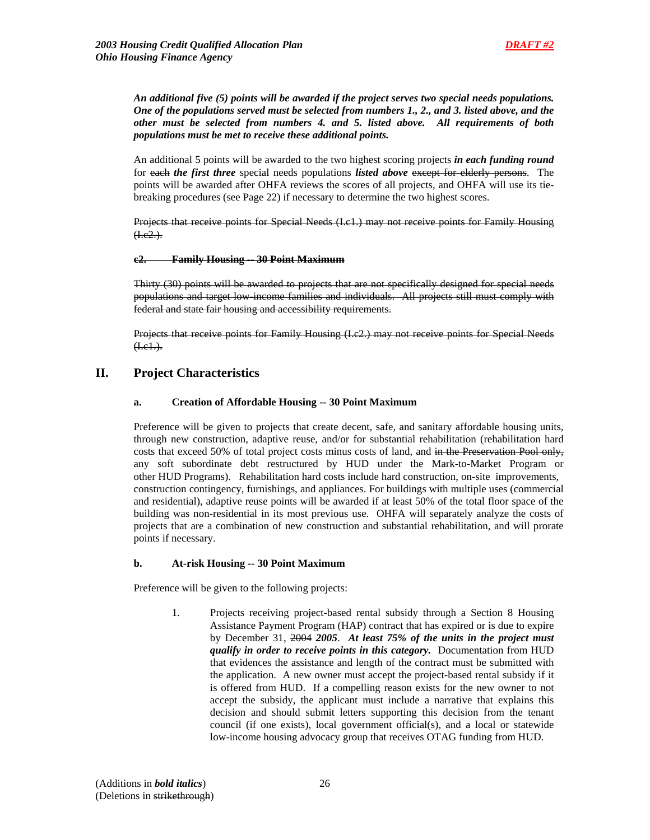*An additional five (5) points will be awarded if the project serves two special needs populations. One of the populations served must be selected from numbers 1., 2., and 3. listed above, and the other must be selected from numbers 4. and 5. listed above. All requirements of both populations must be met to receive these additional points.* 

An additional 5 points will be awarded to the two highest scoring projects *in each funding round* for each *the first three* special needs populations *listed above* except for elderly persons. The points will be awarded after OHFA reviews the scores of all projects, and OHFA will use its tiebreaking procedures (see Page 22) if necessary to determine the two highest scores.

Projects that receive points for Special Needs (I.c1.) may not receive points for Family Housing  $(1.e2.)$ .

## **c2. Family Housing -- 30 Point Maximum**

Thirty (30) points will be awarded to projects that are not specifically designed for special needs populations and target low-income families and individuals. All projects still must comply with federal and state fair housing and accessibility requirements.

Projects that receive points for Family Housing (I.c2.) may not receive points for Special Needs  $(H.e. 1.)$ .

## **II. Project Characteristics**

## **a. Creation of Affordable Housing -- 30 Point Maximum**

Preference will be given to projects that create decent, safe, and sanitary affordable housing units, through new construction, adaptive reuse, and/or for substantial rehabilitation (rehabilitation hard costs that exceed 50% of total project costs minus costs of land, and in the Preservation Pool only, any soft subordinate debt restructured by HUD under the Mark-to-Market Program or other HUD Programs). Rehabilitation hard costs include hard construction, on-site improvements, construction contingency, furnishings, and appliances. For buildings with multiple uses (commercial and residential), adaptive reuse points will be awarded if at least 50% of the total floor space of the building was non-residential in its most previous use. OHFA will separately analyze the costs of projects that are a combination of new construction and substantial rehabilitation, and will prorate points if necessary.

#### **b. At-risk Housing -- 30 Point Maximum**

Preference will be given to the following projects:

1. Projects receiving project-based rental subsidy through a Section 8 Housing Assistance Payment Program (HAP) contract that has expired or is due to expire by December 31, 2004 *2005*. *At least 75% of the units in the project must qualify in order to receive points in this category.* Documentation from HUD that evidences the assistance and length of the contract must be submitted with the application. A new owner must accept the project-based rental subsidy if it is offered from HUD. If a compelling reason exists for the new owner to not accept the subsidy, the applicant must include a narrative that explains this decision and should submit letters supporting this decision from the tenant council (if one exists), local government official(s), and a local or statewide low-income housing advocacy group that receives OTAG funding from HUD.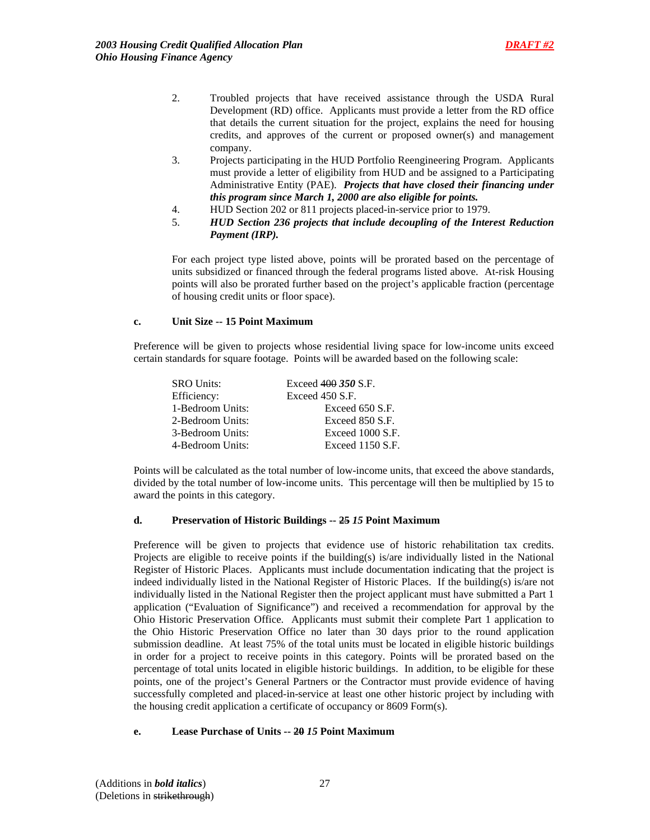- 2. Troubled projects that have received assistance through the USDA Rural Development (RD) office. Applicants must provide a letter from the RD office that details the current situation for the project, explains the need for housing credits, and approves of the current or proposed owner(s) and management company.
- 3. Projects participating in the HUD Portfolio Reengineering Program. Applicants must provide a letter of eligibility from HUD and be assigned to a Participating Administrative Entity (PAE). *Projects that have closed their financing under this program since March 1, 2000 are also eligible for points.*
- 4. HUD Section 202 or 811 projects placed-in-service prior to 1979.
- 5. *HUD Section 236 projects that include decoupling of the Interest Reduction Payment (IRP).*

For each project type listed above, points will be prorated based on the percentage of units subsidized or financed through the federal programs listed above. At-risk Housing points will also be prorated further based on the project's applicable fraction (percentage of housing credit units or floor space).

#### **c. Unit Size -- 15 Point Maximum**

 Preference will be given to projects whose residential living space for low-income units exceed certain standards for square footage. Points will be awarded based on the following scale:

| <b>SRO Units:</b> | Exceed $400\,350$ S.F. |
|-------------------|------------------------|
| Efficiency:       | Exceed 450 S.F.        |
| 1-Bedroom Units:  | Exceed 650 S.F.        |
| 2-Bedroom Units:  | Exceed 850 S.F.        |
| 3-Bedroom Units:  | Exceed 1000 S.F.       |
| 4-Bedroom Units:  | Exceed 1150 S.F.       |

Points will be calculated as the total number of low-income units, that exceed the above standards, divided by the total number of low-income units. This percentage will then be multiplied by 15 to award the points in this category.

#### **d. Preservation of Historic Buildings -- 25** *15* **Point Maximum**

Preference will be given to projects that evidence use of historic rehabilitation tax credits. Projects are eligible to receive points if the building(s) is/are individually listed in the National Register of Historic Places. Applicants must include documentation indicating that the project is indeed individually listed in the National Register of Historic Places. If the building(s) is/are not individually listed in the National Register then the project applicant must have submitted a Part 1 application ("Evaluation of Significance") and received a recommendation for approval by the Ohio Historic Preservation Office. Applicants must submit their complete Part 1 application to the Ohio Historic Preservation Office no later than 30 days prior to the round application submission deadline. At least 75% of the total units must be located in eligible historic buildings in order for a project to receive points in this category. Points will be prorated based on the percentage of total units located in eligible historic buildings.In addition, to be eligible for these points, one of the project's General Partners or the Contractor must provide evidence of having successfully completed and placed-in-service at least one other historic project by including with the housing credit application a certificate of occupancy or 8609 Form(s).

#### **e. Lease Purchase of Units -- 20** *15* **Point Maximum**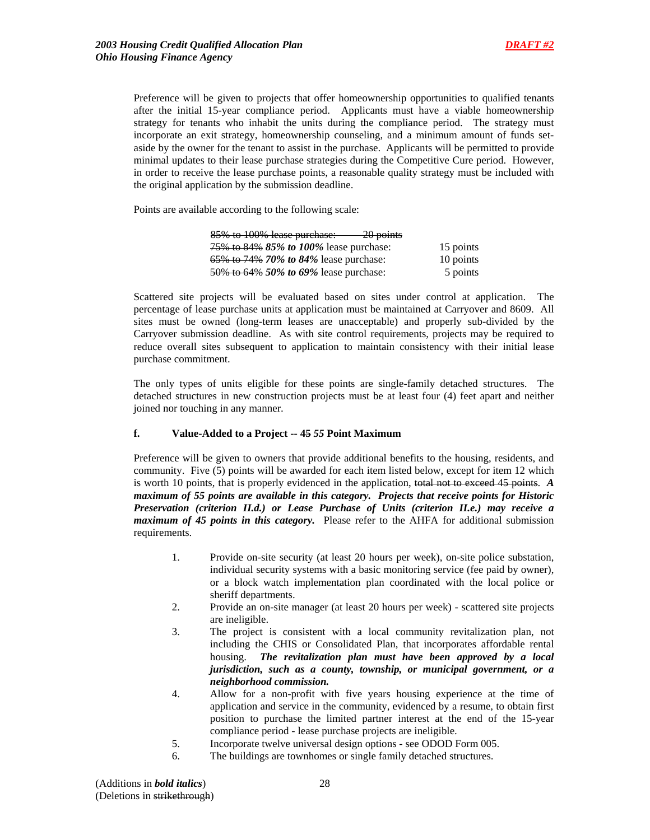Preference will be given to projects that offer homeownership opportunities to qualified tenants after the initial 15-year compliance period. Applicants must have a viable homeownership strategy for tenants who inhabit the units during the compliance period. The strategy must incorporate an exit strategy, homeownership counseling, and a minimum amount of funds setaside by the owner for the tenant to assist in the purchase. Applicants will be permitted to provide minimal updates to their lease purchase strategies during the Competitive Cure period. However, in order to receive the lease purchase points, a reasonable quality strategy must be included with the original application by the submission deadline.

Points are available according to the following scale:

| 85% to 100% lease purchase:<br>$-20$ points |           |
|---------------------------------------------|-----------|
| 75\% to 84\% 85\% to 100\% lease purchase:  | 15 points |
| 65% to 74% 70% to 84% lease purchase:       | 10 points |
| 50% to 64% 50% to 69% lease purchase:       | 5 points  |

Scattered site projects will be evaluated based on sites under control at application. The percentage of lease purchase units at application must be maintained at Carryover and 8609. All sites must be owned (long-term leases are unacceptable) and properly sub-divided by the Carryover submission deadline. As with site control requirements, projects may be required to reduce overall sites subsequent to application to maintain consistency with their initial lease purchase commitment.

The only types of units eligible for these points are single-family detached structures. The detached structures in new construction projects must be at least four (4) feet apart and neither joined nor touching in any manner.

## **f. Value-Added to a Project -- 45** *55* **Point Maximum**

Preference will be given to owners that provide additional benefits to the housing, residents, and community. Five (5) points will be awarded for each item listed below, except for item 12 which is worth 10 points, that is properly evidenced in the application, total not to exceed 45 points. *A maximum of 55 points are available in this category. Projects that receive points for Historic Preservation (criterion II.d.) or Lease Purchase of Units (criterion II.e.) may receive a maximum of 45 points in this category.* Please refer to the AHFA for additional submission requirements.

- 1. Provide on-site security (at least 20 hours per week), on-site police substation, individual security systems with a basic monitoring service (fee paid by owner), or a block watch implementation plan coordinated with the local police or sheriff departments.
- 2. Provide an on-site manager (at least 20 hours per week) scattered site projects are ineligible.
- 3. The project is consistent with a local community revitalization plan, not including the CHIS or Consolidated Plan, that incorporates affordable rental housing. *The revitalization plan must have been approved by a local jurisdiction, such as a county, township, or municipal government, or a neighborhood commission.*
- 4. Allow for a non-profit with five years housing experience at the time of application and service in the community, evidenced by a resume, to obtain first position to purchase the limited partner interest at the end of the 15-year compliance period - lease purchase projects are ineligible.
- 5. Incorporate twelve universal design options see ODOD Form 005.
- 6. The buildings are townhomes or single family detached structures.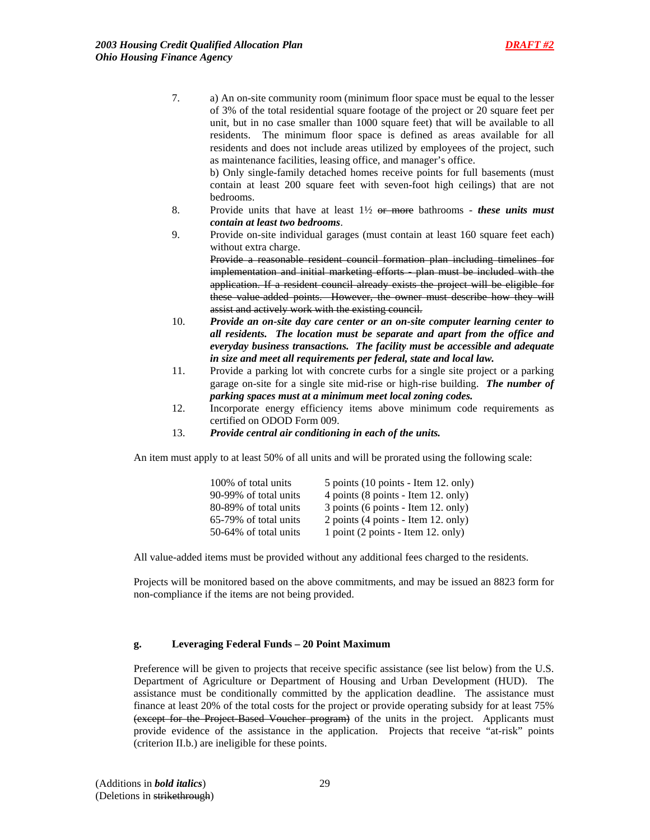7. a) An on-site community room (minimum floor space must be equal to the lesser of 3% of the total residential square footage of the project or 20 square feet per unit, but in no case smaller than 1000 square feet) that will be available to all residents. The minimum floor space is defined as areas available for all residents and does not include areas utilized by employees of the project, such as maintenance facilities, leasing office, and manager's office.

b) Only single-family detached homes receive points for full basements (must contain at least 200 square feet with seven-foot high ceilings) that are not bedrooms.

- 8. Provide units that have at least 1½ or more bathrooms *these units must contain at least two bedrooms*.
- 9. Provide on-site individual garages (must contain at least 160 square feet each) without extra charge.

Provide a reasonable resident council formation plan including timelines for implementation and initial marketing efforts - plan must be included with the application. If a resident council already exists the project will be eligible for these value added points. However, the owner must describe how they will assist and actively work with the existing council.

- 10. *Provide an on-site day care center or an on-site computer learning center to all residents. The location must be separate and apart from the office and everyday business transactions. The facility must be accessible and adequate in size and meet all requirements per federal, state and local law.*
- 11. Provide a parking lot with concrete curbs for a single site project or a parking garage on-site for a single site mid-rise or high-rise building. *The number of parking spaces must at a minimum meet local zoning codes.*
- 12. Incorporate energy efficiency items above minimum code requirements as certified on ODOD Form 009.
- 13. *Provide central air conditioning in each of the units.*

An item must apply to at least 50% of all units and will be prorated using the following scale:

| 100% of total units   | 5 points (10 points - Item 12. only) |
|-----------------------|--------------------------------------|
| 90-99% of total units | 4 points (8 points - Item 12. only)  |
| 80-89% of total units | 3 points (6 points - Item 12. only)  |
| 65-79% of total units | 2 points (4 points - Item 12. only)  |
| 50-64% of total units | 1 point (2 points - Item 12. only)   |

All value-added items must be provided without any additional fees charged to the residents.

Projects will be monitored based on the above commitments, and may be issued an 8823 form for non-compliance if the items are not being provided.

## **g. Leveraging Federal Funds – 20 Point Maximum**

Preference will be given to projects that receive specific assistance (see list below) from the U.S. Department of Agriculture or Department of Housing and Urban Development (HUD). The assistance must be conditionally committed by the application deadline. The assistance must finance at least 20% of the total costs for the project or provide operating subsidy for at least 75% (except for the Project Based Voucher program) of the units in the project. Applicants must provide evidence of the assistance in the application. Projects that receive "at-risk" points (criterion II.b.) are ineligible for these points.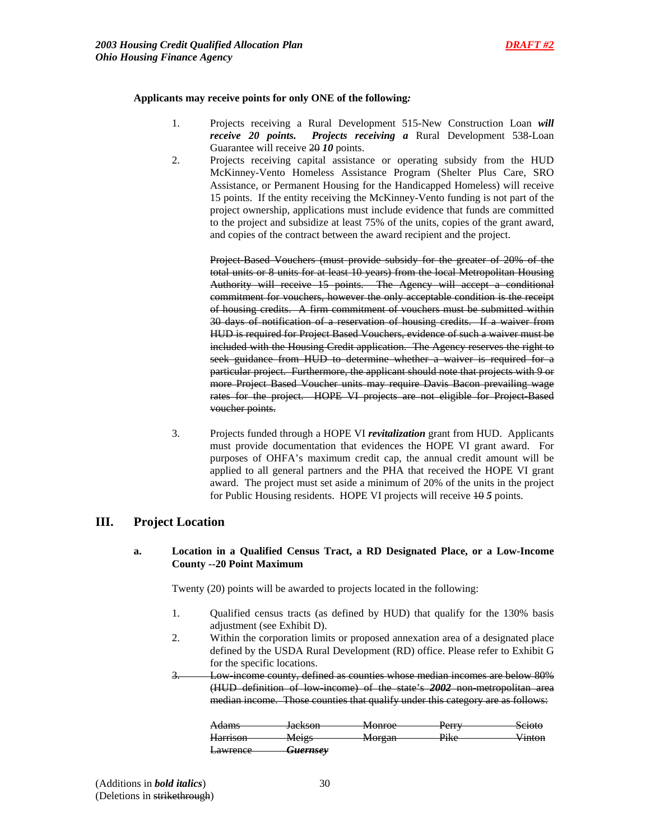### **Applicants may receive points for only ONE of the following***:*

- 1. Projects receiving a Rural Development 515-New Construction Loan *will receive 20 points. Projects receiving a* Rural Development 538-Loan Guarantee will receive 20 *10* points.
- 2. Projects receiving capital assistance or operating subsidy from the HUD McKinney-Vento Homeless Assistance Program (Shelter Plus Care, SRO Assistance, or Permanent Housing for the Handicapped Homeless) will receive 15 points. If the entity receiving the McKinney-Vento funding is not part of the project ownership, applications must include evidence that funds are committed to the project and subsidize at least 75% of the units, copies of the grant award, and copies of the contract between the award recipient and the project.

Project-Based Vouchers (must provide subsidy for the greater of 20% of the total units or 8 units for at least 10 years) from the local Metropolitan Housing Authority will receive 15 points. The Agency will accept a conditional commitment for vouchers, however the only acceptable condition is the receipt of housing credits. A firm commitment of vouchers must be submitted within 30 days of notification of a reservation of housing credits. If a waiver from HUD is required for Project Based Vouchers, evidence of such a waiver must be included with the Housing Credit application. The Agency reserves the right to seek guidance from HUD to determine whether a waiver is required for a particular project. Furthermore, the applicant should note that projects with 9 or more Project Based Voucher units may require Davis Bacon prevailing wage rates for the project. HOPE VI projects are not eligible for Project Based voucher points.

 3. Projects funded through a HOPE VI *revitalization* grant from HUD. Applicants must provide documentation that evidences the HOPE VI grant award. For purposes of OHFA's maximum credit cap, the annual credit amount will be applied to all general partners and the PHA that received the HOPE VI grant award. The project must set aside a minimum of 20% of the units in the project for Public Housing residents. HOPE VI projects will receive 10 *5* points.

## **III. Project Location**

## **a. Location in a Qualified Census Tract, a RD Designated Place, or a Low-Income County --20 Point Maximum**

Twenty (20) points will be awarded to projects located in the following:

- 1. Qualified census tracts (as defined by HUD) that qualify for the 130% basis adjustment (see Exhibit D).
- 2. Within the corporation limits or proposed annexation area of a designated place defined by the USDA Rural Development (RD) office. Please refer to Exhibit G for the specific locations.
- 3. Low-income county, defined as counties whose median incomes are below 80% (HUD definition of low-income) of the state's *2002* non-metropolitan area median income. Those counties that qualify under this category are as follows:

| <b>Adams</b>    | Iackson<br>JUURJUH  | Monroa<br>www                            | $D_{\alpha r r r}$<br>r <del>un</del> | Scioto             |
|-----------------|---------------------|------------------------------------------|---------------------------------------|--------------------|
| <b>Harrison</b> | Maige<br>$T = T$    | M <sub>orcon</sub><br><del>MUI gan</del> | Dir <sub>0</sub><br><b>TINU</b>       | V <del>inton</del> |
| <b>Lawrence</b> | <del>Guernsey</del> |                                          |                                       |                    |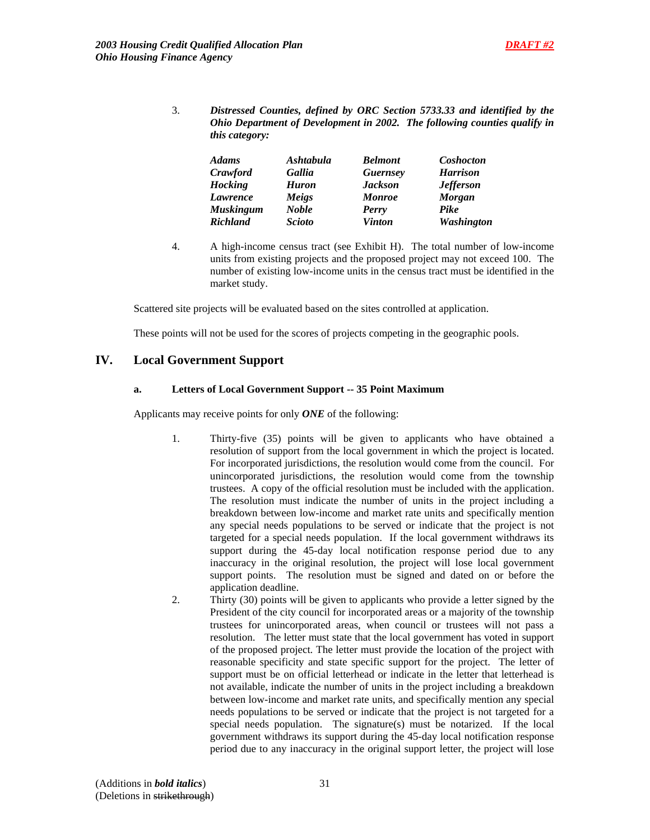3. *Distressed Counties, defined by ORC Section 5733.33 and identified by the Ohio Department of Development in 2002. The following counties qualify in this category:*

| <b>Adams</b>     | Ashtabula     | <b>Belmont</b>  | <b>Coshocton</b>  |
|------------------|---------------|-----------------|-------------------|
| Crawford         | Gallia        | <b>Guernsey</b> | <b>Harrison</b>   |
| <b>Hocking</b>   | <b>Huron</b>  | <b>Jackson</b>  | <b>Jefferson</b>  |
| Lawrence         | Meigs         | <b>Monroe</b>   | <b>Morgan</b>     |
| <b>Muskingum</b> | <b>Noble</b>  | Perry           | Pike              |
| <b>Richland</b>  | <b>Scioto</b> | <b>Vinton</b>   | <b>Washington</b> |

4. A high-income census tract (see Exhibit H). The total number of low-income units from existing projects and the proposed project may not exceed 100. The number of existing low-income units in the census tract must be identified in the market study.

Scattered site projects will be evaluated based on the sites controlled at application.

These points will not be used for the scores of projects competing in the geographic pools.

## **IV. Local Government Support**

## **a. Letters of Local Government Support -- 35 Point Maximum**

Applicants may receive points for only *ONE* of the following:

- 1. Thirty-five (35) points will be given to applicants who have obtained a resolution of support from the local government in which the project is located. For incorporated jurisdictions, the resolution would come from the council. For unincorporated jurisdictions, the resolution would come from the township trustees. A copy of the official resolution must be included with the application. The resolution must indicate the number of units in the project including a breakdown between low-income and market rate units and specifically mention any special needs populations to be served or indicate that the project is not targeted for a special needs population. If the local government withdraws its support during the 45-day local notification response period due to any inaccuracy in the original resolution, the project will lose local government support points. The resolution must be signed and dated on or before the application deadline.
- 2. Thirty (30) points will be given to applicants who provide a letter signed by the President of the city council for incorporated areas or a majority of the township trustees for unincorporated areas, when council or trustees will not pass a resolution. The letter must state that the local government has voted in support of the proposed project. The letter must provide the location of the project with reasonable specificity and state specific support for the project. The letter of support must be on official letterhead or indicate in the letter that letterhead is not available, indicate the number of units in the project including a breakdown between low-income and market rate units, and specifically mention any special needs populations to be served or indicate that the project is not targeted for a special needs population. The signature(s) must be notarized. If the local government withdraws its support during the 45-day local notification response period due to any inaccuracy in the original support letter, the project will lose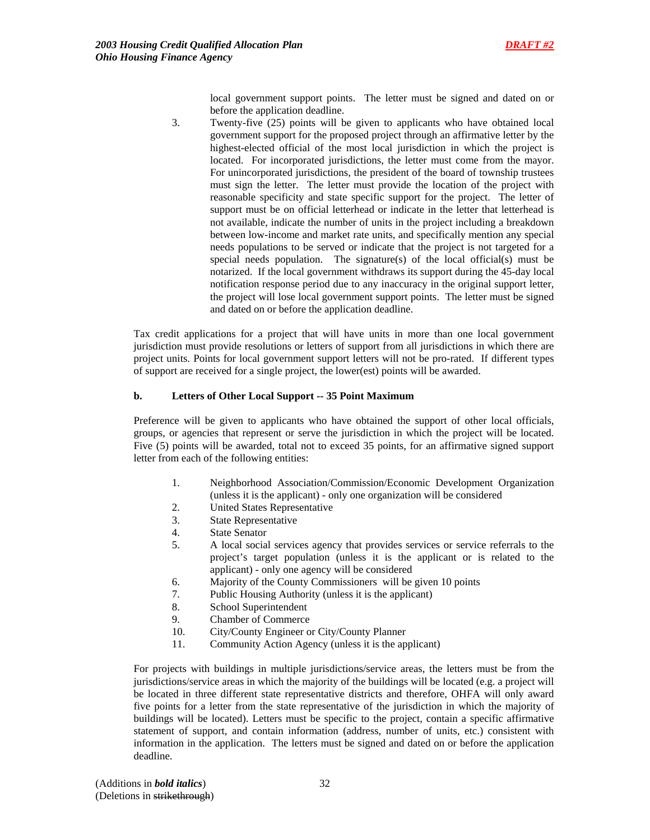

local government support points. The letter must be signed and dated on or before the application deadline.

3. Twenty-five (25) points will be given to applicants who have obtained local government support for the proposed project through an affirmative letter by the highest-elected official of the most local jurisdiction in which the project is located. For incorporated jurisdictions, the letter must come from the mayor. For unincorporated jurisdictions, the president of the board of township trustees must sign the letter. The letter must provide the location of the project with reasonable specificity and state specific support for the project. The letter of support must be on official letterhead or indicate in the letter that letterhead is not available, indicate the number of units in the project including a breakdown between low-income and market rate units, and specifically mention any special needs populations to be served or indicate that the project is not targeted for a special needs population. The signature(s) of the local official(s) must be notarized. If the local government withdraws its support during the 45-day local notification response period due to any inaccuracy in the original support letter, the project will lose local government support points. The letter must be signed and dated on or before the application deadline.

Tax credit applications for a project that will have units in more than one local government jurisdiction must provide resolutions or letters of support from all jurisdictions in which there are project units. Points for local government support letters will not be pro-rated. If different types of support are received for a single project, the lower(est) points will be awarded.

## **b. Letters of Other Local Support -- 35 Point Maximum**

Preference will be given to applicants who have obtained the support of other local officials, groups, or agencies that represent or serve the jurisdiction in which the project will be located. Five (5) points will be awarded, total not to exceed 35 points, for an affirmative signed support letter from each of the following entities:

- 1. Neighborhood Association/Commission/Economic Development Organization (unless it is the applicant) - only one organization will be considered
- 2. United States Representative
- 3. State Representative
- 4. State Senator
- 5. A local social services agency that provides services or service referrals to the project's target population (unless it is the applicant or is related to the applicant) - only one agency will be considered
- 6. Majority of the County Commissioners will be given 10 points
- 7. Public Housing Authority (unless it is the applicant)
- 8. School Superintendent
- 9. Chamber of Commerce
- 10. City/County Engineer or City/County Planner
- 11. Community Action Agency (unless it is the applicant)

For projects with buildings in multiple jurisdictions/service areas, the letters must be from the jurisdictions/service areas in which the majority of the buildings will be located (e.g. a project will be located in three different state representative districts and therefore, OHFA will only award five points for a letter from the state representative of the jurisdiction in which the majority of buildings will be located). Letters must be specific to the project, contain a specific affirmative statement of support, and contain information (address, number of units, etc.) consistent with information in the application. The letters must be signed and dated on or before the application deadline.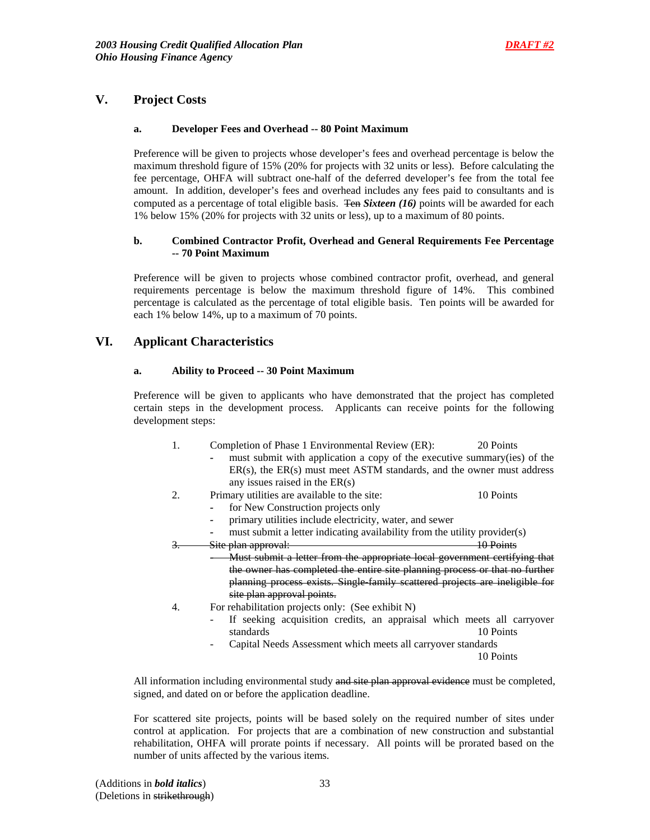## **V. Project Costs**

## **a. Developer Fees and Overhead -- 80 Point Maximum**

Preference will be given to projects whose developer's fees and overhead percentage is below the maximum threshold figure of 15% (20% for projects with 32 units or less). Before calculating the fee percentage, OHFA will subtract one-half of the deferred developer's fee from the total fee amount. In addition, developer's fees and overhead includes any fees paid to consultants and is computed as a percentage of total eligible basis. Ten *Sixteen (16)* points will be awarded for each 1% below 15% (20% for projects with 32 units or less), up to a maximum of 80 points.

## **b. Combined Contractor Profit, Overhead and General Requirements Fee Percentage -- 70 Point Maximum**

Preference will be given to projects whose combined contractor profit, overhead, and general requirements percentage is below the maximum threshold figure of 14%. This combined percentage is calculated as the percentage of total eligible basis. Ten points will be awarded for each 1% below 14%, up to a maximum of 70 points.

## **VI. Applicant Characteristics**

## **a. Ability to Proceed -- 30 Point Maximum**

 Preference will be given to applicants who have demonstrated that the project has completed certain steps in the development process. Applicants can receive points for the following development steps:

- 1. Completion of Phase 1 Environmental Review (ER): 20 Points *-* must submit with application a copy of the executive summary(ies) of the ER(s), the ER(s) must meet ASTM standards, and the owner must address any issues raised in the ER(s) 2. Primary utilities are available to the site: 10 Points
	- *-* for New Construction projects only

- 
- *-* primary utilities include electricity, water, and sewer
- must submit a letter indicating availability from the utility provider(s) nlan approval: 10 Points 3. Site plan approval:
- *-* Must submit a letter from the appropriate local government certifying that the owner has completed the entire site planning process or that no further planning process exists. Single-family scattered projects are ineligible for site plan approval points.
- 4. For rehabilitation projects only: (See exhibit N)
	- If seeking acquisition credits, an appraisal which meets all carryover standards 10 Points
	- Capital Needs Assessment which meets all carryover standards

10 Points

All information including environmental study and site plan approval evidence must be completed, signed, and dated on or before the application deadline.

For scattered site projects, points will be based solely on the required number of sites under control at application. For projects that are a combination of new construction and substantial rehabilitation, OHFA will prorate points if necessary. All points will be prorated based on the number of units affected by the various items.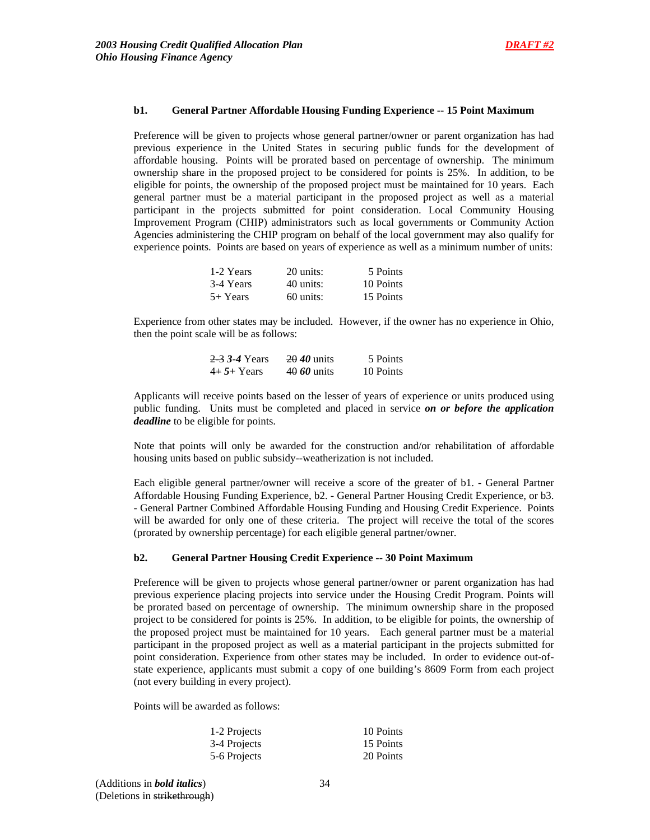### **b1. General Partner Affordable Housing Funding Experience -- 15 Point Maximum**

 Preference will be given to projects whose general partner/owner or parent organization has had previous experience in the United States in securing public funds for the development of affordable housing. Points will be prorated based on percentage of ownership. The minimum ownership share in the proposed project to be considered for points is 25%. In addition, to be eligible for points, the ownership of the proposed project must be maintained for 10 years. Each general partner must be a material participant in the proposed project as well as a material participant in the projects submitted for point consideration. Local Community Housing Improvement Program (CHIP) administrators such as local governments or Community Action Agencies administering the CHIP program on behalf of the local government may also qualify for experience points. Points are based on years of experience as well as a minimum number of units:

| 1-2 Years  | 20 units:   | 5 Points  |
|------------|-------------|-----------|
| 3-4 Years  | 40 units:   | 10 Points |
| $5+$ Years | $60$ units: | 15 Points |

Experience from other states may be included. However, if the owner has no experience in Ohio, then the point scale will be as follows:

| 2.3 3.4 Years | 20 <i>40</i> units | 5 Points  |
|---------------|--------------------|-----------|
| $4+5+$ Years  | 40 60 units        | 10 Points |

Applicants will receive points based on the lesser of years of experience or units produced using public funding. Units must be completed and placed in service *on or before the application deadline* to be eligible for points.

Note that points will only be awarded for the construction and/or rehabilitation of affordable housing units based on public subsidy--weatherization is not included.

Each eligible general partner/owner will receive a score of the greater of b1. - General Partner Affordable Housing Funding Experience, b2. - General Partner Housing Credit Experience, or b3. - General Partner Combined Affordable Housing Funding and Housing Credit Experience. Points will be awarded for only one of these criteria. The project will receive the total of the scores (prorated by ownership percentage) for each eligible general partner/owner.

#### **b2. General Partner Housing Credit Experience -- 30 Point Maximum**

Preference will be given to projects whose general partner/owner or parent organization has had previous experience placing projects into service under the Housing Credit Program. Points will be prorated based on percentage of ownership. The minimum ownership share in the proposed project to be considered for points is 25%. In addition, to be eligible for points, the ownership of the proposed project must be maintained for 10 years. Each general partner must be a material participant in the proposed project as well as a material participant in the projects submitted for point consideration. Experience from other states may be included. In order to evidence out-ofstate experience, applicants must submit a copy of one building's 8609 Form from each project (not every building in every project).

Points will be awarded as follows:

| 1-2 Projects | 10 Points |
|--------------|-----------|
| 3-4 Projects | 15 Points |
| 5-6 Projects | 20 Points |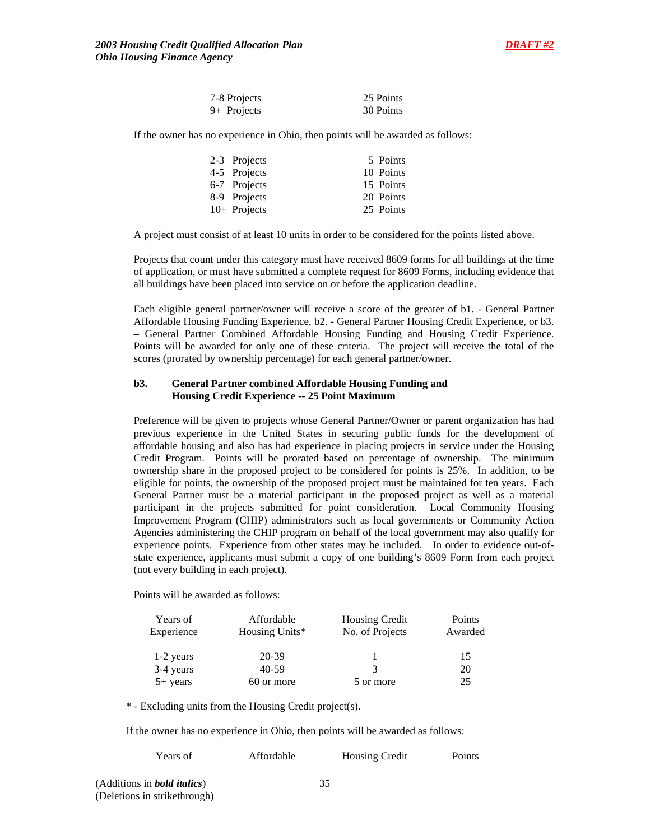

| 7-8 Projects | 25 Points |
|--------------|-----------|
| 9+ Projects  | 30 Points |

If the owner has no experience in Ohio, then points will be awarded as follows:

| 2-3 Projects   | 5 Points  |
|----------------|-----------|
| 4-5 Projects   | 10 Points |
| 6-7 Projects   | 15 Points |
| 8-9 Projects   | 20 Points |
| $10+$ Projects | 25 Points |

A project must consist of at least 10 units in order to be considered for the points listed above.

Projects that count under this category must have received 8609 forms for all buildings at the time of application, or must have submitted a complete request for 8609 Forms, including evidence that all buildings have been placed into service on or before the application deadline.

Each eligible general partner/owner will receive a score of the greater of b1. - General Partner Affordable Housing Funding Experience, b2. - General Partner Housing Credit Experience, or b3. – General Partner Combined Affordable Housing Funding and Housing Credit Experience. Points will be awarded for only one of these criteria. The project will receive the total of the scores (prorated by ownership percentage) for each general partner/owner.

### **b3. General Partner combined Affordable Housing Funding and Housing Credit Experience -- 25 Point Maximum**

Preference will be given to projects whose General Partner/Owner or parent organization has had previous experience in the United States in securing public funds for the development of affordable housing and also has had experience in placing projects in service under the Housing Credit Program. Points will be prorated based on percentage of ownership. The minimum ownership share in the proposed project to be considered for points is 25%. In addition, to be eligible for points, the ownership of the proposed project must be maintained for ten years. Each General Partner must be a material participant in the proposed project as well as a material participant in the projects submitted for point consideration. Local Community Housing Improvement Program (CHIP) administrators such as local governments or Community Action Agencies administering the CHIP program on behalf of the local government may also qualify for experience points. Experience from other states may be included. In order to evidence out-ofstate experience, applicants must submit a copy of one building's 8609 Form from each project (not every building in each project).

Points will be awarded as follows:

| Years of   | Affordable     | <b>Housing Credit</b> | Points  |
|------------|----------------|-----------------------|---------|
| Experience | Housing Units* | No. of Projects       | Awarded |
| 1-2 years  | 20-39          |                       | 15      |
| 3-4 years  | 40-59          | 3                     | 20      |
| $5+$ years | 60 or more     | 5 or more             | 25      |

\* - Excluding units from the Housing Credit project(s).

If the owner has no experience in Ohio, then points will be awarded as follows:

| Years of | Affordable | <b>Housing Credit</b> | Points |
|----------|------------|-----------------------|--------|
|          |            |                       |        |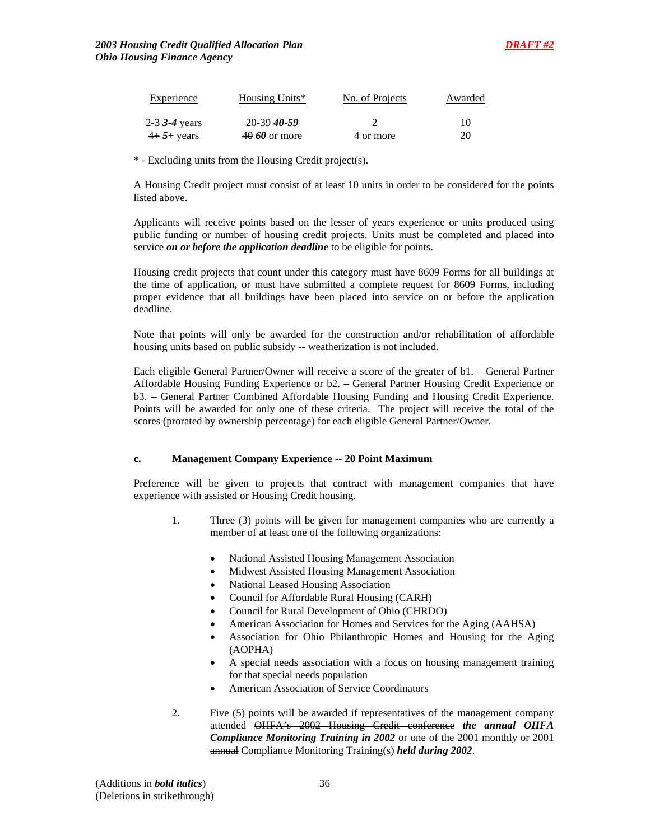| <b>Experience</b> | Housing Units* | No. of Projects | Awarded |
|-------------------|----------------|-----------------|---------|
| $2-3$ 3-4 years   | 20 39 40 - 59  |                 | 10      |
| $4+5+$ years      | $4060$ or more | 4 or more       | 20      |

\* - Excluding units from the Housing Credit project(s).

A Housing Credit project must consist of at least 10 units in order to be considered for the points listed above.

Applicants will receive points based on the lesser of years experience or units produced using public funding or number of housing credit projects. Units must be completed and placed into service *on or before the application deadline* to be eligible for points.

Housing credit projects that count under this category must have 8609 Forms for all buildings at the time of application, or must have submitted a complete request for 8609 Forms, including proper evidence that all buildings have been placed into service on or before the application deadline.

Note that points will only be awarded for the construction and/or rehabilitation of affordable housing units based on public subsidy -- weatherization is not included.

Each eligible General Partner/Owner will receive a score of the greater of b1. – General Partner Affordable Housing Funding Experience or b2. – General Partner Housing Credit Experience or b3. – General Partner Combined Affordable Housing Funding and Housing Credit Experience. Points will be awarded for only one of these criteria. The project will receive the total of the scores (prorated by ownership percentage) for each eligible General Partner/Owner.

## **c. Management Company Experience -- 20 Point Maximum**

 Preference will be given to projects that contract with management companies that have experience with assisted or Housing Credit housing.

- 1. Three (3) points will be given for management companies who are currently a member of at least one of the following organizations:
	- National Assisted Housing Management Association
	- Midwest Assisted Housing Management Association
	- National Leased Housing Association
	- Council for Affordable Rural Housing (CARH)
	- Council for Rural Development of Ohio (CHRDO)
	- American Association for Homes and Services for the Aging (AAHSA)
	- Association for Ohio Philanthropic Homes and Housing for the Aging (AOPHA)
	- A special needs association with a focus on housing management training for that special needs population
	- American Association of Service Coordinators
- 2. Five (5) points will be awarded if representatives of the management company attended OHFA's 2002 Housing Credit conference *the annual OHFA*  **Compliance Monitoring Training in 2002** or one of the 2001 monthly or 2001 annual Compliance Monitoring Training(s) *held during 2002*.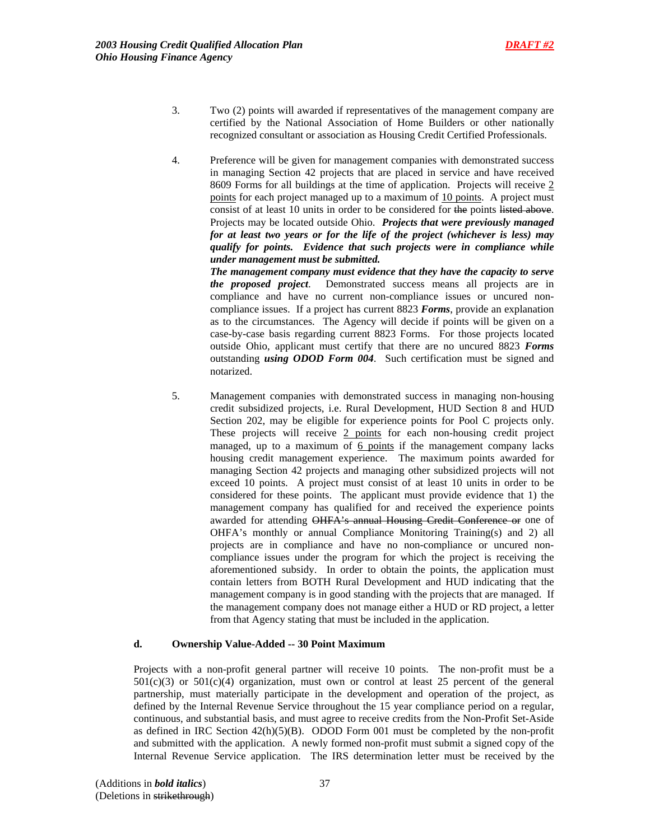- 3. Two (2) points will awarded if representatives of the management company are certified by the National Association of Home Builders or other nationally recognized consultant or association as Housing Credit Certified Professionals.
- 4. Preference will be given for management companies with demonstrated success in managing Section 42 projects that are placed in service and have received 8609 Forms for all buildings at the time of application. Projects will receive 2 points for each project managed up to a maximum of 10 points. A project must consist of at least 10 units in order to be considered for the points listed above. Projects may be located outside Ohio. *Projects that were previously managed for at least two years or for the life of the project (whichever is less) may qualify for points. Evidence that such projects were in compliance while under management must be submitted.*

*The management company must evidence that they have the capacity to serve the proposed project*. Demonstrated success means all projects are in compliance and have no current non-compliance issues or uncured noncompliance issues. If a project has current 8823 *Forms*, provide an explanation as to the circumstances. The Agency will decide if points will be given on a case-by-case basis regarding current 8823 Forms. For those projects located outside Ohio, applicant must certify that there are no uncured 8823 *Forms* outstanding *using ODOD Form 004*. Such certification must be signed and notarized.

5. Management companies with demonstrated success in managing non-housing credit subsidized projects, i.e. Rural Development, HUD Section 8 and HUD Section 202, may be eligible for experience points for Pool C projects only. These projects will receive 2 points for each non-housing credit project managed, up to a maximum of 6 points if the management company lacks housing credit management experience. The maximum points awarded for managing Section 42 projects and managing other subsidized projects will not exceed 10 points. A project must consist of at least 10 units in order to be considered for these points. The applicant must provide evidence that 1) the management company has qualified for and received the experience points awarded for attending OHFA's annual Housing Credit Conference or one of OHFA's monthly or annual Compliance Monitoring Training(s) and 2) all projects are in compliance and have no non-compliance or uncured noncompliance issues under the program for which the project is receiving the aforementioned subsidy. In order to obtain the points, the application must contain letters from BOTH Rural Development and HUD indicating that the management company is in good standing with the projects that are managed. If the management company does not manage either a HUD or RD project, a letter from that Agency stating that must be included in the application.

#### **d. Ownership Value-Added -- 30 Point Maximum**

Projects with a non-profit general partner will receive 10 points. The non-profit must be a  $501(c)(3)$  or  $501(c)(4)$  organization, must own or control at least 25 percent of the general partnership, must materially participate in the development and operation of the project, as defined by the Internal Revenue Service throughout the 15 year compliance period on a regular, continuous, and substantial basis, and must agree to receive credits from the Non-Profit Set-Aside as defined in IRC Section  $42(h)(5)(B)$ . ODOD Form 001 must be completed by the non-profit and submitted with the application. A newly formed non-profit must submit a signed copy of the Internal Revenue Service application. The IRS determination letter must be received by the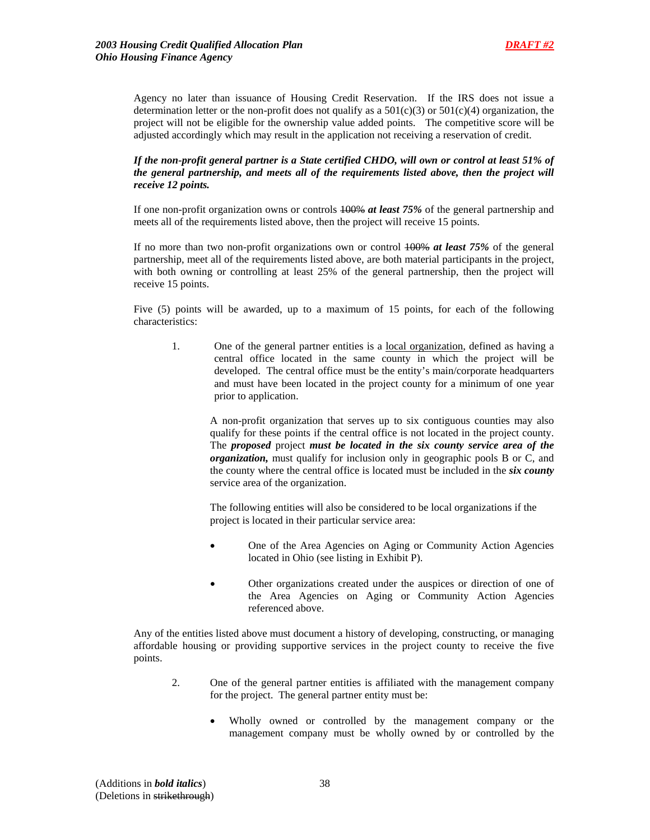Agency no later than issuance of Housing Credit Reservation. If the IRS does not issue a determination letter or the non-profit does not qualify as a  $501(c)(3)$  or  $501(c)(4)$  organization, the project will not be eligible for the ownership value added points. The competitive score will be adjusted accordingly which may result in the application not receiving a reservation of credit.

### *If the non-profit general partner is a State certified CHDO, will own or control at least 51% of the general partnership, and meets all of the requirements listed above, then the project will receive 12 points.*

If one non-profit organization owns or controls 100% *at least 75%* of the general partnership and meets all of the requirements listed above, then the project will receive 15 points.

If no more than two non-profit organizations own or control 100% *at least 75%* of the general partnership, meet all of the requirements listed above, are both material participants in the project, with both owning or controlling at least 25% of the general partnership, then the project will receive 15 points.

Five (5) points will be awarded, up to a maximum of 15 points, for each of the following characteristics:

1. One of the general partner entities is a local organization, defined as having a central office located in the same county in which the project will be developed. The central office must be the entity's main/corporate headquarters and must have been located in the project county for a minimum of one year prior to application.

A non-profit organization that serves up to six contiguous counties may also qualify for these points if the central office is not located in the project county. The *proposed* project *must be located in the six county service area of the organization,* must qualify for inclusion only in geographic pools B or C, and the county where the central office is located must be included in the *six county* service area of the organization.

The following entities will also be considered to be local organizations if the project is located in their particular service area:

- One of the Area Agencies on Aging or Community Action Agencies located in Ohio (see listing in Exhibit P).
- Other organizations created under the auspices or direction of one of the Area Agencies on Aging or Community Action Agencies referenced above.

Any of the entities listed above must document a history of developing, constructing, or managing affordable housing or providing supportive services in the project county to receive the five points.

- 2. One of the general partner entities is affiliated with the management company for the project. The general partner entity must be:
	- Wholly owned or controlled by the management company or the management company must be wholly owned by or controlled by the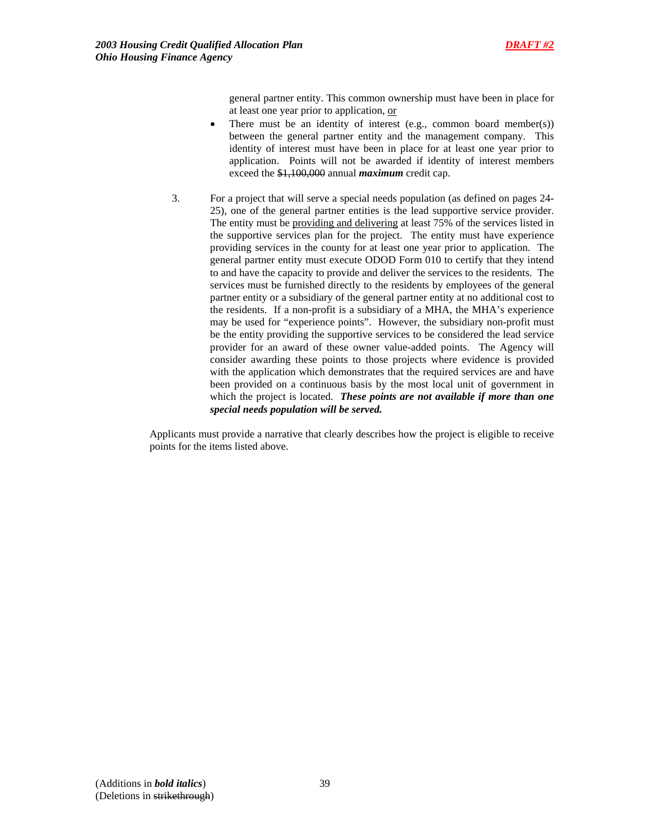

general partner entity. This common ownership must have been in place for at least one year prior to application, or

- There must be an identity of interest (e.g., common board member(s)) between the general partner entity and the management company. This identity of interest must have been in place for at least one year prior to application. Points will not be awarded if identity of interest members exceed the \$1,100,000 annual *maximum* credit cap.
- 3. For a project that will serve a special needs population (as defined on pages 24- 25), one of the general partner entities is the lead supportive service provider. The entity must be providing and delivering at least 75% of the services listed in the supportive services plan for the project. The entity must have experience providing services in the county for at least one year prior to application. The general partner entity must execute ODOD Form 010 to certify that they intend to and have the capacity to provide and deliver the services to the residents. The services must be furnished directly to the residents by employees of the general partner entity or a subsidiary of the general partner entity at no additional cost to the residents. If a non-profit is a subsidiary of a MHA, the MHA's experience may be used for "experience points". However, the subsidiary non-profit must be the entity providing the supportive services to be considered the lead service provider for an award of these owner value-added points. The Agency will consider awarding these points to those projects where evidence is provided with the application which demonstrates that the required services are and have been provided on a continuous basis by the most local unit of government in which the project is located. *These points are not available if more than one special needs population will be served.*

Applicants must provide a narrative that clearly describes how the project is eligible to receive points for the items listed above.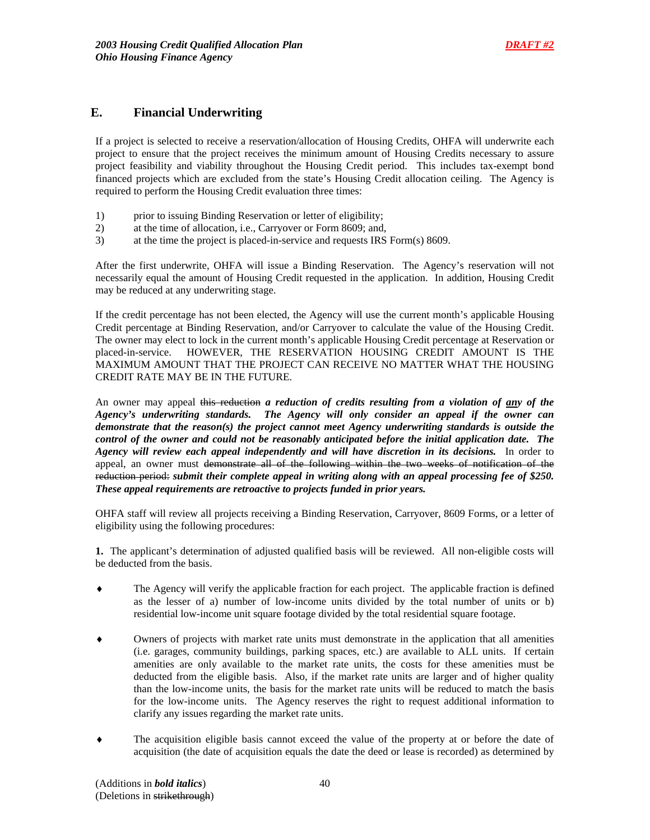# **E. Financial Underwriting**

If a project is selected to receive a reservation/allocation of Housing Credits, OHFA will underwrite each project to ensure that the project receives the minimum amount of Housing Credits necessary to assure project feasibility and viability throughout the Housing Credit period. This includes tax-exempt bond financed projects which are excluded from the state's Housing Credit allocation ceiling. The Agency is required to perform the Housing Credit evaluation three times:

- 1) prior to issuing Binding Reservation or letter of eligibility;
- 2) at the time of allocation, i.e., Carryover or Form 8609; and,
- 3) at the time the project is placed-in-service and requests IRS Form(s) 8609.

After the first underwrite, OHFA will issue a Binding Reservation. The Agency's reservation will not necessarily equal the amount of Housing Credit requested in the application. In addition, Housing Credit may be reduced at any underwriting stage.

If the credit percentage has not been elected, the Agency will use the current month's applicable Housing Credit percentage at Binding Reservation, and/or Carryover to calculate the value of the Housing Credit. The owner may elect to lock in the current month's applicable Housing Credit percentage at Reservation or placed-in-service. HOWEVER, THE RESERVATION HOUSING CREDIT AMOUNT IS THE MAXIMUM AMOUNT THAT THE PROJECT CAN RECEIVE NO MATTER WHAT THE HOUSING CREDIT RATE MAY BE IN THE FUTURE.

An owner may appeal this reduction *a reduction of credits resulting from a violation of any of the Agency's underwriting standards. The Agency will only consider an appeal if the owner can demonstrate that the reason(s) the project cannot meet Agency underwriting standards is outside the control of the owner and could not be reasonably anticipated before the initial application date. The Agency will review each appeal independently and will have discretion in its decisions.* In order to appeal, an owner must demonstrate all of the following within the two weeks of notification of the reduction period: *submit their complete appeal in writing along with an appeal processing fee of \$250. These appeal requirements are retroactive to projects funded in prior years.*

OHFA staff will review all projects receiving a Binding Reservation, Carryover, 8609 Forms, or a letter of eligibility using the following procedures:

**1.** The applicant's determination of adjusted qualified basis will be reviewed. All non-eligible costs will be deducted from the basis.

- ♦ The Agency will verify the applicable fraction for each project. The applicable fraction is defined as the lesser of a) number of low-income units divided by the total number of units or b) residential low-income unit square footage divided by the total residential square footage.
- ♦ Owners of projects with market rate units must demonstrate in the application that all amenities (i.e. garages, community buildings, parking spaces, etc.) are available to ALL units. If certain amenities are only available to the market rate units, the costs for these amenities must be deducted from the eligible basis. Also, if the market rate units are larger and of higher quality than the low-income units, the basis for the market rate units will be reduced to match the basis for the low-income units. The Agency reserves the right to request additional information to clarify any issues regarding the market rate units.
- The acquisition eligible basis cannot exceed the value of the property at or before the date of acquisition (the date of acquisition equals the date the deed or lease is recorded) as determined by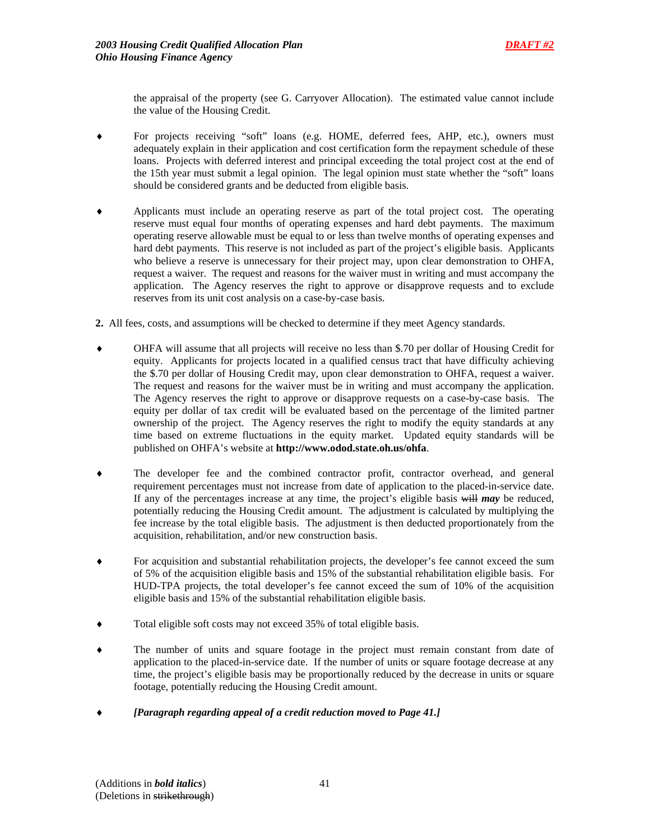the appraisal of the property (see G. Carryover Allocation). The estimated value cannot include the value of the Housing Credit.

- For projects receiving "soft" loans (e.g. HOME, deferred fees, AHP, etc.), owners must adequately explain in their application and cost certification form the repayment schedule of these loans. Projects with deferred interest and principal exceeding the total project cost at the end of the 15th year must submit a legal opinion. The legal opinion must state whether the "soft" loans should be considered grants and be deducted from eligible basis.
- Applicants must include an operating reserve as part of the total project cost. The operating reserve must equal four months of operating expenses and hard debt payments. The maximum operating reserve allowable must be equal to or less than twelve months of operating expenses and hard debt payments. This reserve is not included as part of the project's eligible basis. Applicants who believe a reserve is unnecessary for their project may, upon clear demonstration to OHFA, request a waiver. The request and reasons for the waiver must in writing and must accompany the application. The Agency reserves the right to approve or disapprove requests and to exclude reserves from its unit cost analysis on a case-by-case basis.
- **2.** All fees, costs, and assumptions will be checked to determine if they meet Agency standards.
- OHFA will assume that all projects will receive no less than \$.70 per dollar of Housing Credit for equity. Applicants for projects located in a qualified census tract that have difficulty achieving the \$.70 per dollar of Housing Credit may, upon clear demonstration to OHFA, request a waiver. The request and reasons for the waiver must be in writing and must accompany the application. The Agency reserves the right to approve or disapprove requests on a case-by-case basis. The equity per dollar of tax credit will be evaluated based on the percentage of the limited partner ownership of the project. The Agency reserves the right to modify the equity standards at any time based on extreme fluctuations in the equity market. Updated equity standards will be published on OHFA's website at **http://www.odod.state.oh.us/ohfa**.
- ♦ The developer fee and the combined contractor profit, contractor overhead, and general requirement percentages must not increase from date of application to the placed-in-service date. If any of the percentages increase at any time, the project's eligible basis will *may* be reduced, potentially reducing the Housing Credit amount. The adjustment is calculated by multiplying the fee increase by the total eligible basis. The adjustment is then deducted proportionately from the acquisition, rehabilitation, and/or new construction basis.
- For acquisition and substantial rehabilitation projects, the developer's fee cannot exceed the sum of 5% of the acquisition eligible basis and 15% of the substantial rehabilitation eligible basis. For HUD-TPA projects, the total developer's fee cannot exceed the sum of 10% of the acquisition eligible basis and 15% of the substantial rehabilitation eligible basis.
- Total eligible soft costs may not exceed 35% of total eligible basis.
- The number of units and square footage in the project must remain constant from date of application to the placed-in-service date. If the number of units or square footage decrease at any time, the project's eligible basis may be proportionally reduced by the decrease in units or square footage, potentially reducing the Housing Credit amount.
- ♦ *[Paragraph regarding appeal of a credit reduction moved to Page 41.]*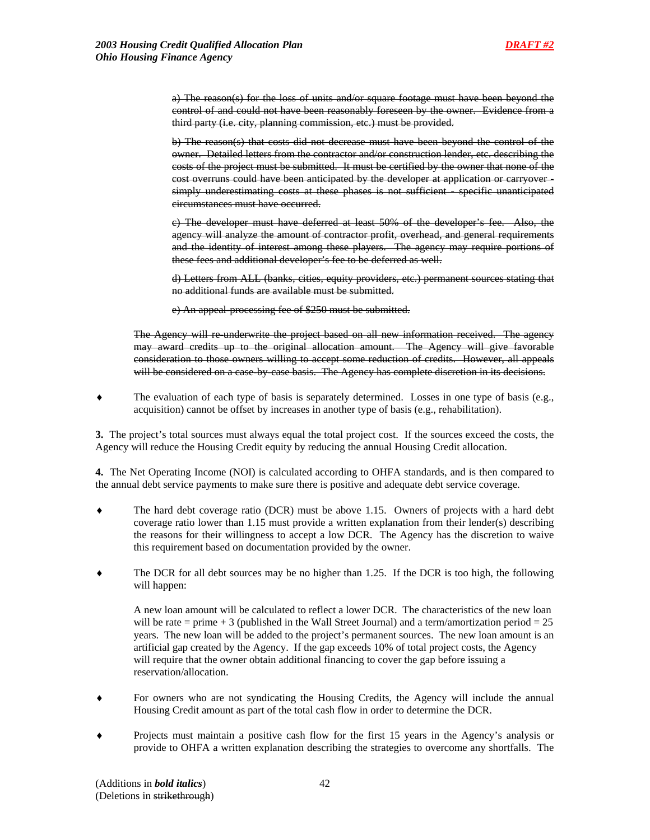a) The reason(s) for the loss of units and/or square footage must have been beyond the control of and could not have been reasonably foreseen by the owner. Evidence from a third party (i.e. city, planning commission, etc.) must be provided.

b) The reason(s) that costs did not decrease must have been beyond the control of the owner. Detailed letters from the contractor and/or construction lender, etc. describing the costs of the project must be submitted. It must be certified by the owner that none of the cost overruns could have been anticipated by the developer at application or carryover simply underestimating costs at these phases is not sufficient - specific unanticipated circumstances must have occurred.

c) The developer must have deferred at least 50% of the developer's fee. Also, the agency will analyze the amount of contractor profit, overhead, and general requirements and the identity of interest among these players. The agency may require portions of these fees and additional developer's fee to be deferred as well.

d) Letters from ALL (banks, cities, equity providers, etc.) permanent sources stating that no additional funds are available must be submitted.

e) An appeal-processing fee of \$250 must be submitted.

The Agency will re-underwrite the project based on all new information received. The agency may award credits up to the original allocation amount. The Agency will give favorable consideration to those owners willing to accept some reduction of credits. However, all appeals will be considered on a case-by-case basis. The Agency has complete discretion in its decisions.

♦ The evaluation of each type of basis is separately determined. Losses in one type of basis (e.g., acquisition) cannot be offset by increases in another type of basis (e.g., rehabilitation).

**3.** The project's total sources must always equal the total project cost. If the sources exceed the costs, the Agency will reduce the Housing Credit equity by reducing the annual Housing Credit allocation.

**4.** The Net Operating Income (NOI) is calculated according to OHFA standards, and is then compared to the annual debt service payments to make sure there is positive and adequate debt service coverage.

- ♦ The hard debt coverage ratio (DCR) must be above 1.15. Owners of projects with a hard debt coverage ratio lower than 1.15 must provide a written explanation from their lender(s) describing the reasons for their willingness to accept a low DCR. The Agency has the discretion to waive this requirement based on documentation provided by the owner.
- The DCR for all debt sources may be no higher than 1.25. If the DCR is too high, the following will happen:

A new loan amount will be calculated to reflect a lower DCR. The characteristics of the new loan will be rate = prime  $+3$  (published in the Wall Street Journal) and a term/amortization period = 25 years. The new loan will be added to the project's permanent sources. The new loan amount is an artificial gap created by the Agency. If the gap exceeds 10% of total project costs, the Agency will require that the owner obtain additional financing to cover the gap before issuing a reservation/allocation.

- For owners who are not syndicating the Housing Credits, the Agency will include the annual Housing Credit amount as part of the total cash flow in order to determine the DCR.
- Projects must maintain a positive cash flow for the first 15 years in the Agency's analysis or provide to OHFA a written explanation describing the strategies to overcome any shortfalls. The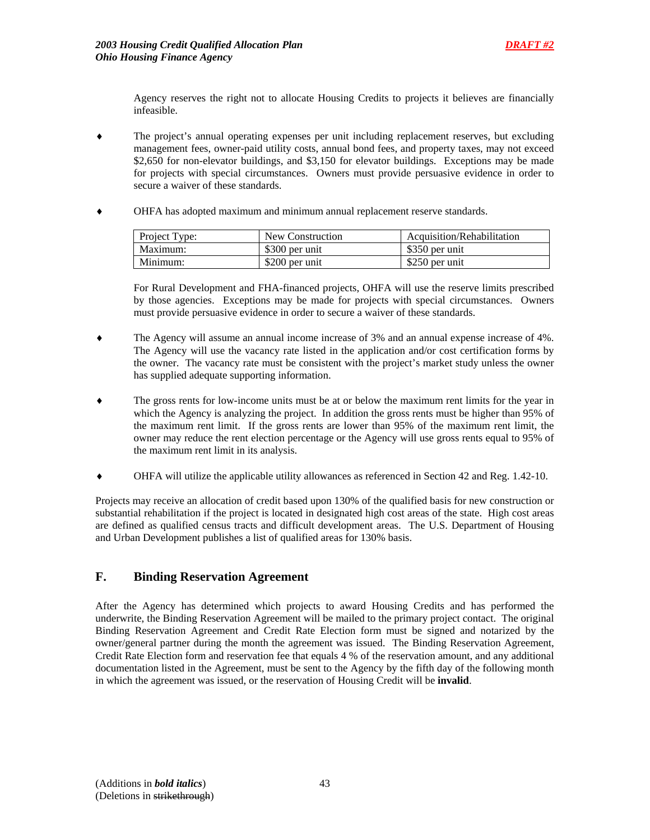Agency reserves the right not to allocate Housing Credits to projects it believes are financially infeasible.

- The project's annual operating expenses per unit including replacement reserves, but excluding management fees, owner-paid utility costs, annual bond fees, and property taxes, may not exceed \$2,650 for non-elevator buildings, and \$3,150 for elevator buildings. Exceptions may be made for projects with special circumstances. Owners must provide persuasive evidence in order to secure a waiver of these standards.
- OHFA has adopted maximum and minimum annual replacement reserve standards.

| Project Type: | New Construction | Acquisition/Rehabilitation |
|---------------|------------------|----------------------------|
| Maximum:      | \$300 per unit   | \$350 per unit             |
| Minimum:      | \$200 per unit   | \$250 per unit             |

For Rural Development and FHA-financed projects, OHFA will use the reserve limits prescribed by those agencies. Exceptions may be made for projects with special circumstances. Owners must provide persuasive evidence in order to secure a waiver of these standards.

- The Agency will assume an annual income increase of 3% and an annual expense increase of 4%. The Agency will use the vacancy rate listed in the application and/or cost certification forms by the owner. The vacancy rate must be consistent with the project's market study unless the owner has supplied adequate supporting information.
- The gross rents for low-income units must be at or below the maximum rent limits for the year in which the Agency is analyzing the project. In addition the gross rents must be higher than 95% of the maximum rent limit. If the gross rents are lower than 95% of the maximum rent limit, the owner may reduce the rent election percentage or the Agency will use gross rents equal to 95% of the maximum rent limit in its analysis.
- ♦ OHFA will utilize the applicable utility allowances as referenced in Section 42 and Reg. 1.42-10.

Projects may receive an allocation of credit based upon 130% of the qualified basis for new construction or substantial rehabilitation if the project is located in designated high cost areas of the state. High cost areas are defined as qualified census tracts and difficult development areas. The U.S. Department of Housing and Urban Development publishes a list of qualified areas for 130% basis.

## **F. Binding Reservation Agreement**

After the Agency has determined which projects to award Housing Credits and has performed the underwrite, the Binding Reservation Agreement will be mailed to the primary project contact. The original Binding Reservation Agreement and Credit Rate Election form must be signed and notarized by the owner/general partner during the month the agreement was issued. The Binding Reservation Agreement, Credit Rate Election form and reservation fee that equals 4 % of the reservation amount, and any additional documentation listed in the Agreement, must be sent to the Agency by the fifth day of the following month in which the agreement was issued, or the reservation of Housing Credit will be **invalid**.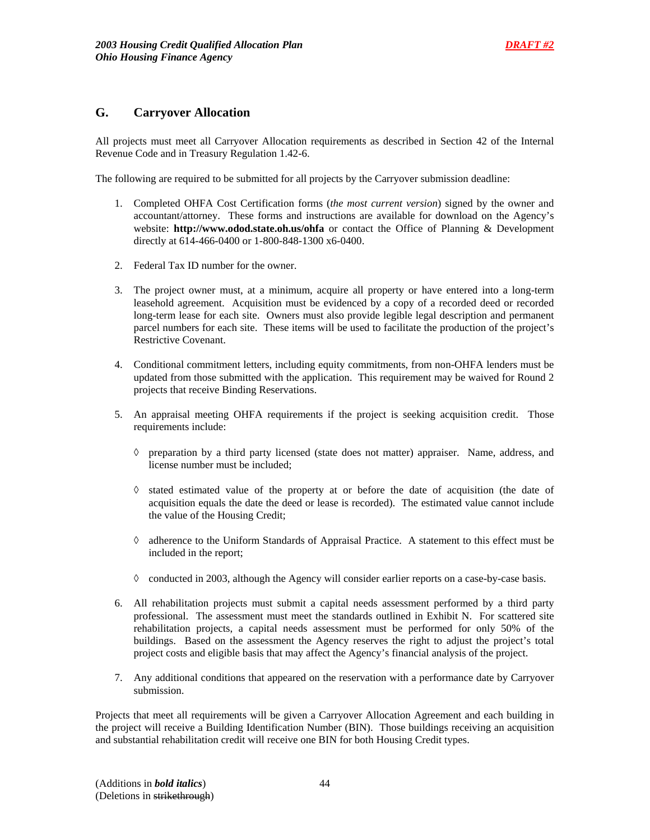## **G. Carryover Allocation**

All projects must meet all Carryover Allocation requirements as described in Section 42 of the Internal Revenue Code and in Treasury Regulation 1.42-6.

The following are required to be submitted for all projects by the Carryover submission deadline:

- 1. Completed OHFA Cost Certification forms (*the most current version*) signed by the owner and accountant/attorney. These forms and instructions are available for download on the Agency's website: **http://www.odod.state.oh.us/ohfa** or contact the Office of Planning & Development directly at 614-466-0400 or 1-800-848-1300 x6-0400.
- 2. Federal Tax ID number for the owner.
- 3. The project owner must, at a minimum, acquire all property or have entered into a long-term leasehold agreement. Acquisition must be evidenced by a copy of a recorded deed or recorded long-term lease for each site. Owners must also provide legible legal description and permanent parcel numbers for each site. These items will be used to facilitate the production of the project's Restrictive Covenant.
- 4. Conditional commitment letters, including equity commitments, from non-OHFA lenders must be updated from those submitted with the application. This requirement may be waived for Round 2 projects that receive Binding Reservations.
- 5. An appraisal meeting OHFA requirements if the project is seeking acquisition credit. Those requirements include:
	- ◊ preparation by a third party licensed (state does not matter) appraiser. Name, address, and license number must be included;
	- ◊ stated estimated value of the property at or before the date of acquisition (the date of acquisition equals the date the deed or lease is recorded). The estimated value cannot include the value of the Housing Credit;
	- ◊ adherence to the Uniform Standards of Appraisal Practice. A statement to this effect must be included in the report;
	- $\Diamond$  conducted in 2003, although the Agency will consider earlier reports on a case-by-case basis.
- 6. All rehabilitation projects must submit a capital needs assessment performed by a third party professional. The assessment must meet the standards outlined in Exhibit N. For scattered site rehabilitation projects, a capital needs assessment must be performed for only 50% of the buildings. Based on the assessment the Agency reserves the right to adjust the project's total project costs and eligible basis that may affect the Agency's financial analysis of the project.
- 7. Any additional conditions that appeared on the reservation with a performance date by Carryover submission.

Projects that meet all requirements will be given a Carryover Allocation Agreement and each building in the project will receive a Building Identification Number (BIN). Those buildings receiving an acquisition and substantial rehabilitation credit will receive one BIN for both Housing Credit types.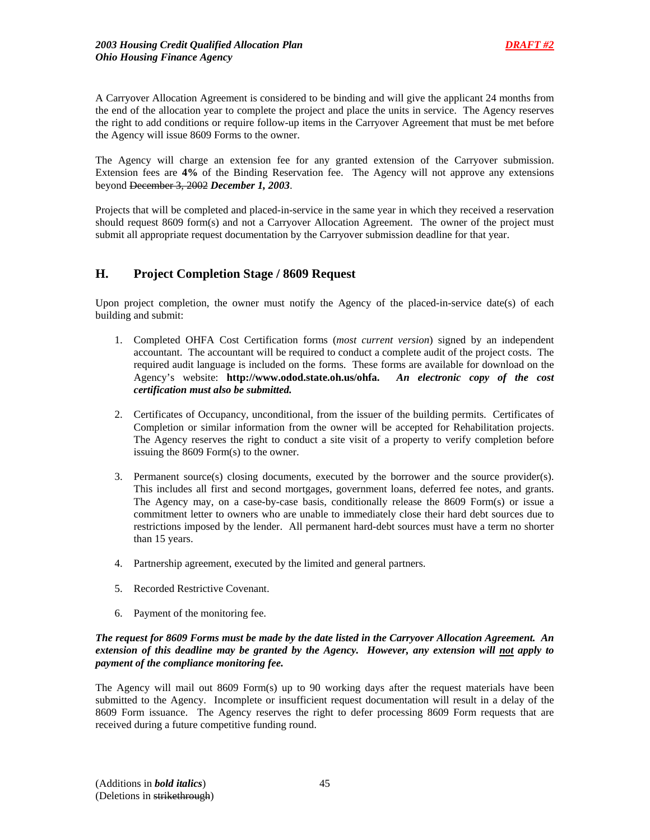A Carryover Allocation Agreement is considered to be binding and will give the applicant 24 months from the end of the allocation year to complete the project and place the units in service. The Agency reserves the right to add conditions or require follow-up items in the Carryover Agreement that must be met before the Agency will issue 8609 Forms to the owner.

The Agency will charge an extension fee for any granted extension of the Carryover submission. Extension fees are **4%** of the Binding Reservation fee. The Agency will not approve any extensions beyond December 3, 2002 *December 1, 2003*.

Projects that will be completed and placed-in-service in the same year in which they received a reservation should request 8609 form(s) and not a Carryover Allocation Agreement. The owner of the project must submit all appropriate request documentation by the Carryover submission deadline for that year.

# **H. Project Completion Stage / 8609 Request**

Upon project completion, the owner must notify the Agency of the placed-in-service date(s) of each building and submit:

- 1. Completed OHFA Cost Certification forms (*most current version*) signed by an independent accountant. The accountant will be required to conduct a complete audit of the project costs. The required audit language is included on the forms. These forms are available for download on the Agency's website: **http://www.odod.state.oh.us/ohfa.** *An electronic copy of the cost certification must also be submitted.*
- 2. Certificates of Occupancy, unconditional, from the issuer of the building permits. Certificates of Completion or similar information from the owner will be accepted for Rehabilitation projects. The Agency reserves the right to conduct a site visit of a property to verify completion before issuing the 8609 Form(s) to the owner.
- 3. Permanent source(s) closing documents, executed by the borrower and the source provider(s). This includes all first and second mortgages, government loans, deferred fee notes, and grants. The Agency may, on a case-by-case basis, conditionally release the 8609 Form(s) or issue a commitment letter to owners who are unable to immediately close their hard debt sources due to restrictions imposed by the lender. All permanent hard-debt sources must have a term no shorter than 15 years.
- 4. Partnership agreement, executed by the limited and general partners.
- 5. Recorded Restrictive Covenant.
- 6. Payment of the monitoring fee.

### *The request for 8609 Forms must be made by the date listed in the Carryover Allocation Agreement. An extension of this deadline may be granted by the Agency. However, any extension will not apply to payment of the compliance monitoring fee.*

The Agency will mail out 8609 Form(s) up to 90 working days after the request materials have been submitted to the Agency. Incomplete or insufficient request documentation will result in a delay of the 8609 Form issuance. The Agency reserves the right to defer processing 8609 Form requests that are received during a future competitive funding round.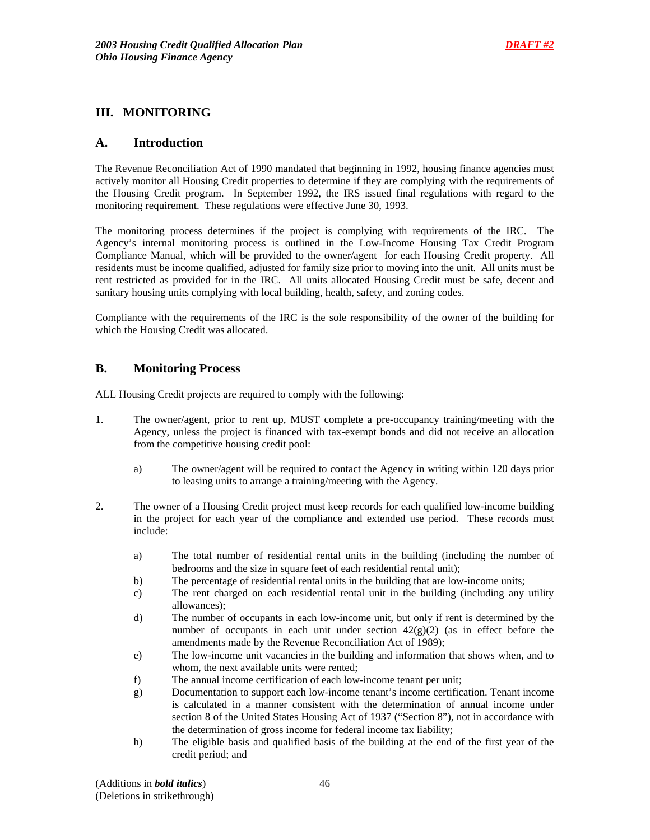## **III. MONITORING**

### **A. Introduction**

The Revenue Reconciliation Act of 1990 mandated that beginning in 1992, housing finance agencies must actively monitor all Housing Credit properties to determine if they are complying with the requirements of the Housing Credit program. In September 1992, the IRS issued final regulations with regard to the monitoring requirement. These regulations were effective June 30, 1993.

The monitoring process determines if the project is complying with requirements of the IRC. The Agency's internal monitoring process is outlined in the Low-Income Housing Tax Credit Program Compliance Manual, which will be provided to the owner/agent for each Housing Credit property. All residents must be income qualified, adjusted for family size prior to moving into the unit. All units must be rent restricted as provided for in the IRC. All units allocated Housing Credit must be safe, decent and sanitary housing units complying with local building, health, safety, and zoning codes.

Compliance with the requirements of the IRC is the sole responsibility of the owner of the building for which the Housing Credit was allocated.

## **B. Monitoring Process**

ALL Housing Credit projects are required to comply with the following:

- 1. The owner/agent, prior to rent up, MUST complete a pre-occupancy training/meeting with the Agency, unless the project is financed with tax-exempt bonds and did not receive an allocation from the competitive housing credit pool:
	- a) The owner/agent will be required to contact the Agency in writing within 120 days prior to leasing units to arrange a training/meeting with the Agency.
- 2. The owner of a Housing Credit project must keep records for each qualified low-income building in the project for each year of the compliance and extended use period. These records must include:
	- a) The total number of residential rental units in the building (including the number of bedrooms and the size in square feet of each residential rental unit);
	- b) The percentage of residential rental units in the building that are low-income units;
	- c) The rent charged on each residential rental unit in the building (including any utility allowances);
	- d) The number of occupants in each low-income unit, but only if rent is determined by the number of occupants in each unit under section  $42(g)(2)$  (as in effect before the amendments made by the Revenue Reconciliation Act of 1989);
	- e) The low-income unit vacancies in the building and information that shows when, and to whom, the next available units were rented;
	- f) The annual income certification of each low-income tenant per unit;
	- g) Documentation to support each low-income tenant's income certification. Tenant income is calculated in a manner consistent with the determination of annual income under section 8 of the United States Housing Act of 1937 ("Section 8"), not in accordance with the determination of gross income for federal income tax liability;
	- h) The eligible basis and qualified basis of the building at the end of the first year of the credit period; and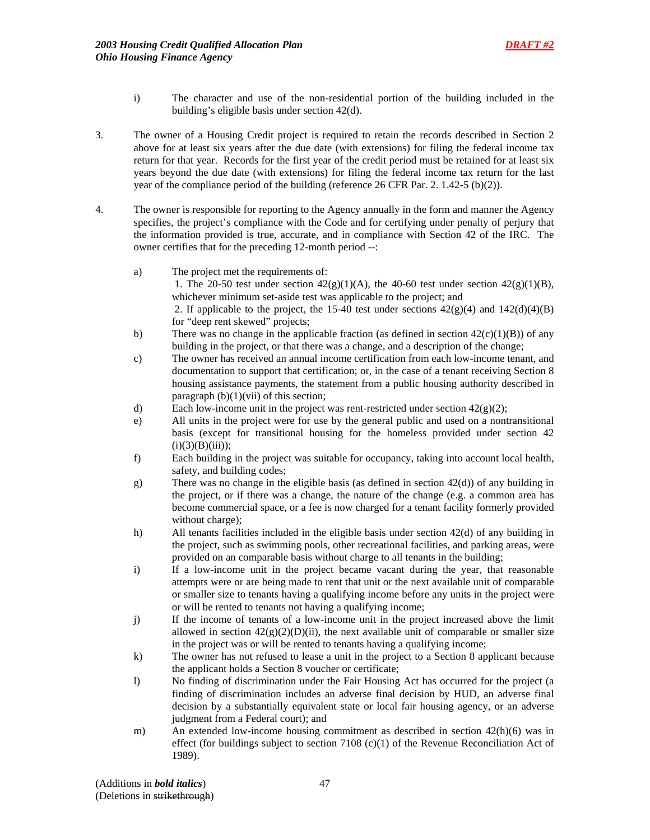- i) The character and use of the non-residential portion of the building included in the building's eligible basis under section 42(d).
- 3. The owner of a Housing Credit project is required to retain the records described in Section 2 above for at least six years after the due date (with extensions) for filing the federal income tax return for that year. Records for the first year of the credit period must be retained for at least six years beyond the due date (with extensions) for filing the federal income tax return for the last year of the compliance period of the building (reference 26 CFR Par. 2. 1.42-5 (b)(2)).
- 4. The owner is responsible for reporting to the Agency annually in the form and manner the Agency specifies, the project's compliance with the Code and for certifying under penalty of perjury that the information provided is true, accurate, and in compliance with Section 42 of the IRC. The owner certifies that for the preceding 12-month period --:
	- a) The project met the requirements of: 1. The 20-50 test under section  $42(g)(1)(A)$ , the 40-60 test under section  $42(g)(1)(B)$ , whichever minimum set-aside test was applicable to the project; and 2. If applicable to the project, the 15-40 test under sections  $42(g)(4)$  and  $142(d)(4)(B)$ for "deep rent skewed" projects;
	- b) There was no change in the applicable fraction (as defined in section  $42(c)(1)(B)$ ) of any building in the project, or that there was a change, and a description of the change;
	- c) The owner has received an annual income certification from each low-income tenant, and documentation to support that certification; or, in the case of a tenant receiving Section 8 housing assistance payments, the statement from a public housing authority described in paragraph  $(b)(1)(vii)$  of this section;
	- d) Each low-income unit in the project was rent-restricted under section  $42(g)(2)$ ;
	- e) All units in the project were for use by the general public and used on a nontransitional basis (except for transitional housing for the homeless provided under section 42  $(i)(3)(B)(iii)$ ;
	- f) Each building in the project was suitable for occupancy, taking into account local health, safety, and building codes;
	- g) There was no change in the eligible basis (as defined in section 42(d)) of any building in the project, or if there was a change, the nature of the change (e.g. a common area has become commercial space, or a fee is now charged for a tenant facility formerly provided without charge);
	- h) All tenants facilities included in the eligible basis under section 42(d) of any building in the project, such as swimming pools, other recreational facilities, and parking areas, were provided on an comparable basis without charge to all tenants in the building;
	- i) If a low-income unit in the project became vacant during the year, that reasonable attempts were or are being made to rent that unit or the next available unit of comparable or smaller size to tenants having a qualifying income before any units in the project were or will be rented to tenants not having a qualifying income;
	- j) If the income of tenants of a low-income unit in the project increased above the limit allowed in section  $42(g)(2)(D)(ii)$ , the next available unit of comparable or smaller size in the project was or will be rented to tenants having a qualifying income;
	- k) The owner has not refused to lease a unit in the project to a Section 8 applicant because the applicant holds a Section 8 voucher or certificate;
	- l) No finding of discrimination under the Fair Housing Act has occurred for the project (a finding of discrimination includes an adverse final decision by HUD, an adverse final decision by a substantially equivalent state or local fair housing agency, or an adverse judgment from a Federal court); and
	- m) An extended low-income housing commitment as described in section 42(h)(6) was in effect (for buildings subject to section 7108  $(c)(1)$  of the Revenue Reconciliation Act of 1989).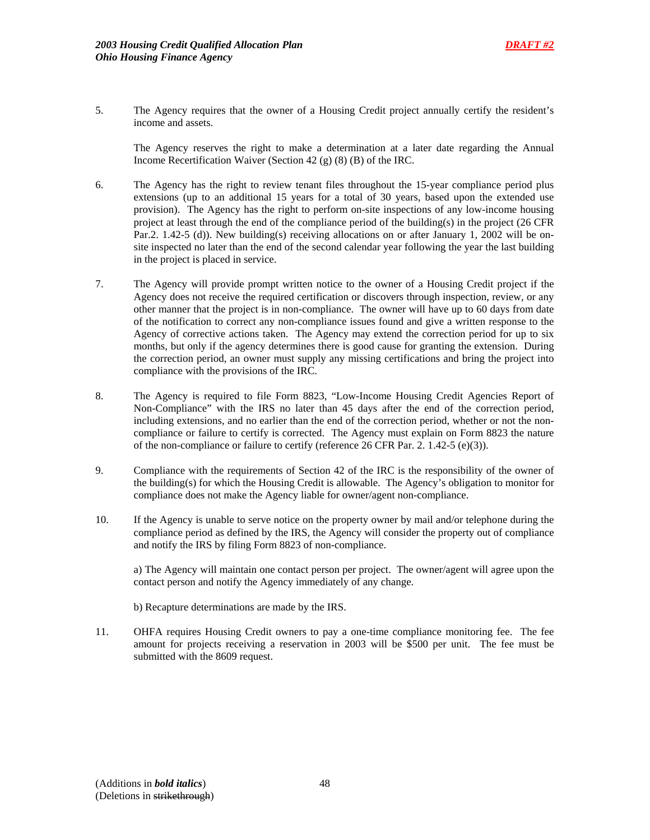

5. The Agency requires that the owner of a Housing Credit project annually certify the resident's income and assets.

 The Agency reserves the right to make a determination at a later date regarding the Annual Income Recertification Waiver (Section 42 (g) (8) (B) of the IRC.

- 6. The Agency has the right to review tenant files throughout the 15-year compliance period plus extensions (up to an additional 15 years for a total of 30 years, based upon the extended use provision). The Agency has the right to perform on-site inspections of any low-income housing project at least through the end of the compliance period of the building(s) in the project (26 CFR Par.2. 1.42-5 (d)). New building(s) receiving allocations on or after January 1, 2002 will be onsite inspected no later than the end of the second calendar year following the year the last building in the project is placed in service.
- 7. The Agency will provide prompt written notice to the owner of a Housing Credit project if the Agency does not receive the required certification or discovers through inspection, review, or any other manner that the project is in non-compliance. The owner will have up to 60 days from date of the notification to correct any non-compliance issues found and give a written response to the Agency of corrective actions taken. The Agency may extend the correction period for up to six months, but only if the agency determines there is good cause for granting the extension. During the correction period, an owner must supply any missing certifications and bring the project into compliance with the provisions of the IRC.
- 8. The Agency is required to file Form 8823, "Low-Income Housing Credit Agencies Report of Non-Compliance" with the IRS no later than 45 days after the end of the correction period, including extensions, and no earlier than the end of the correction period, whether or not the noncompliance or failure to certify is corrected. The Agency must explain on Form 8823 the nature of the non-compliance or failure to certify (reference 26 CFR Par. 2. 1.42-5 (e)(3)).
- 9. Compliance with the requirements of Section 42 of the IRC is the responsibility of the owner of the building(s) for which the Housing Credit is allowable. The Agency's obligation to monitor for compliance does not make the Agency liable for owner/agent non-compliance.
- 10. If the Agency is unable to serve notice on the property owner by mail and/or telephone during the compliance period as defined by the IRS, the Agency will consider the property out of compliance and notify the IRS by filing Form 8823 of non-compliance.

 a) The Agency will maintain one contact person per project. The owner/agent will agree upon the contact person and notify the Agency immediately of any change.

- b) Recapture determinations are made by the IRS.
- 11. OHFA requires Housing Credit owners to pay a one-time compliance monitoring fee. The fee amount for projects receiving a reservation in 2003 will be \$500 per unit. The fee must be submitted with the 8609 request.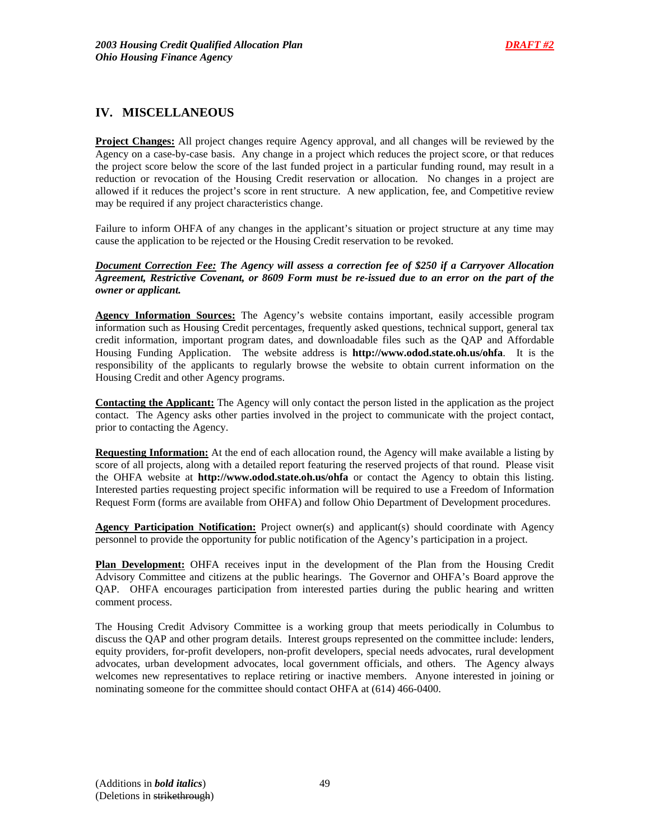# **IV. MISCELLANEOUS**

**Project Changes:** All project changes require Agency approval, and all changes will be reviewed by the Agency on a case-by-case basis. Any change in a project which reduces the project score, or that reduces the project score below the score of the last funded project in a particular funding round, may result in a reduction or revocation of the Housing Credit reservation or allocation. No changes in a project are allowed if it reduces the project's score in rent structure. A new application, fee, and Competitive review may be required if any project characteristics change.

Failure to inform OHFA of any changes in the applicant's situation or project structure at any time may cause the application to be rejected or the Housing Credit reservation to be revoked.

*Document Correction Fee: The Agency will assess a correction fee of \$250 if a Carryover Allocation Agreement, Restrictive Covenant, or 8609 Form must be re-issued due to an error on the part of the owner or applicant.* 

**Agency Information Sources:** The Agency's website contains important, easily accessible program information such as Housing Credit percentages, frequently asked questions, technical support, general tax credit information, important program dates, and downloadable files such as the QAP and Affordable Housing Funding Application. The website address is **http://www.odod.state.oh.us/ohfa**. It is the responsibility of the applicants to regularly browse the website to obtain current information on the Housing Credit and other Agency programs.

**Contacting the Applicant:** The Agency will only contact the person listed in the application as the project contact. The Agency asks other parties involved in the project to communicate with the project contact, prior to contacting the Agency.

**Requesting Information:** At the end of each allocation round, the Agency will make available a listing by score of all projects, along with a detailed report featuring the reserved projects of that round. Please visit the OHFA website at **http://www.odod.state.oh.us/ohfa** or contact the Agency to obtain this listing. Interested parties requesting project specific information will be required to use a Freedom of Information Request Form (forms are available from OHFA) and follow Ohio Department of Development procedures.

**Agency Participation Notification:** Project owner(s) and applicant(s) should coordinate with Agency personnel to provide the opportunity for public notification of the Agency's participation in a project.

**Plan Development:** OHFA receives input in the development of the Plan from the Housing Credit Advisory Committee and citizens at the public hearings. The Governor and OHFA's Board approve the QAP. OHFA encourages participation from interested parties during the public hearing and written comment process.

The Housing Credit Advisory Committee is a working group that meets periodically in Columbus to discuss the QAP and other program details. Interest groups represented on the committee include: lenders, equity providers, for-profit developers, non-profit developers, special needs advocates, rural development advocates, urban development advocates, local government officials, and others. The Agency always welcomes new representatives to replace retiring or inactive members. Anyone interested in joining or nominating someone for the committee should contact OHFA at (614) 466-0400.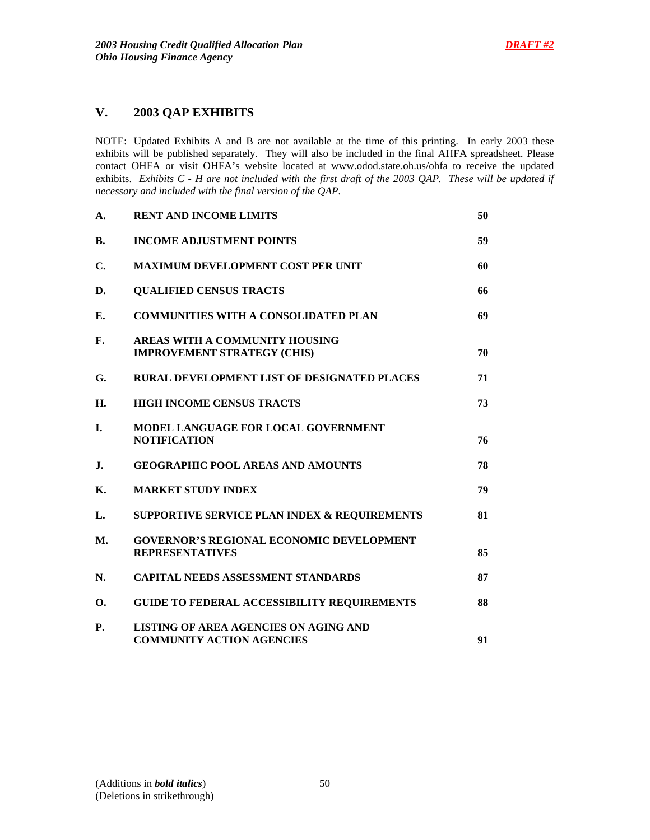# **V. 2003 QAP EXHIBITS**

NOTE: Updated Exhibits A and B are not available at the time of this printing. In early 2003 these exhibits will be published separately. They will also be included in the final AHFA spreadsheet. Please contact OHFA or visit OHFA's website located at www.odod.state.oh.us/ohfa to receive the updated exhibits. *Exhibits C - H are not included with the first draft of the 2003 QAP. These will be updated if necessary and included with the final version of the QAP.*

| A.             | <b>RENT AND INCOME LIMITS</b>                                                    | 50 |
|----------------|----------------------------------------------------------------------------------|----|
| <b>B.</b>      | <b>INCOME ADJUSTMENT POINTS</b>                                                  | 59 |
| C.             | <b>MAXIMUM DEVELOPMENT COST PER UNIT</b>                                         | 60 |
| D.             | <b>QUALIFIED CENSUS TRACTS</b>                                                   | 66 |
| Е.             | <b>COMMUNITIES WITH A CONSOLIDATED PLAN</b>                                      | 69 |
| $\mathbf{F}$ . | AREAS WITH A COMMUNITY HOUSING<br><b>IMPROVEMENT STRATEGY (CHIS)</b>             | 70 |
| G.             | <b>RURAL DEVELOPMENT LIST OF DESIGNATED PLACES</b>                               | 71 |
| Н.             | <b>HIGH INCOME CENSUS TRACTS</b>                                                 | 73 |
| I.             | MODEL LANGUAGE FOR LOCAL GOVERNMENT<br><b>NOTIFICATION</b>                       | 76 |
| $\mathbf{J}$ . | <b>GEOGRAPHIC POOL AREAS AND AMOUNTS</b>                                         | 78 |
| Κ.             | <b>MARKET STUDY INDEX</b>                                                        | 79 |
| L.             | <b>SUPPORTIVE SERVICE PLAN INDEX &amp; REQUIREMENTS</b>                          | 81 |
| <b>M.</b>      | <b>GOVERNOR'S REGIONAL ECONOMIC DEVELOPMENT</b><br><b>REPRESENTATIVES</b>        | 85 |
| N.             | <b>CAPITAL NEEDS ASSESSMENT STANDARDS</b>                                        | 87 |
| 0.             | <b>GUIDE TO FEDERAL ACCESSIBILITY REQUIREMENTS</b>                               | 88 |
| <b>P.</b>      | <b>LISTING OF AREA AGENCIES ON AGING AND</b><br><b>COMMUNITY ACTION AGENCIES</b> | 91 |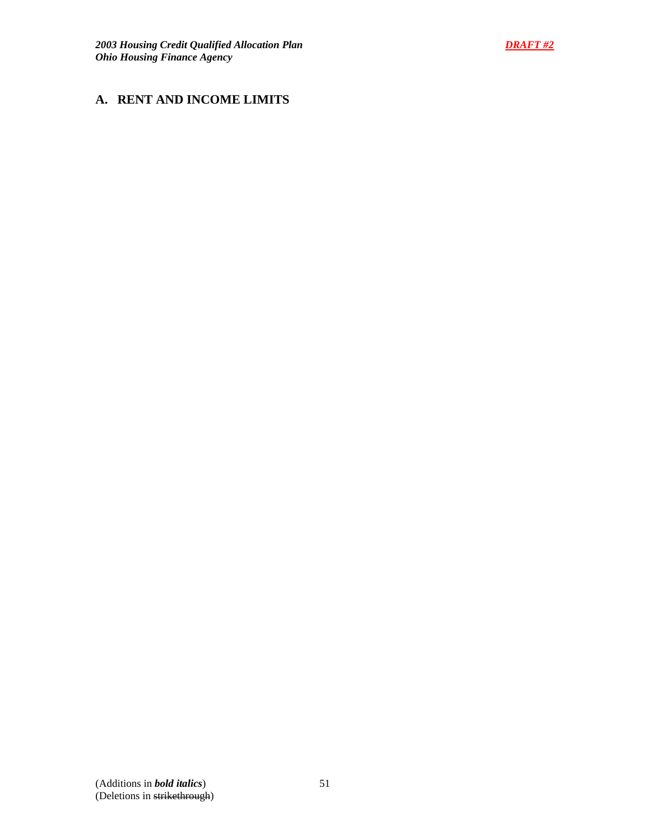# **A. RENT AND INCOME LIMITS**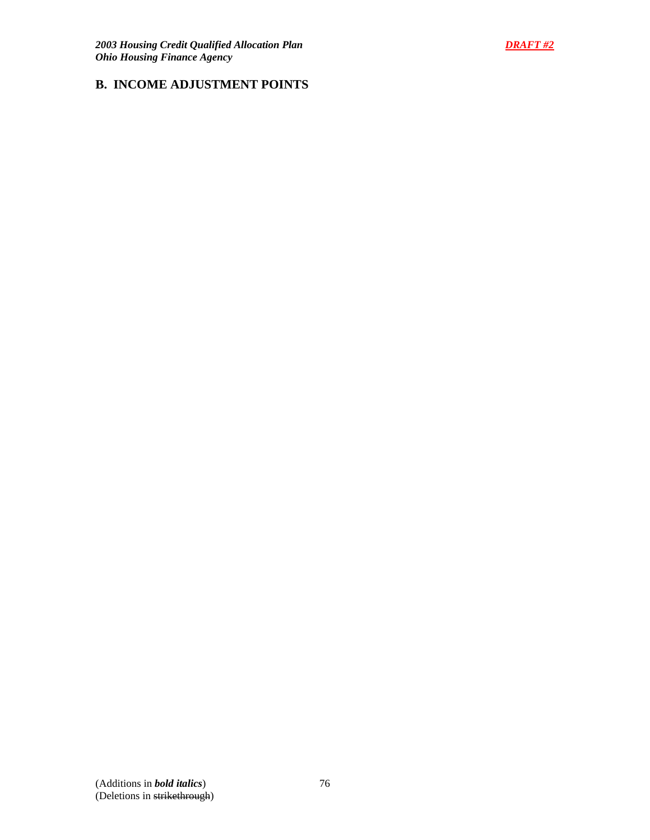# **B. INCOME ADJUSTMENT POINTS**

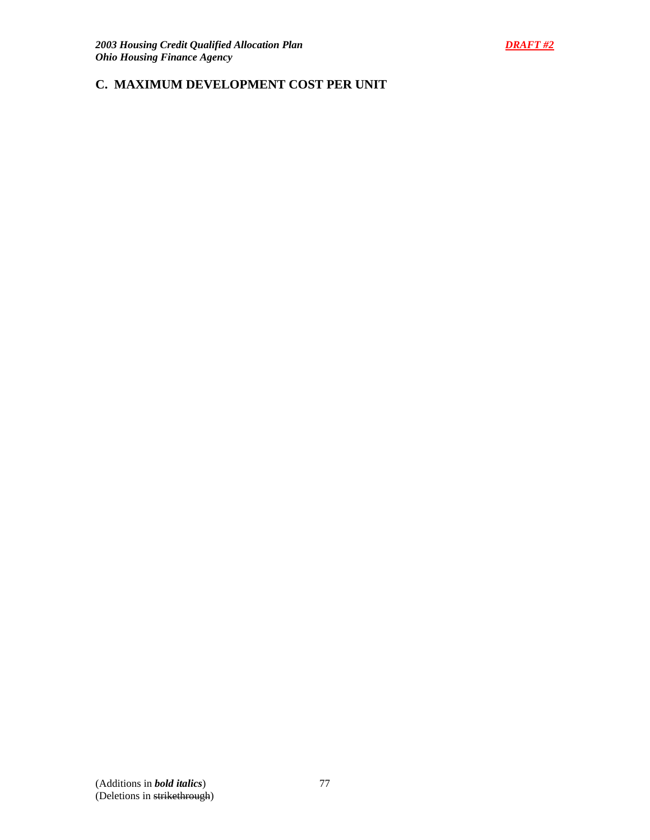# **C. MAXIMUM DEVELOPMENT COST PER UNIT**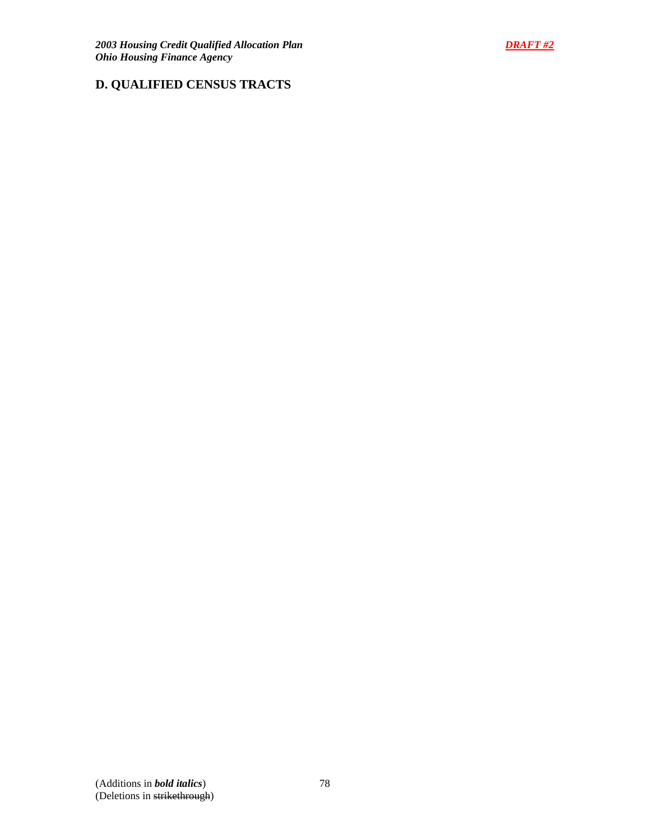

# **D. QUALIFIED CENSUS TRACTS**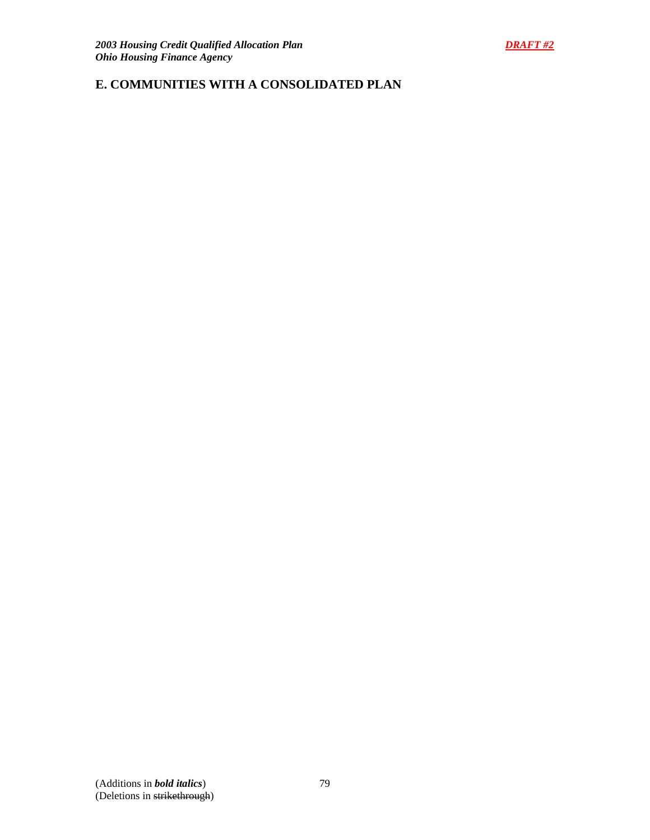# **E. COMMUNITIES WITH A CONSOLIDATED PLAN**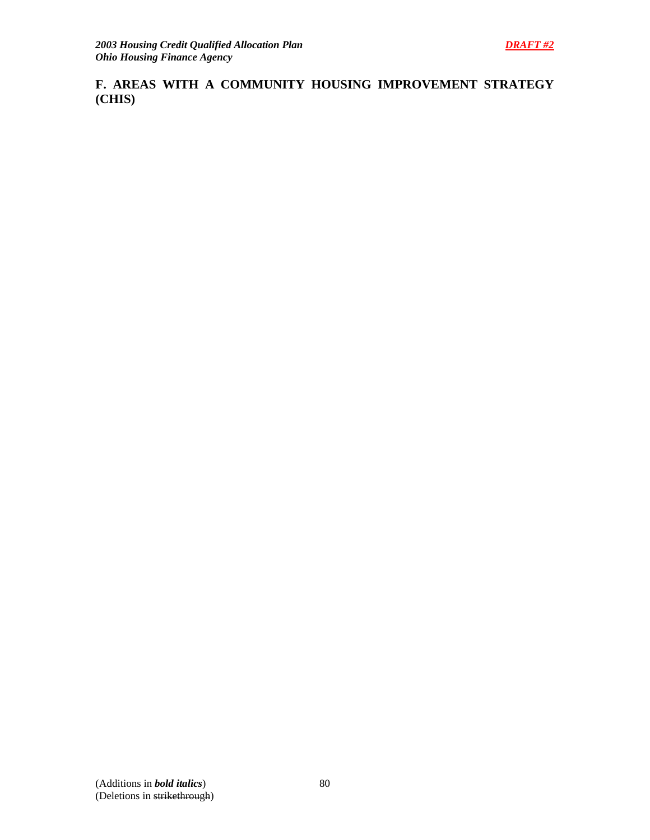**F. AREAS WITH A COMMUNITY HOUSING IMPROVEMENT STRATEGY (CHIS)**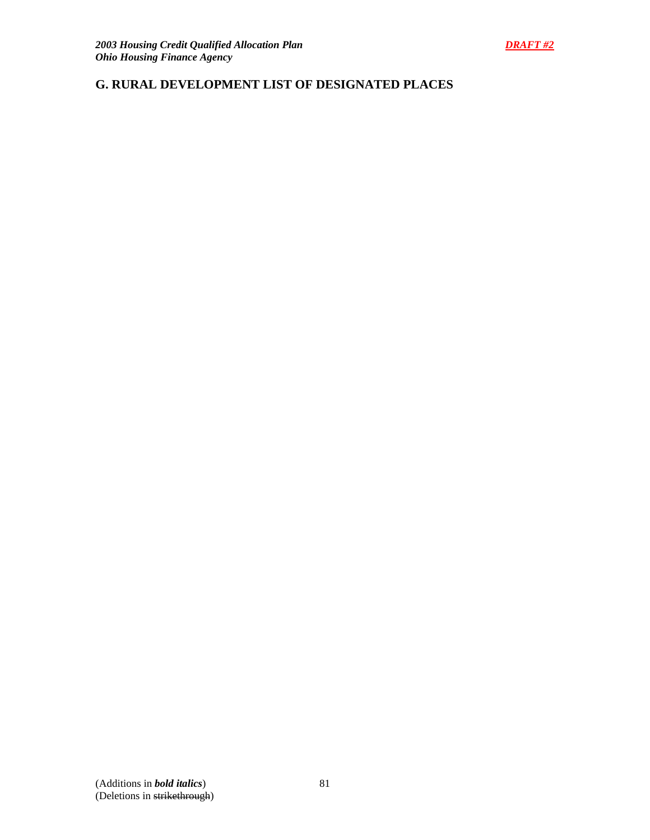# **G. RURAL DEVELOPMENT LIST OF DESIGNATED PLACES**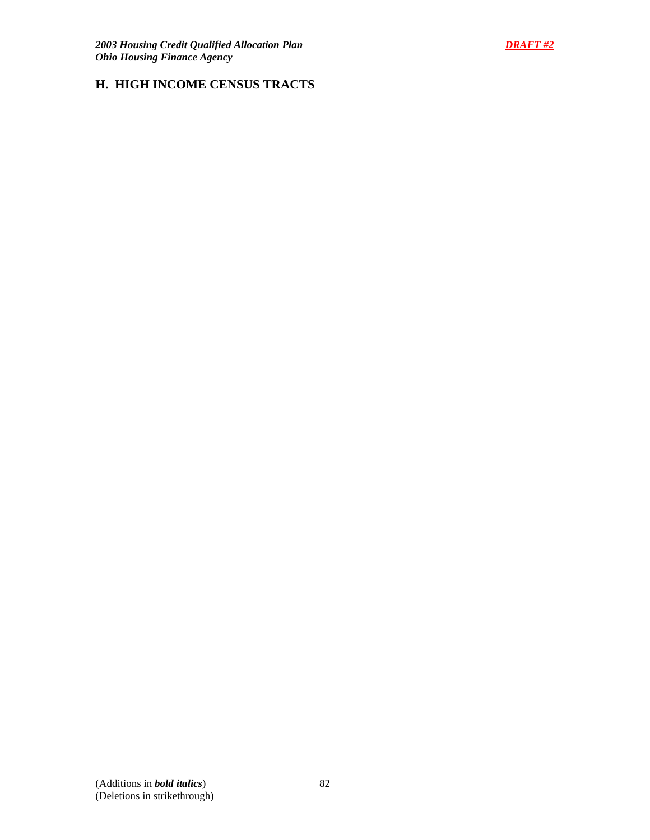# **H. HIGH INCOME CENSUS TRACTS**

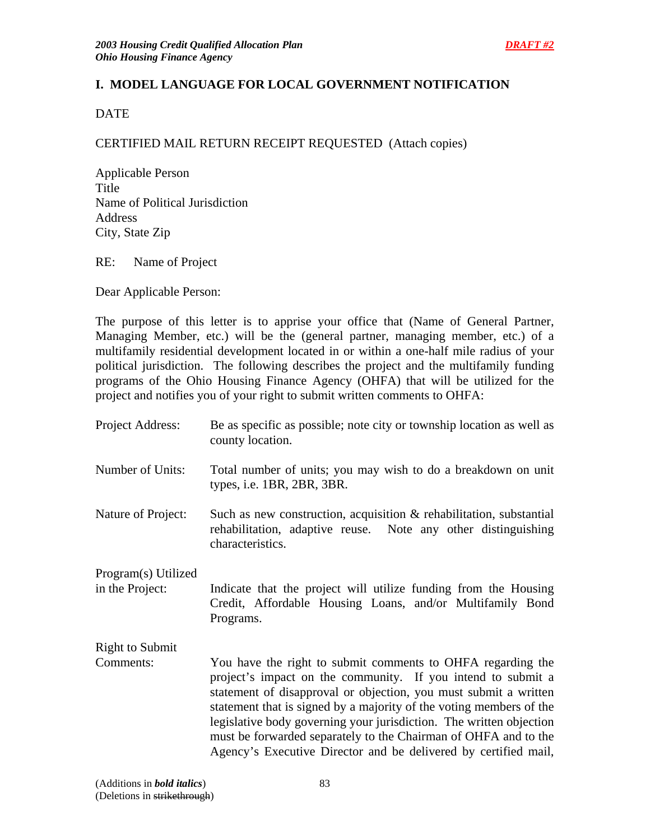# **I. MODEL LANGUAGE FOR LOCAL GOVERNMENT NOTIFICATION**

**DATE** 

# CERTIFIED MAIL RETURN RECEIPT REQUESTED (Attach copies)

Applicable Person Title Name of Political Jurisdiction Address City, State Zip

RE: Name of Project

Dear Applicable Person:

The purpose of this letter is to apprise your office that (Name of General Partner, Managing Member, etc.) will be the (general partner, managing member, etc.) of a multifamily residential development located in or within a one-half mile radius of your political jurisdiction. The following describes the project and the multifamily funding programs of the Ohio Housing Finance Agency (OHFA) that will be utilized for the project and notifies you of your right to submit written comments to OHFA:

| Project Address:                       | Be as specific as possible; note city or township location as well as<br>county location.                                                                                                                                                                                                                                                                                                                                                                                           |
|----------------------------------------|-------------------------------------------------------------------------------------------------------------------------------------------------------------------------------------------------------------------------------------------------------------------------------------------------------------------------------------------------------------------------------------------------------------------------------------------------------------------------------------|
| Number of Units:                       | Total number of units; you may wish to do a breakdown on unit<br>types, i.e. 1BR, 2BR, 3BR.                                                                                                                                                                                                                                                                                                                                                                                         |
| Nature of Project:                     | Such as new construction, acquisition $\&$ rehabilitation, substantial<br>rehabilitation, adaptive reuse. Note any other distinguishing<br>characteristics.                                                                                                                                                                                                                                                                                                                         |
| Program(s) Utilized<br>in the Project: | Indicate that the project will utilize funding from the Housing<br>Credit, Affordable Housing Loans, and/or Multifamily Bond<br>Programs.                                                                                                                                                                                                                                                                                                                                           |
| <b>Right to Submit</b>                 |                                                                                                                                                                                                                                                                                                                                                                                                                                                                                     |
| Comments:                              | You have the right to submit comments to OHFA regarding the<br>project's impact on the community. If you intend to submit a<br>statement of disapproval or objection, you must submit a written<br>statement that is signed by a majority of the voting members of the<br>legislative body governing your jurisdiction. The written objection<br>must be forwarded separately to the Chairman of OHFA and to the<br>Agency's Executive Director and be delivered by certified mail, |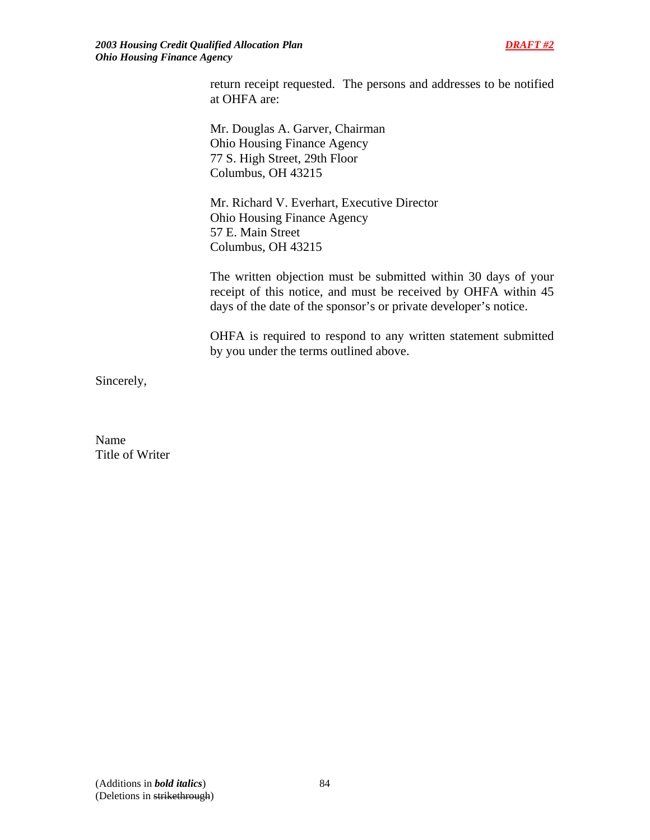return receipt requested. The persons and addresses to be notified at OHFA are:

Mr. Douglas A. Garver, Chairman Ohio Housing Finance Agency 77 S. High Street, 29th Floor Columbus, OH 43215

 Mr. Richard V. Everhart, Executive Director Ohio Housing Finance Agency 57 E. Main Street Columbus, OH 43215

The written objection must be submitted within 30 days of your receipt of this notice, and must be received by OHFA within 45 days of the date of the sponsor's or private developer's notice.

OHFA is required to respond to any written statement submitted by you under the terms outlined above.

Sincerely,

Name Title of Writer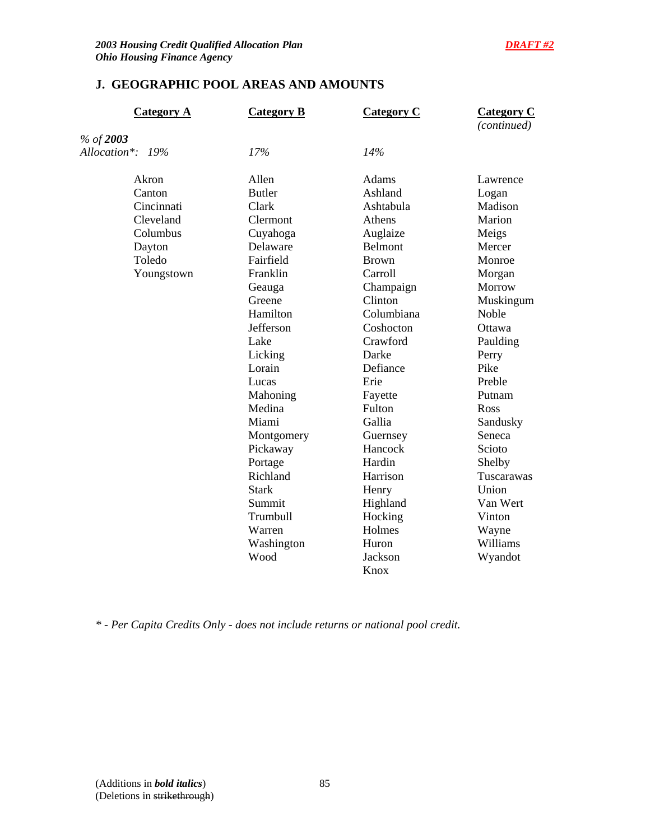# **J. GEOGRAPHIC POOL AREAS AND AMOUNTS**

| <b>Category A</b> | <b>Category B</b> | <b>Category C</b> | <b>Category C</b><br>(continued) |
|-------------------|-------------------|-------------------|----------------------------------|
| % of 2003         |                   |                   |                                  |
| Allocation*: 19%  | 17%               | 14%               |                                  |
| Akron             | Allen             | Adams             | Lawrence                         |
| Canton            | <b>Butler</b>     | Ashland           | Logan                            |
| Cincinnati        | Clark             | Ashtabula         | Madison                          |
| Cleveland         | Clermont          | Athens            | Marion                           |
| Columbus          | Cuyahoga          | Auglaize          | Meigs                            |
| Dayton            | Delaware          | Belmont           | Mercer                           |
| Toledo            | Fairfield         | <b>Brown</b>      | Monroe                           |
| Youngstown        | Franklin          | Carroll           | Morgan                           |
|                   | Geauga            | Champaign         | Morrow                           |
|                   | Greene            | Clinton           | Muskingum                        |
|                   | Hamilton          | Columbiana        | Noble                            |
|                   | Jefferson         | Coshocton         | Ottawa                           |
|                   | Lake              | Crawford          | Paulding                         |
|                   | Licking           | Darke             | Perry                            |
|                   | Lorain            | Defiance          | Pike                             |
|                   | Lucas             | Erie              | Preble                           |
|                   | Mahoning          | Fayette           | Putnam                           |
|                   | Medina            | Fulton            | Ross                             |
|                   | Miami             | Gallia            | Sandusky                         |
|                   | Montgomery        | Guernsey          | Seneca                           |
|                   | Pickaway          | Hancock           | Scioto                           |
|                   | Portage           | Hardin            | Shelby                           |
|                   | Richland          | Harrison          | Tuscarawas                       |
|                   | <b>Stark</b>      | Henry             | Union                            |
|                   | Summit            | Highland          | Van Wert                         |
|                   | Trumbull          | Hocking           | Vinton                           |
|                   | Warren            | Holmes            | Wayne                            |
|                   | Washington        | Huron             | Williams                         |
|                   | Wood              | Jackson           | Wyandot                          |
|                   |                   | Knox              |                                  |

*\* - Per Capita Credits Only - does not include returns or national pool credit.*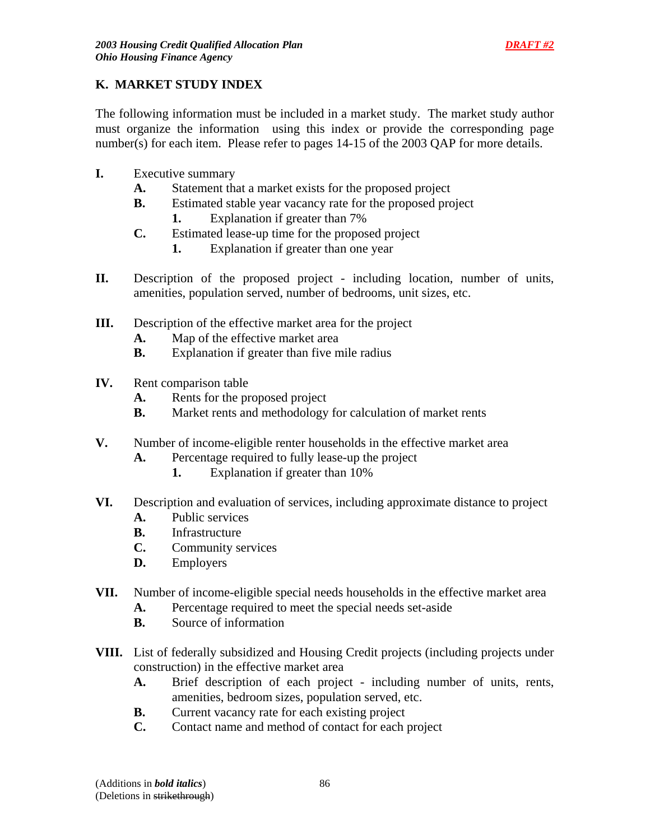# **K. MARKET STUDY INDEX**

The following information must be included in a market study. The market study author must organize the information using this index or provide the corresponding page number(s) for each item. Please refer to pages 14-15 of the 2003 QAP for more details.

- **I.** Executive summary
	- **A.** Statement that a market exists for the proposed project
	- **B.** Estimated stable year vacancy rate for the proposed project
		- **1.** Explanation if greater than 7%
	- **C.** Estimated lease-up time for the proposed project
		- **1.** Explanation if greater than one year
- **II.** Description of the proposed project including location, number of units, amenities, population served, number of bedrooms, unit sizes, etc.
- **III.** Description of the effective market area for the project
	- **A.** Map of the effective market area
	- **B.** Explanation if greater than five mile radius
- **IV.** Rent comparison table
	- **A.** Rents for the proposed project
	- **B.** Market rents and methodology for calculation of market rents
- **V.** Number of income-eligible renter households in the effective market area
	- **A.** Percentage required to fully lease-up the project
		- **1.** Explanation if greater than 10%
- **VI.** Description and evaluation of services, including approximate distance to project
	- **A.** Public services
	- **B.** Infrastructure
	- **C.** Community services
	- **D.** Employers
- **VII.** Number of income-eligible special needs households in the effective market area
	- **A.** Percentage required to meet the special needs set-aside
	- **B.** Source of information
- **VIII.** List of federally subsidized and Housing Credit projects (including projects under construction) in the effective market area
	- **A.** Brief description of each project including number of units, rents, amenities, bedroom sizes, population served, etc.
	- **B.** Current vacancy rate for each existing project
	- **C.** Contact name and method of contact for each project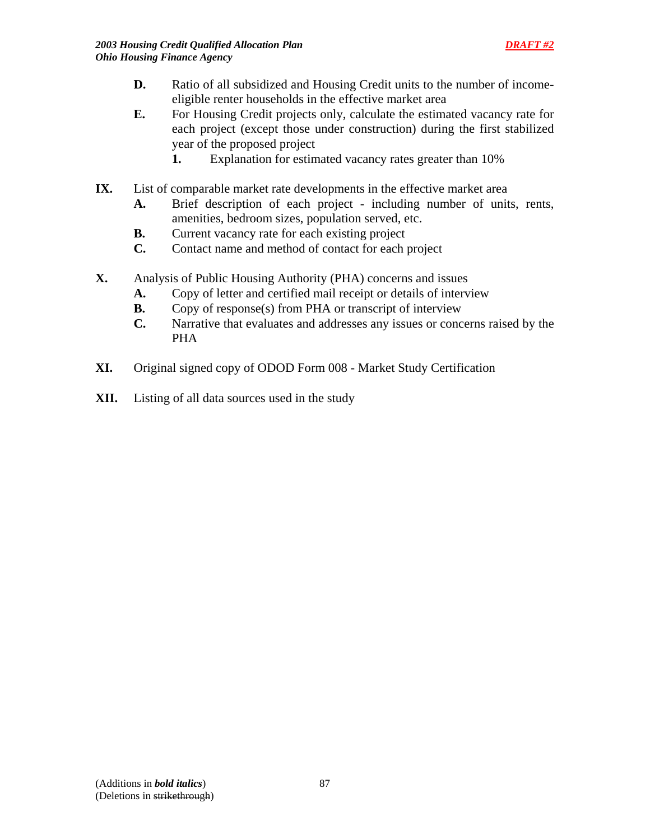- **D.** Ratio of all subsidized and Housing Credit units to the number of incomeeligible renter households in the effective market area
- **E.** For Housing Credit projects only, calculate the estimated vacancy rate for each project (except those under construction) during the first stabilized year of the proposed project
	- **1.** Explanation for estimated vacancy rates greater than 10%
- **IX.** List of comparable market rate developments in the effective market area
	- **A.** Brief description of each project including number of units, rents, amenities, bedroom sizes, population served, etc.
	- **B.** Current vacancy rate for each existing project
	- **C.** Contact name and method of contact for each project
- **X.** Analysis of Public Housing Authority (PHA) concerns and issues
	- **A.** Copy of letter and certified mail receipt or details of interview
	- **B.** Copy of response(s) from PHA or transcript of interview
	- **C.** Narrative that evaluates and addresses any issues or concerns raised by the PHA
- **XI.** Original signed copy of ODOD Form 008 Market Study Certification
- **XII.** Listing of all data sources used in the study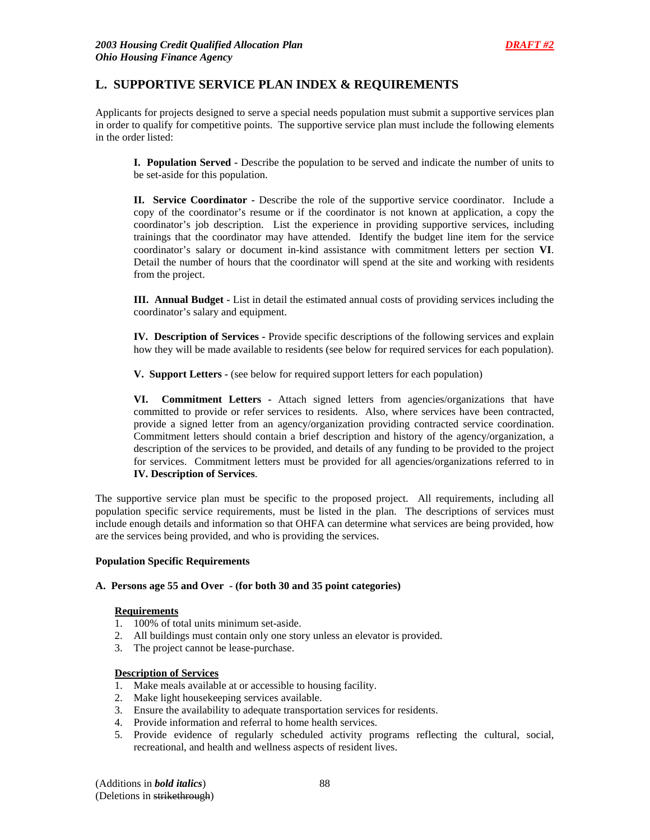## **L. SUPPORTIVE SERVICE PLAN INDEX & REQUIREMENTS**

Applicants for projects designed to serve a special needs population must submit a supportive services plan in order to qualify for competitive points. The supportive service plan must include the following elements in the order listed:

**I. Population Served -** Describe the population to be served and indicate the number of units to be set-aside for this population.

**II. Service Coordinator -** Describe the role of the supportive service coordinator. Include a copy of the coordinator's resume or if the coordinator is not known at application, a copy the coordinator's job description. List the experience in providing supportive services, including trainings that the coordinator may have attended. Identify the budget line item for the service coordinator's salary or document in-kind assistance with commitment letters per section **VI**. Detail the number of hours that the coordinator will spend at the site and working with residents from the project.

**III. Annual Budget -** List in detail the estimated annual costs of providing services including the coordinator's salary and equipment.

**IV. Description of Services -** Provide specific descriptions of the following services and explain how they will be made available to residents (see below for required services for each population).

**V. Support Letters -** (see below for required support letters for each population)

**VI. Commitment Letters -** Attach signed letters from agencies/organizations that have committed to provide or refer services to residents. Also, where services have been contracted, provide a signed letter from an agency/organization providing contracted service coordination. Commitment letters should contain a brief description and history of the agency/organization, a description of the services to be provided, and details of any funding to be provided to the project for services. Commitment letters must be provided for all agencies/organizations referred to in **IV. Description of Services**.

The supportive service plan must be specific to the proposed project. All requirements, including all population specific service requirements, must be listed in the plan. The descriptions of services must include enough details and information so that OHFA can determine what services are being provided, how are the services being provided, and who is providing the services.

#### **Population Specific Requirements**

#### **A. Persons age 55 and Over - (for both 30 and 35 point categories)**

#### **Requirements**

- 1. 100% of total units minimum set-aside.
- 2. All buildings must contain only one story unless an elevator is provided.
- 3. The project cannot be lease-purchase.

#### **Description of Services**

- 1. Make meals available at or accessible to housing facility.
- 2. Make light housekeeping services available.
- 3. Ensure the availability to adequate transportation services for residents.
- 4. Provide information and referral to home health services.
- 5. Provide evidence of regularly scheduled activity programs reflecting the cultural, social, recreational, and health and wellness aspects of resident lives.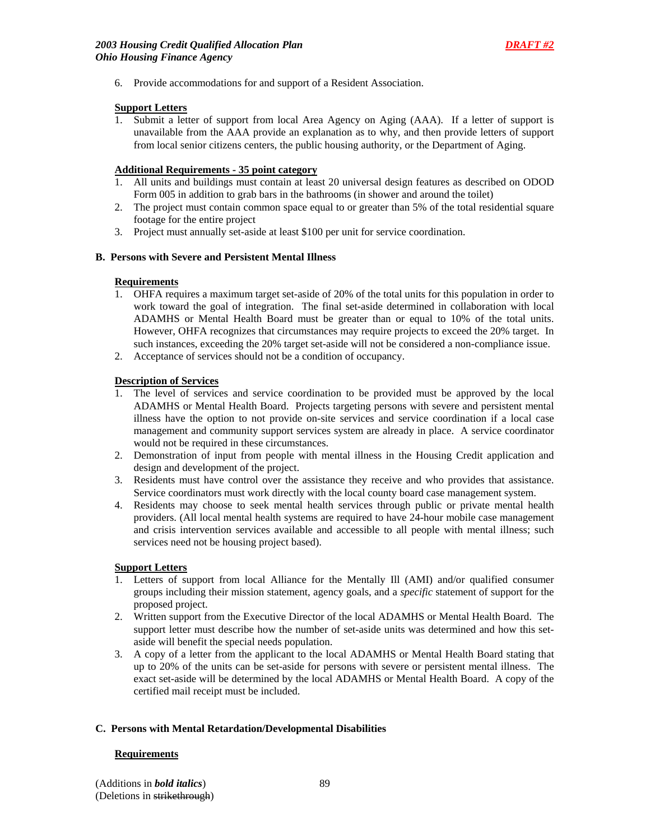6. Provide accommodations for and support of a Resident Association.

#### **Support Letters**

1. Submit a letter of support from local Area Agency on Aging (AAA). If a letter of support is unavailable from the AAA provide an explanation as to why, and then provide letters of support from local senior citizens centers, the public housing authority, or the Department of Aging.

#### **Additional Requirements - 35 point category**

- 1. All units and buildings must contain at least 20 universal design features as described on ODOD Form 005 in addition to grab bars in the bathrooms (in shower and around the toilet)
- 2. The project must contain common space equal to or greater than 5% of the total residential square footage for the entire project
- 3. Project must annually set-aside at least \$100 per unit for service coordination.

#### **B. Persons with Severe and Persistent Mental Illness**

#### **Requirements**

- 1. OHFA requires a maximum target set-aside of 20% of the total units for this population in order to work toward the goal of integration. The final set-aside determined in collaboration with local ADAMHS or Mental Health Board must be greater than or equal to 10% of the total units. However, OHFA recognizes that circumstances may require projects to exceed the 20% target. In such instances, exceeding the 20% target set-aside will not be considered a non-compliance issue.
- 2. Acceptance of services should not be a condition of occupancy.

#### **Description of Services**

- 1. The level of services and service coordination to be provided must be approved by the local ADAMHS or Mental Health Board. Projects targeting persons with severe and persistent mental illness have the option to not provide on-site services and service coordination if a local case management and community support services system are already in place. A service coordinator would not be required in these circumstances.
- 2. Demonstration of input from people with mental illness in the Housing Credit application and design and development of the project.
- 3. Residents must have control over the assistance they receive and who provides that assistance. Service coordinators must work directly with the local county board case management system.
- 4. Residents may choose to seek mental health services through public or private mental health providers. (All local mental health systems are required to have 24-hour mobile case management and crisis intervention services available and accessible to all people with mental illness; such services need not be housing project based).

#### **Support Letters**

- 1. Letters of support from local Alliance for the Mentally Ill (AMI) and/or qualified consumer groups including their mission statement, agency goals, and a *specific* statement of support for the proposed project.
- 2. Written support from the Executive Director of the local ADAMHS or Mental Health Board. The support letter must describe how the number of set-aside units was determined and how this setaside will benefit the special needs population.
- 3. A copy of a letter from the applicant to the local ADAMHS or Mental Health Board stating that up to 20% of the units can be set-aside for persons with severe or persistent mental illness. The exact set-aside will be determined by the local ADAMHS or Mental Health Board. A copy of the certified mail receipt must be included.

#### **C. Persons with Mental Retardation/Developmental Disabilities**

#### **Requirements**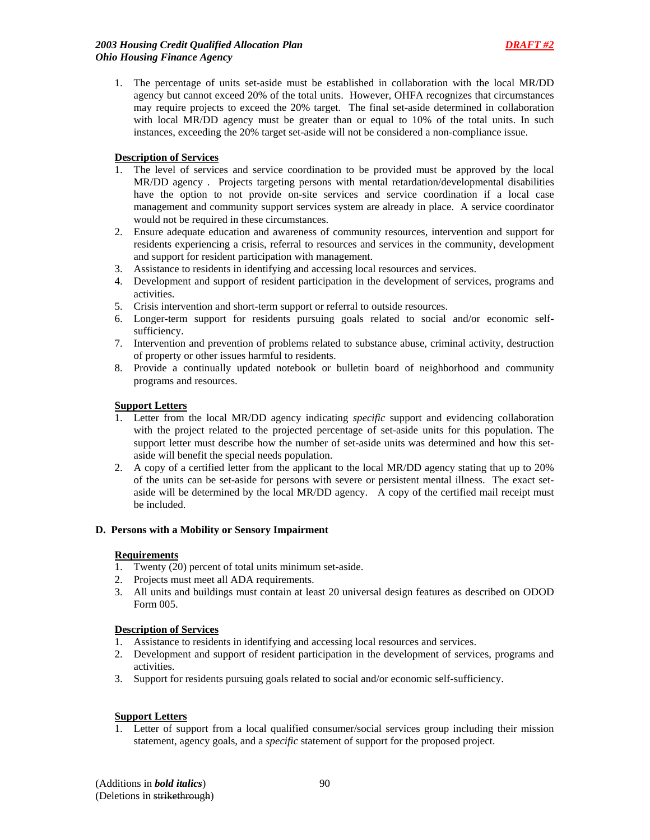1. The percentage of units set-aside must be established in collaboration with the local MR/DD agency but cannot exceed 20% of the total units. However, OHFA recognizes that circumstances may require projects to exceed the 20% target. The final set-aside determined in collaboration with local MR/DD agency must be greater than or equal to 10% of the total units. In such instances, exceeding the 20% target set-aside will not be considered a non-compliance issue.

### **Description of Services**

- 1. The level of services and service coordination to be provided must be approved by the local MR/DD agency . Projects targeting persons with mental retardation/developmental disabilities have the option to not provide on-site services and service coordination if a local case management and community support services system are already in place. A service coordinator would not be required in these circumstances.
- 2. Ensure adequate education and awareness of community resources, intervention and support for residents experiencing a crisis, referral to resources and services in the community, development and support for resident participation with management.
- 3. Assistance to residents in identifying and accessing local resources and services.
- 4. Development and support of resident participation in the development of services, programs and activities.
- 5. Crisis intervention and short-term support or referral to outside resources.
- 6. Longer-term support for residents pursuing goals related to social and/or economic selfsufficiency.
- 7. Intervention and prevention of problems related to substance abuse, criminal activity, destruction of property or other issues harmful to residents.
- 8. Provide a continually updated notebook or bulletin board of neighborhood and community programs and resources.

#### **Support Letters**

- 1. Letter from the local MR/DD agency indicating *specific* support and evidencing collaboration with the project related to the projected percentage of set-aside units for this population. The support letter must describe how the number of set-aside units was determined and how this setaside will benefit the special needs population.
- 2. A copy of a certified letter from the applicant to the local MR/DD agency stating that up to 20% of the units can be set-aside for persons with severe or persistent mental illness. The exact setaside will be determined by the local MR/DD agency. A copy of the certified mail receipt must be included.

#### **D. Persons with a Mobility or Sensory Impairment**

### **Requirements**

- 1. Twenty (20) percent of total units minimum set-aside.
- 2. Projects must meet all ADA requirements.
- 3. All units and buildings must contain at least 20 universal design features as described on ODOD Form 005.

#### **Description of Services**

- 1. Assistance to residents in identifying and accessing local resources and services.
- 2. Development and support of resident participation in the development of services, programs and activities.
- 3. Support for residents pursuing goals related to social and/or economic self-sufficiency.

#### **Support Letters**

1. Letter of support from a local qualified consumer/social services group including their mission statement, agency goals, and a *specific* statement of support for the proposed project.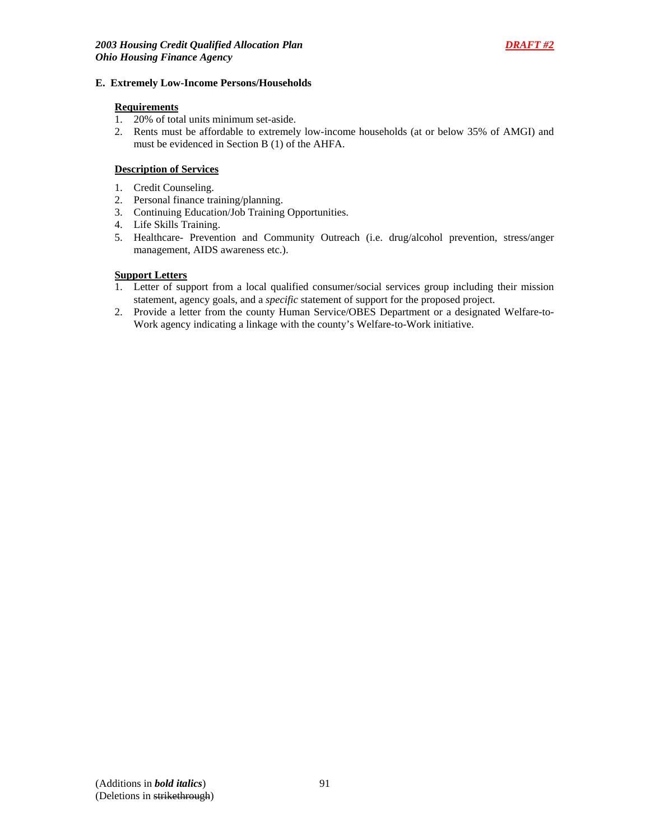#### **E. Extremely Low-Income Persons/Households**

#### **Requirements**

- 1. 20% of total units minimum set-aside.
- 2. Rents must be affordable to extremely low-income households (at or below 35% of AMGI) and must be evidenced in Section B (1) of the AHFA.

### **Description of Services**

- 1. Credit Counseling.
- 2. Personal finance training/planning.
- 3. Continuing Education/Job Training Opportunities.
- 4. Life Skills Training.
- 5. Healthcare- Prevention and Community Outreach (i.e. drug/alcohol prevention, stress/anger management, AIDS awareness etc.).

### **Support Letters**

- 1. Letter of support from a local qualified consumer/social services group including their mission statement, agency goals, and a *specific* statement of support for the proposed project.
- 2. Provide a letter from the county Human Service/OBES Department or a designated Welfare-to-Work agency indicating a linkage with the county's Welfare-to-Work initiative.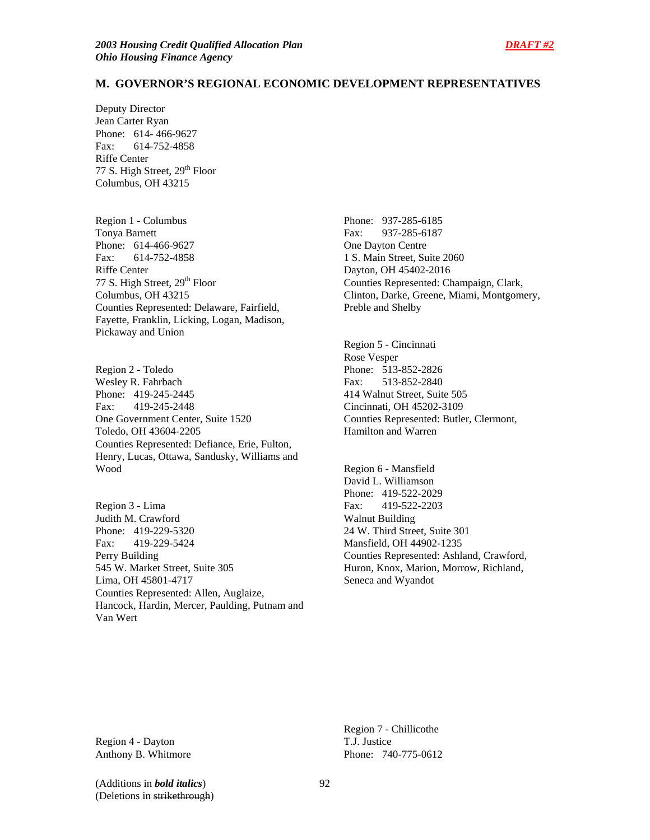Deputy Director Jean Carter Ryan Phone: 614- 466-9627 Fax: 614-752-4858 Riffe Center 77 S. High Street, 29<sup>th</sup> Floor Columbus, OH 43215

Region 1 - Columbus Tonya Barnett Phone: 614-466-9627 Fax: 614-752-4858 Riffe Center 77 S. High Street, 29<sup>th</sup> Floor Columbus, OH 43215 Counties Represented: Delaware, Fairfield, Fayette, Franklin, Licking, Logan, Madison, Pickaway and Union

Region 2 - Toledo Wesley R. Fahrbach Phone: 419-245-2445 Fax: 419-245-2448 One Government Center, Suite 1520 Toledo, OH 43604-2205 Counties Represented: Defiance, Erie, Fulton, Henry, Lucas, Ottawa, Sandusky, Williams and Wood

Region 3 - Lima Judith M. Crawford Phone: 419-229-5320 Fax: 419-229-5424 Perry Building 545 W. Market Street, Suite 305 Lima, OH 45801-4717 Counties Represented: Allen, Auglaize, Hancock, Hardin, Mercer, Paulding, Putnam and Van Wert

Phone: 937-285-6185 Fax: 937-285-6187 One Dayton Centre 1 S. Main Street, Suite 2060 Dayton, OH 45402-2016 Counties Represented: Champaign, Clark, Clinton, Darke, Greene, Miami, Montgomery, Preble and Shelby

Region 5 - Cincinnati Rose Vesper Phone: 513-852-2826 Fax: 513-852-2840 414 Walnut Street, Suite 505 Cincinnati, OH 45202-3109 Counties Represented: Butler, Clermont, Hamilton and Warren

Region 6 - Mansfield David L. Williamson Phone: 419-522-2029 Fax: 419-522-2203 Walnut Building 24 W. Third Street, Suite 301 Mansfield, OH 44902-1235 Counties Represented: Ashland, Crawford, Huron, Knox, Marion, Morrow, Richland, Seneca and Wyandot

Region 4 - Dayton Anthony B. Whitmore

Region 7 - Chillicothe T.J. Justice Phone: 740-775-0612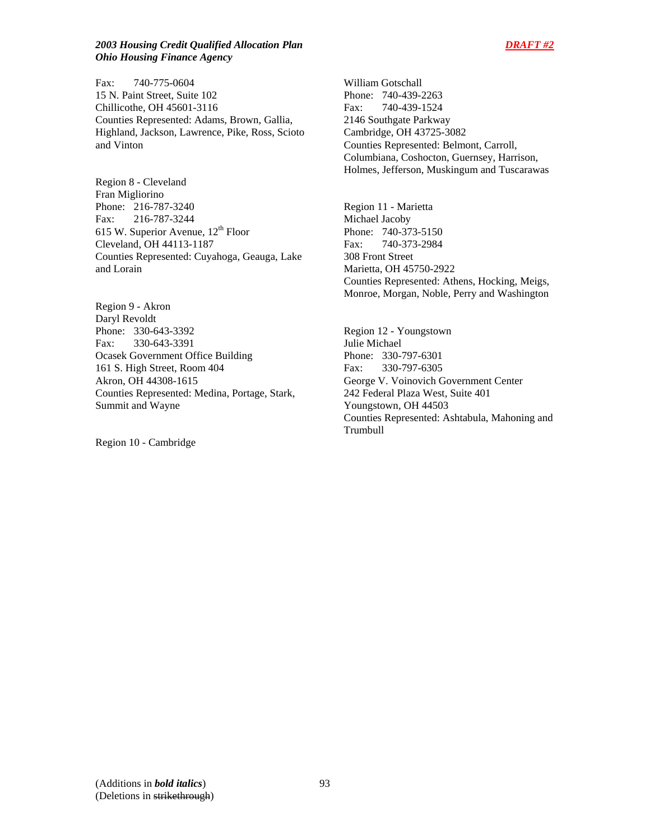#### *2003 Housing Credit Qualified Allocation Plan DRAFT #2 Ohio Housing Finance Agency*

Fax: 740-775-0604 15 N. Paint Street, Suite 102 Chillicothe, OH 45601-3116 Counties Represented: Adams, Brown, Gallia, Highland, Jackson, Lawrence, Pike, Ross, Scioto and Vinton

Region 8 - Cleveland Fran Migliorino Phone: 216-787-3240 Fax: 216-787-3244 615 W. Superior Avenue,  $12<sup>th</sup>$  Floor Cleveland, OH 44113-1187 Counties Represented: Cuyahoga, Geauga, Lake and Lorain

Region 9 - Akron Daryl Revoldt Phone: 330-643-3392 Fax: 330-643-3391 Ocasek Government Office Building 161 S. High Street, Room 404 Akron, OH 44308-1615 Counties Represented: Medina, Portage, Stark, Summit and Wayne

Region 10 - Cambridge

William Gotschall Phone: 740-439-2263 Fax: 740-439-1524 2146 Southgate Parkway Cambridge, OH 43725-3082 Counties Represented: Belmont, Carroll, Columbiana, Coshocton, Guernsey, Harrison, Holmes, Jefferson, Muskingum and Tuscarawas

Region 11 - Marietta Michael Jacoby Phone: 740-373-5150 Fax: 740-373-2984 308 Front Street Marietta, OH 45750-2922 Counties Represented: Athens, Hocking, Meigs, Monroe, Morgan, Noble, Perry and Washington

Region 12 - Youngstown Julie Michael Phone: 330-797-6301 Fax: 330-797-6305 George V. Voinovich Government Center 242 Federal Plaza West, Suite 401 Youngstown, OH 44503 Counties Represented: Ashtabula, Mahoning and Trumbull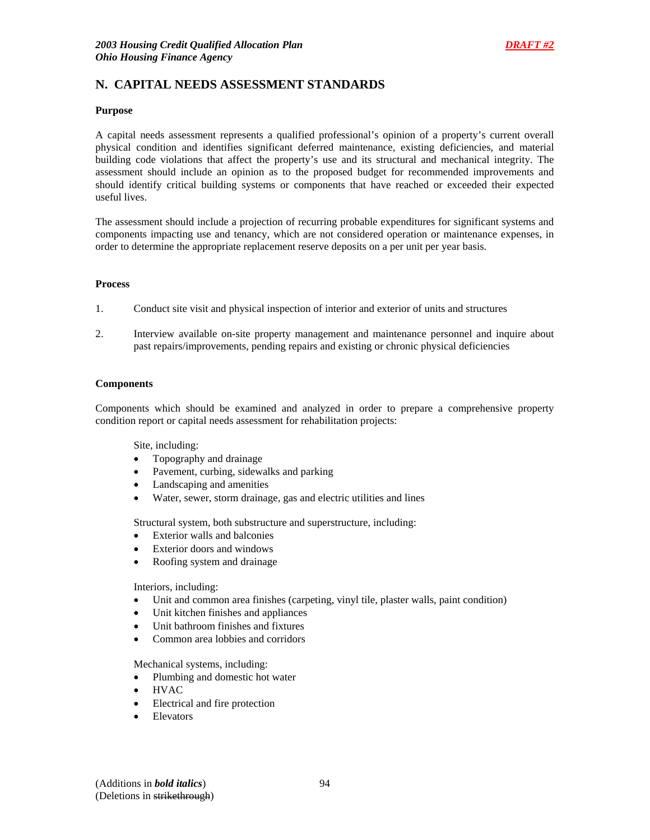# **N. CAPITAL NEEDS ASSESSMENT STANDARDS**

#### **Purpose**

A capital needs assessment represents a qualified professional's opinion of a property's current overall physical condition and identifies significant deferred maintenance, existing deficiencies, and material building code violations that affect the property's use and its structural and mechanical integrity. The assessment should include an opinion as to the proposed budget for recommended improvements and should identify critical building systems or components that have reached or exceeded their expected useful lives.

The assessment should include a projection of recurring probable expenditures for significant systems and components impacting use and tenancy, which are not considered operation or maintenance expenses, in order to determine the appropriate replacement reserve deposits on a per unit per year basis.

#### **Process**

- 1. Conduct site visit and physical inspection of interior and exterior of units and structures
- 2. Interview available on-site property management and maintenance personnel and inquire about past repairs/improvements, pending repairs and existing or chronic physical deficiencies

#### **Components**

Components which should be examined and analyzed in order to prepare a comprehensive property condition report or capital needs assessment for rehabilitation projects:

Site, including:

- Topography and drainage
- Pavement, curbing, sidewalks and parking
- Landscaping and amenities
- Water, sewer, storm drainage, gas and electric utilities and lines

Structural system, both substructure and superstructure, including:

- Exterior walls and balconies
- Exterior doors and windows
- Roofing system and drainage

Interiors, including:

- Unit and common area finishes (carpeting, vinyl tile, plaster walls, paint condition)
- Unit kitchen finishes and appliances
- Unit bathroom finishes and fixtures
- Common area lobbies and corridors

Mechanical systems, including:

- Plumbing and domestic hot water
- HVAC
- Electrical and fire protection
- **Elevators**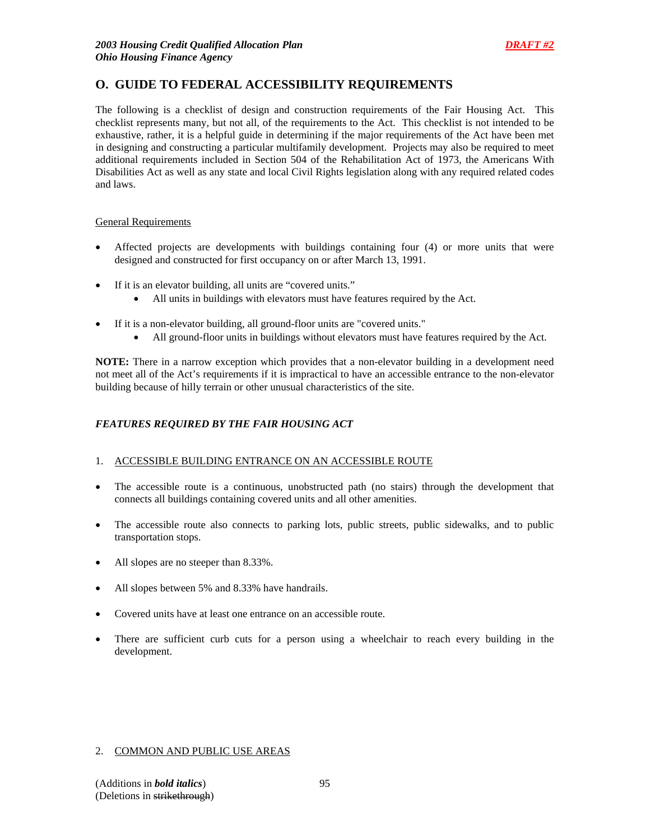# **O. GUIDE TO FEDERAL ACCESSIBILITY REQUIREMENTS**

The following is a checklist of design and construction requirements of the Fair Housing Act. This checklist represents many, but not all, of the requirements to the Act. This checklist is not intended to be exhaustive, rather, it is a helpful guide in determining if the major requirements of the Act have been met in designing and constructing a particular multifamily development. Projects may also be required to meet additional requirements included in Section 504 of the Rehabilitation Act of 1973, the Americans With Disabilities Act as well as any state and local Civil Rights legislation along with any required related codes and laws.

#### General Requirements

- Affected projects are developments with buildings containing four (4) or more units that were designed and constructed for first occupancy on or after March 13, 1991.
- If it is an elevator building, all units are "covered units."
	- All units in buildings with elevators must have features required by the Act.
- If it is a non-elevator building, all ground-floor units are "covered units."
	- All ground-floor units in buildings without elevators must have features required by the Act.

**NOTE:** There in a narrow exception which provides that a non-elevator building in a development need not meet all of the Act's requirements if it is impractical to have an accessible entrance to the non-elevator building because of hilly terrain or other unusual characteristics of the site.

## *FEATURES REQUIRED BY THE FAIR HOUSING ACT*

#### 1. ACCESSIBLE BUILDING ENTRANCE ON AN ACCESSIBLE ROUTE

- The accessible route is a continuous, unobstructed path (no stairs) through the development that connects all buildings containing covered units and all other amenities.
- The accessible route also connects to parking lots, public streets, public sidewalks, and to public transportation stops.
- All slopes are no steeper than 8.33%.
- All slopes between 5% and 8.33% have handrails.
- Covered units have at least one entrance on an accessible route.
- There are sufficient curb cuts for a person using a wheelchair to reach every building in the development.

#### 2. COMMON AND PUBLIC USE AREAS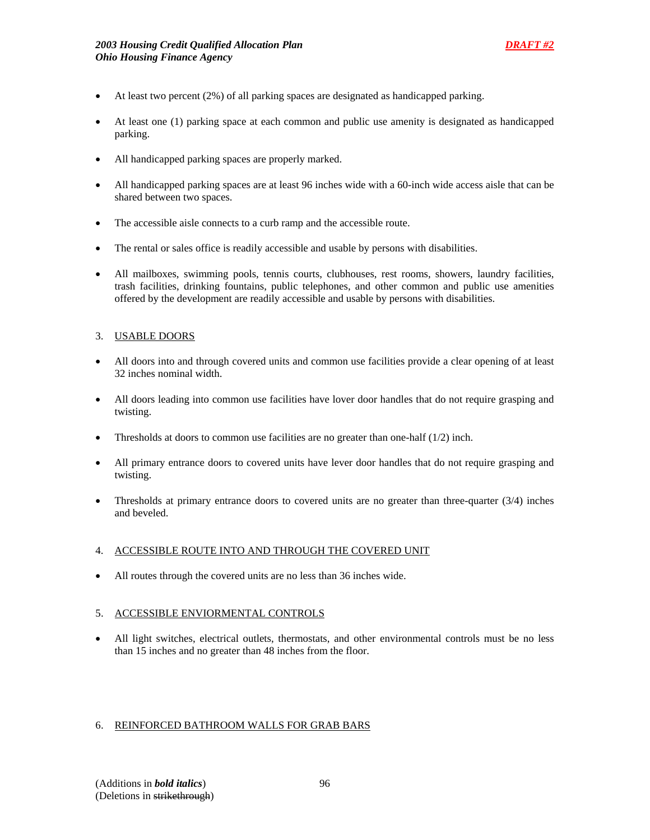- At least two percent (2%) of all parking spaces are designated as handicapped parking.
- At least one (1) parking space at each common and public use amenity is designated as handicapped parking.
- All handicapped parking spaces are properly marked.
- All handicapped parking spaces are at least 96 inches wide with a 60-inch wide access aisle that can be shared between two spaces.
- The accessible aisle connects to a curb ramp and the accessible route.
- The rental or sales office is readily accessible and usable by persons with disabilities.
- All mailboxes, swimming pools, tennis courts, clubhouses, rest rooms, showers, laundry facilities, trash facilities, drinking fountains, public telephones, and other common and public use amenities offered by the development are readily accessible and usable by persons with disabilities.

#### 3. USABLE DOORS

- All doors into and through covered units and common use facilities provide a clear opening of at least 32 inches nominal width.
- All doors leading into common use facilities have lover door handles that do not require grasping and twisting.
- Thresholds at doors to common use facilities are no greater than one-half  $(1/2)$  inch.
- All primary entrance doors to covered units have lever door handles that do not require grasping and twisting.
- Thresholds at primary entrance doors to covered units are no greater than three-quarter  $(3/4)$  inches and beveled.

#### 4. ACCESSIBLE ROUTE INTO AND THROUGH THE COVERED UNIT

• All routes through the covered units are no less than 36 inches wide.

#### 5. ACCESSIBLE ENVIORMENTAL CONTROLS

• All light switches, electrical outlets, thermostats, and other environmental controls must be no less than 15 inches and no greater than 48 inches from the floor.

#### 6. REINFORCED BATHROOM WALLS FOR GRAB BARS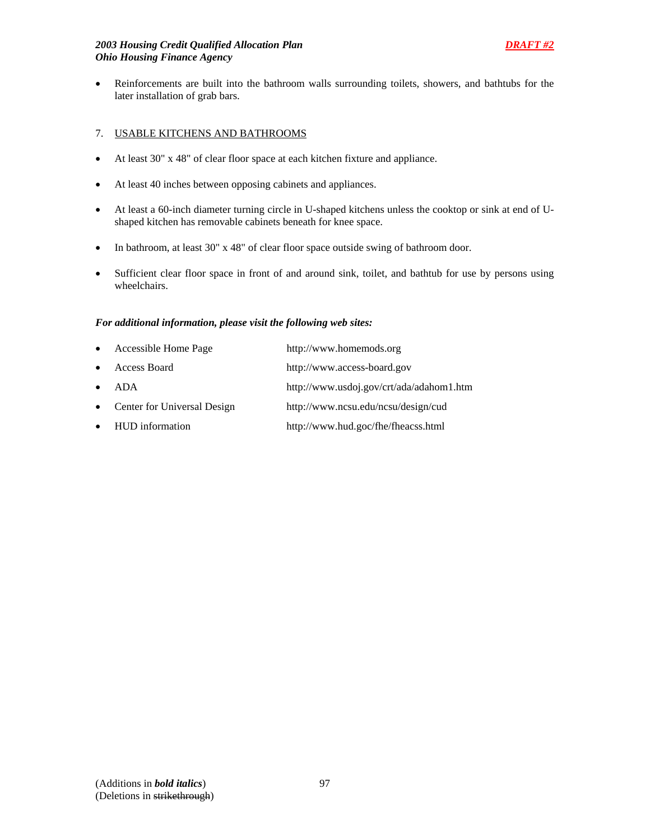## *2003 Housing Credit Qualified Allocation Plan DRAFT #2 Ohio Housing Finance Agency*

• Reinforcements are built into the bathroom walls surrounding toilets, showers, and bathtubs for the later installation of grab bars.

# 7. USABLE KITCHENS AND BATHROOMS

- At least 30" x 48" of clear floor space at each kitchen fixture and appliance.
- At least 40 inches between opposing cabinets and appliances.
- At least a 60-inch diameter turning circle in U-shaped kitchens unless the cooktop or sink at end of Ushaped kitchen has removable cabinets beneath for knee space.
- In bathroom, at least 30" x 48" of clear floor space outside swing of bathroom door.
- Sufficient clear floor space in front of and around sink, toilet, and bathtub for use by persons using wheelchairs.

## *For additional information, please visit the following web sites:*

| $\bullet$ | Accessible Home Page        | http://www.homemods.org                  |
|-----------|-----------------------------|------------------------------------------|
| $\bullet$ | Access Board                | http://www.access-board.gov              |
| $\bullet$ | ADA                         | http://www.usdoj.gov/crt/ada/adahom1.htm |
| $\bullet$ | Center for Universal Design | http://www.ncsu.edu/ncsu/design/cud      |
|           | • HUD information           | http://www.hud.goc/fhe/fheacss.html      |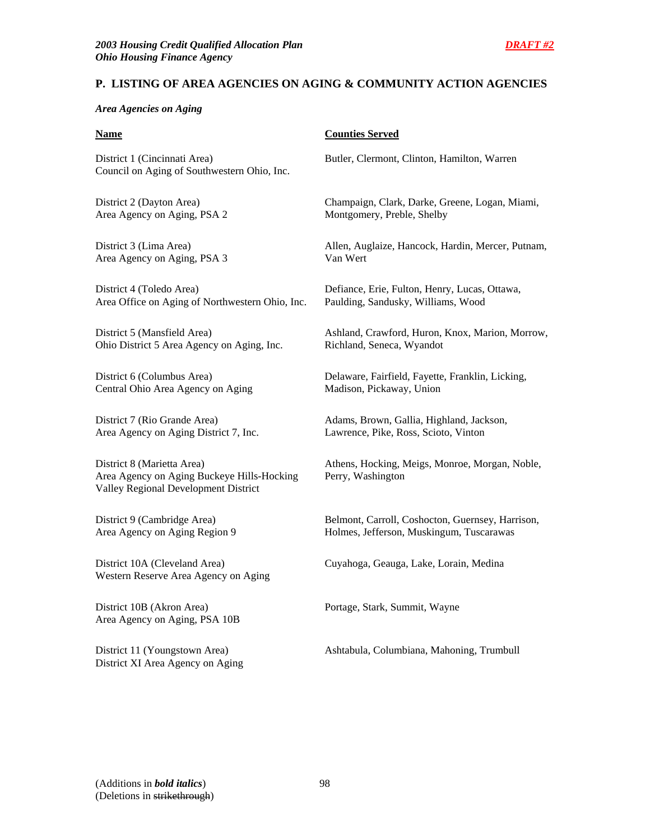## **P. LISTING OF AREA AGENCIES ON AGING & COMMUNITY ACTION AGENCIES**

### *Area Agencies on Aging*

District 1 (Cincinnati Area) Butler, Clermont, Clinton, Hamilton, Warren Council on Aging of Southwestern Ohio, Inc.

Area Agency on Aging, PSA 2 Montgomery, Preble, Shelby

Area Agency on Aging, PSA 3 Van Wert

District 4 (Toledo Area) Defiance, Erie, Fulton, Henry, Lucas, Ottawa, Area Office on Aging of Northwestern Ohio, Inc. Paulding, Sandusky, Williams, Wood

Ohio District 5 Area Agency on Aging, Inc. Richland, Seneca, Wyandot

Central Ohio Area Agency on Aging Madison, Pickaway, Union

Area Agency on Aging District 7, Inc. Lawrence, Pike, Ross, Scioto, Vinton

District 8 (Marietta Area) Athens, Hocking, Meigs, Monroe, Morgan, Noble, Area Agency on Aging Buckeye Hills-Hocking Perry, Washington Valley Regional Development District

Western Reserve Area Agency on Aging

District 10B (Akron Area) Portage, Stark, Summit, Wayne Area Agency on Aging, PSA 10B

District XI Area Agency on Aging

### **Name** Counties Served

District 2 (Dayton Area) Champaign, Clark, Darke, Greene, Logan, Miami,

District 3 (Lima Area) Allen, Auglaize, Hancock, Hardin, Mercer, Putnam,

District 5 (Mansfield Area) Ashland, Crawford, Huron, Knox, Marion, Morrow,

District 6 (Columbus Area) Delaware, Fairfield, Fayette, Franklin, Licking,

District 7 (Rio Grande Area) Adams, Brown, Gallia, Highland, Jackson,

District 9 (Cambridge Area) Belmont, Carroll, Coshocton, Guernsey, Harrison, Area Agency on Aging Region 9 Holmes, Jefferson, Muskingum, Tuscarawas

District 10A (Cleveland Area) Cuyahoga, Geauga, Lake, Lorain, Medina

District 11 (Youngstown Area) Ashtabula, Columbiana, Mahoning, Trumbull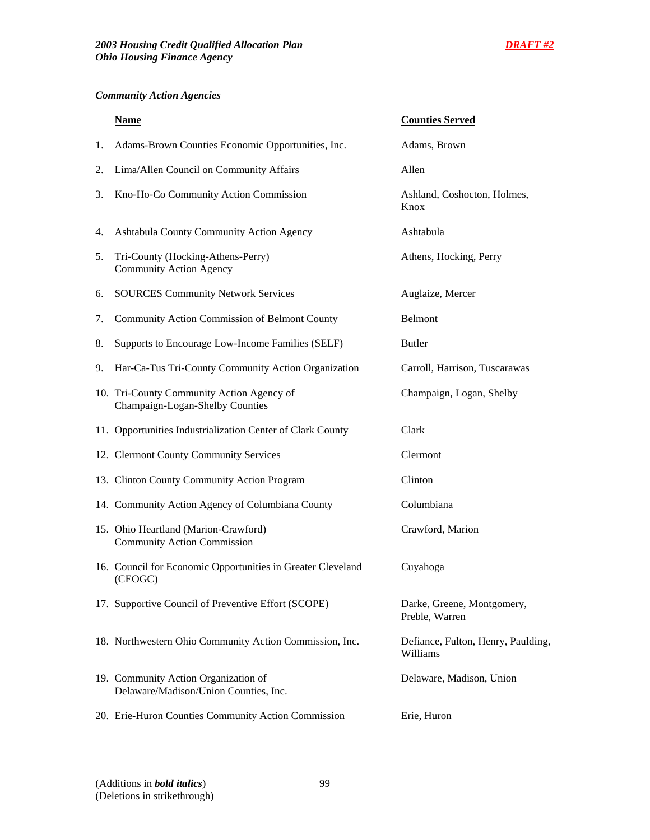# *Community Action Agencies*

|    | <b>Name</b>                                                                   | <b>Counties Served</b>                         |
|----|-------------------------------------------------------------------------------|------------------------------------------------|
| 1. | Adams-Brown Counties Economic Opportunities, Inc.                             | Adams, Brown                                   |
| 2. | Lima/Allen Council on Community Affairs                                       | Allen                                          |
| 3. | Kno-Ho-Co Community Action Commission                                         | Ashland, Coshocton, Holmes,<br>Knox            |
| 4. | Ashtabula County Community Action Agency                                      | Ashtabula                                      |
| 5. | Tri-County (Hocking-Athens-Perry)<br><b>Community Action Agency</b>           | Athens, Hocking, Perry                         |
| 6. | <b>SOURCES Community Network Services</b>                                     | Auglaize, Mercer                               |
| 7. | Community Action Commission of Belmont County                                 | Belmont                                        |
| 8. | Supports to Encourage Low-Income Families (SELF)                              | <b>Butler</b>                                  |
| 9. | Har-Ca-Tus Tri-County Community Action Organization                           | Carroll, Harrison, Tuscarawas                  |
|    | 10. Tri-County Community Action Agency of<br>Champaign-Logan-Shelby Counties  | Champaign, Logan, Shelby                       |
|    | 11. Opportunities Industrialization Center of Clark County                    | Clark                                          |
|    | 12. Clermont County Community Services                                        | Clermont                                       |
|    | 13. Clinton County Community Action Program                                   | Clinton                                        |
|    | 14. Community Action Agency of Columbiana County                              | Columbiana                                     |
|    | 15. Ohio Heartland (Marion-Crawford)<br><b>Community Action Commission</b>    | Crawford, Marion                               |
|    | 16. Council for Economic Opportunities in Greater Cleveland<br>(CEOGC)        | Cuyahoga                                       |
|    | 17. Supportive Council of Preventive Effort (SCOPE)                           | Darke, Greene, Montgomery,<br>Preble, Warren   |
|    | 18. Northwestern Ohio Community Action Commission, Inc.                       | Defiance, Fulton, Henry, Paulding,<br>Williams |
|    | 19. Community Action Organization of<br>Delaware/Madison/Union Counties, Inc. | Delaware, Madison, Union                       |
|    | 20. Erie-Huron Counties Community Action Commission                           | Erie, Huron                                    |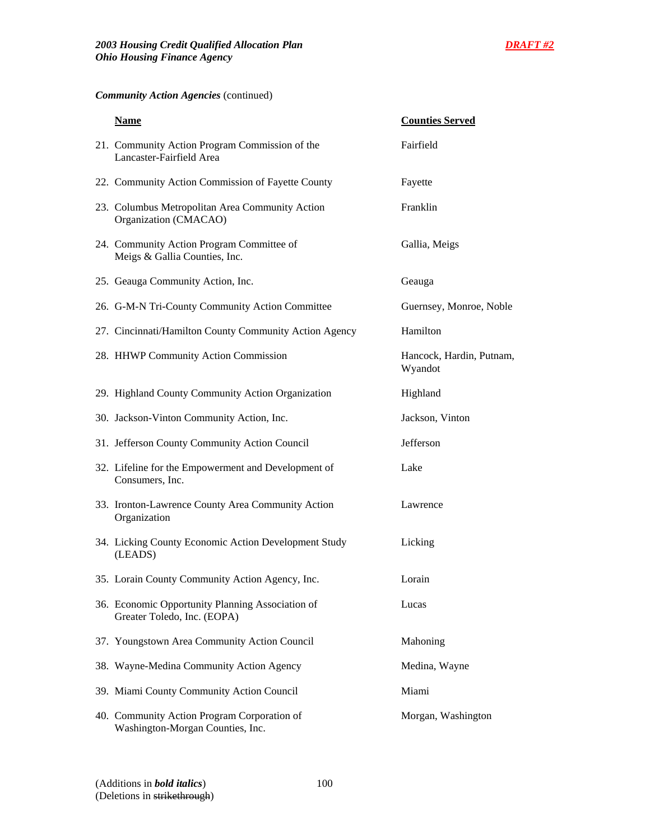# *Community Action Agencies* (continued)

| <b>Name</b>                                                                     | <b>Counties Served</b>              |
|---------------------------------------------------------------------------------|-------------------------------------|
| 21. Community Action Program Commission of the<br>Lancaster-Fairfield Area      | Fairfield                           |
| 22. Community Action Commission of Fayette County                               | Fayette                             |
| 23. Columbus Metropolitan Area Community Action<br>Organization (CMACAO)        | Franklin                            |
| 24. Community Action Program Committee of<br>Meigs & Gallia Counties, Inc.      | Gallia, Meigs                       |
| 25. Geauga Community Action, Inc.                                               | Geauga                              |
| 26. G-M-N Tri-County Community Action Committee                                 | Guernsey, Monroe, Noble             |
| 27. Cincinnati/Hamilton County Community Action Agency                          | Hamilton                            |
| 28. HHWP Community Action Commission                                            | Hancock, Hardin, Putnam,<br>Wyandot |
| 29. Highland County Community Action Organization                               | Highland                            |
| 30. Jackson-Vinton Community Action, Inc.                                       | Jackson, Vinton                     |
| 31. Jefferson County Community Action Council                                   | Jefferson                           |
| 32. Lifeline for the Empowerment and Development of<br>Consumers, Inc.          | Lake                                |
| 33. Ironton-Lawrence County Area Community Action<br>Organization               | Lawrence                            |
| 34. Licking County Economic Action Development Study<br>(LEADS)                 | Licking                             |
| 35. Lorain County Community Action Agency, Inc.                                 | Lorain                              |
| 36. Economic Opportunity Planning Association of<br>Greater Toledo, Inc. (EOPA) | Lucas                               |
| 37. Youngstown Area Community Action Council                                    | Mahoning                            |
| 38. Wayne-Medina Community Action Agency                                        | Medina, Wayne                       |
| 39. Miami County Community Action Council                                       | Miami                               |
| 40. Community Action Program Corporation of<br>Washington-Morgan Counties, Inc. | Morgan, Washington                  |